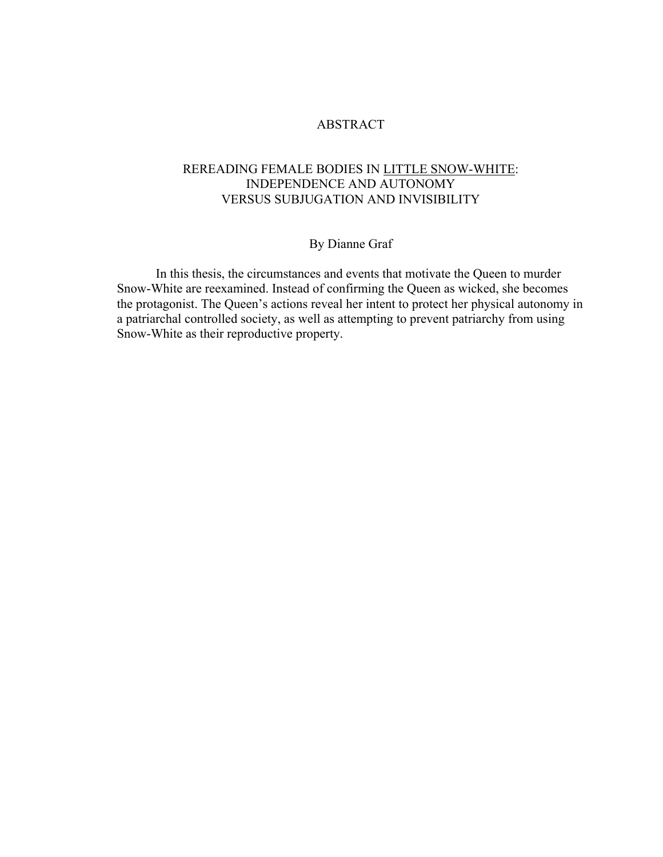## ABSTRACT

## REREADING FEMALE BODIES IN LITTLE SNOW-WHITE: INDEPENDENCE AND AUTONOMY VERSUS SUBJUGATION AND INVISIBILITY

# By Dianne Graf

In this thesis, the circumstances and events that motivate the Queen to murder Snow-White are reexamined. Instead of confirming the Queen as wicked, she becomes the protagonist. The Queen's actions reveal her intent to protect her physical autonomy in a patriarchal controlled society, as well as attempting to prevent patriarchy from using Snow-White as their reproductive property.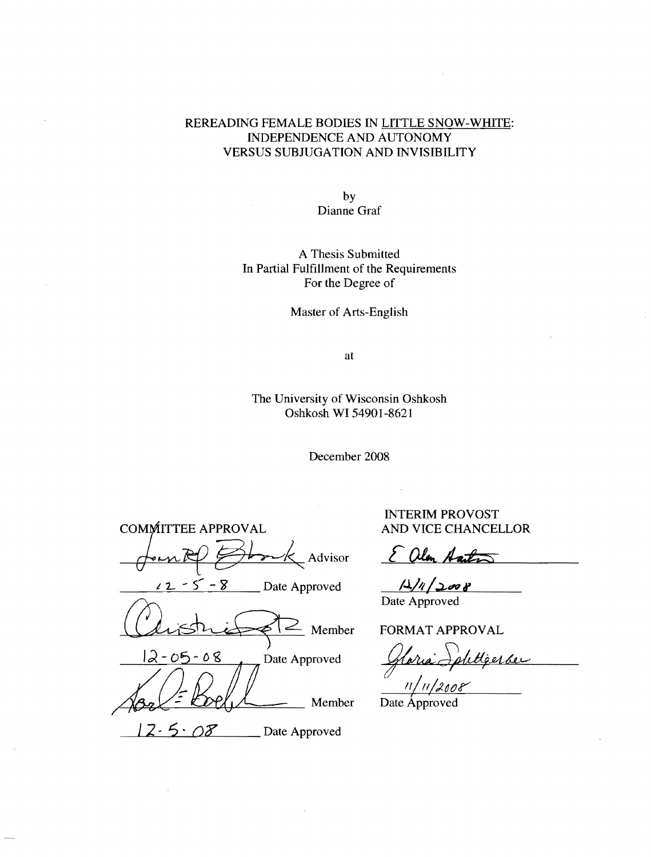## REREADING FEMALE BODIES IN LITTLE SNOW-WHITE: INDEPENDENCE AND AUTONOMY VERSUS SUBJUGATION AND INVISIBILITY

by Dianne Graf

A Thesis Submitted In Partial Fulfillment of the Requirements For the Degree of

Master of Arts-English

at

The University of Wisconsin Oshkosh Oshkosh **WI** 54901-8621

December 2008

COMMITTEE APPROVAL Ad visor t:::;:;:::.'-H.~"""-"k.. **8** Date Approved Chistriff 2 Mem  $12-05-08$  Date Approved  $\sqrt{3a} = \frac{1}{2}$  $\frac{1}{2.5}$  .  $\frac{08}{2}$  Date Approved

INTERIM PROVOST AND VICE CHANCELLOR

alon Aarts

 $12/4/2008$ Date Approved

 $\sim$  Member FORMAT APPROVAL

FORMAT APPROVAL<br>Gloria Sphttgerse

Date Approved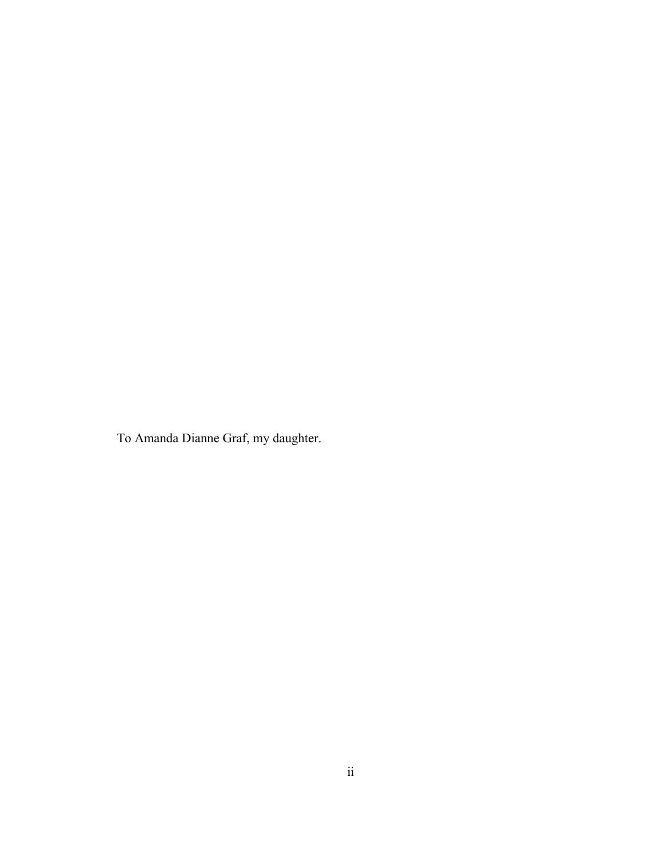To Amanda Dianne Graf, my daughter.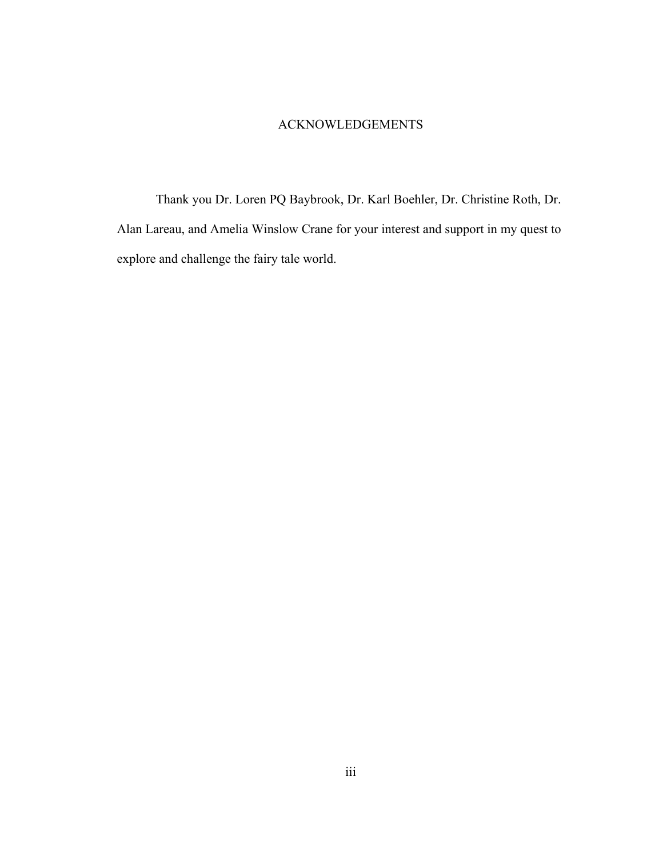#### ACKNOWLEDGEMENTS

 Thank you Dr. Loren PQ Baybrook, Dr. Karl Boehler, Dr. Christine Roth, Dr. Alan Lareau, and Amelia Winslow Crane for your interest and support in my quest to explore and challenge the fairy tale world.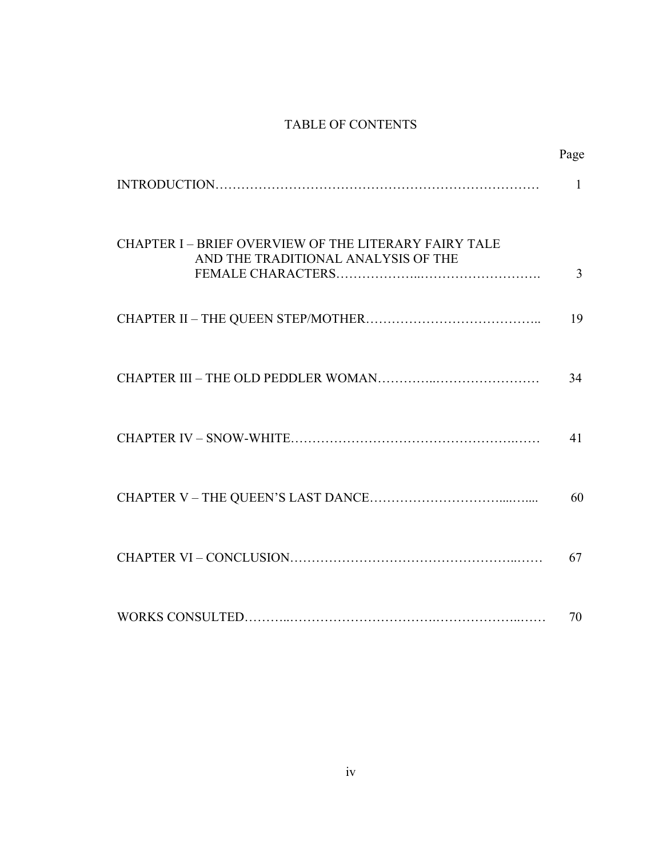# TABLE OF CONTENTS

|                                                                                                   | Page |
|---------------------------------------------------------------------------------------------------|------|
|                                                                                                   | 1    |
| <b>CHAPTER I-BRIEF OVERVIEW OF THE LITERARY FAIRY TALE</b><br>AND THE TRADITIONAL ANALYSIS OF THE | 3    |
|                                                                                                   | 19   |
|                                                                                                   | 34   |
|                                                                                                   | 41   |
|                                                                                                   | 60   |
|                                                                                                   | 67   |
|                                                                                                   | 70   |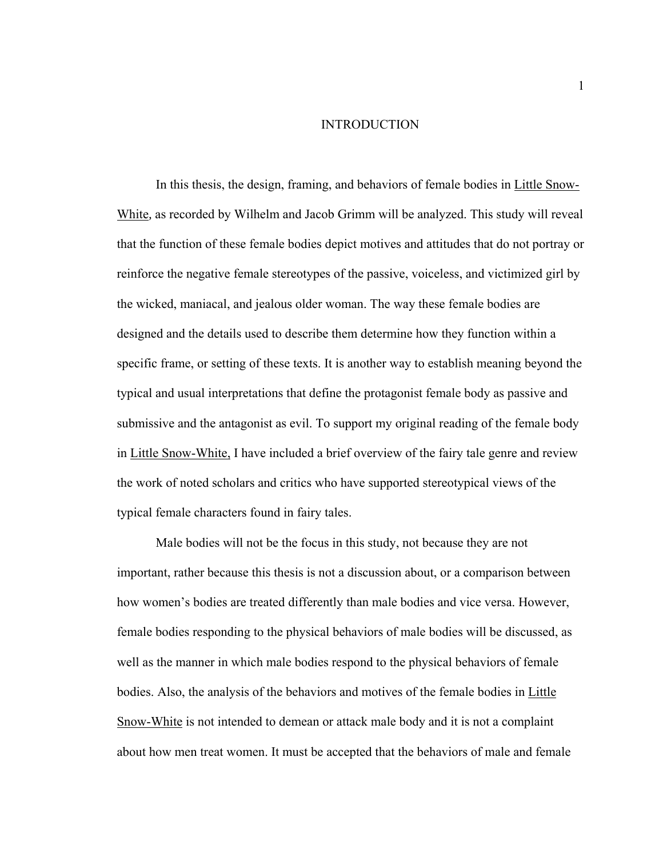#### INTRODUCTION

In this thesis, the design, framing, and behaviors of female bodies in Little Snow-White*,* as recorded by Wilhelm and Jacob Grimm will be analyzed. This study will reveal that the function of these female bodies depict motives and attitudes that do not portray or reinforce the negative female stereotypes of the passive, voiceless, and victimized girl by the wicked, maniacal, and jealous older woman. The way these female bodies are designed and the details used to describe them determine how they function within a specific frame, or setting of these texts. It is another way to establish meaning beyond the typical and usual interpretations that define the protagonist female body as passive and submissive and the antagonist as evil. To support my original reading of the female body in Little Snow-White, I have included a brief overview of the fairy tale genre and review the work of noted scholars and critics who have supported stereotypical views of the typical female characters found in fairy tales.

Male bodies will not be the focus in this study, not because they are not important, rather because this thesis is not a discussion about, or a comparison between how women's bodies are treated differently than male bodies and vice versa. However, female bodies responding to the physical behaviors of male bodies will be discussed, as well as the manner in which male bodies respond to the physical behaviors of female bodies. Also, the analysis of the behaviors and motives of the female bodies in Little Snow-White is not intended to demean or attack male body and it is not a complaint about how men treat women. It must be accepted that the behaviors of male and female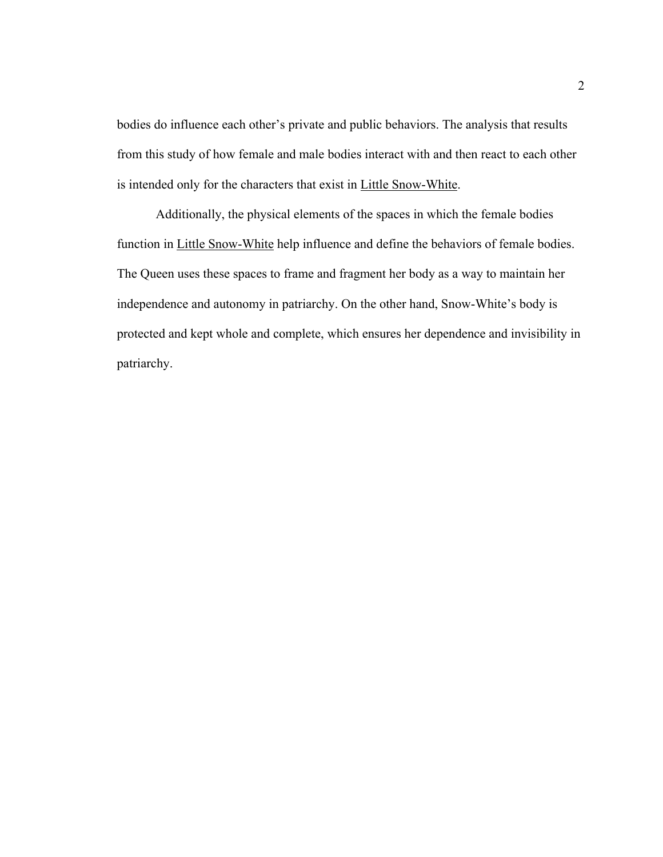bodies do influence each other's private and public behaviors. The analysis that results from this study of how female and male bodies interact with and then react to each other is intended only for the characters that exist in Little Snow-White.

Additionally, the physical elements of the spaces in which the female bodies function in Little Snow-White help influence and define the behaviors of female bodies. The Queen uses these spaces to frame and fragment her body as a way to maintain her independence and autonomy in patriarchy. On the other hand, Snow-White's body is protected and kept whole and complete, which ensures her dependence and invisibility in patriarchy.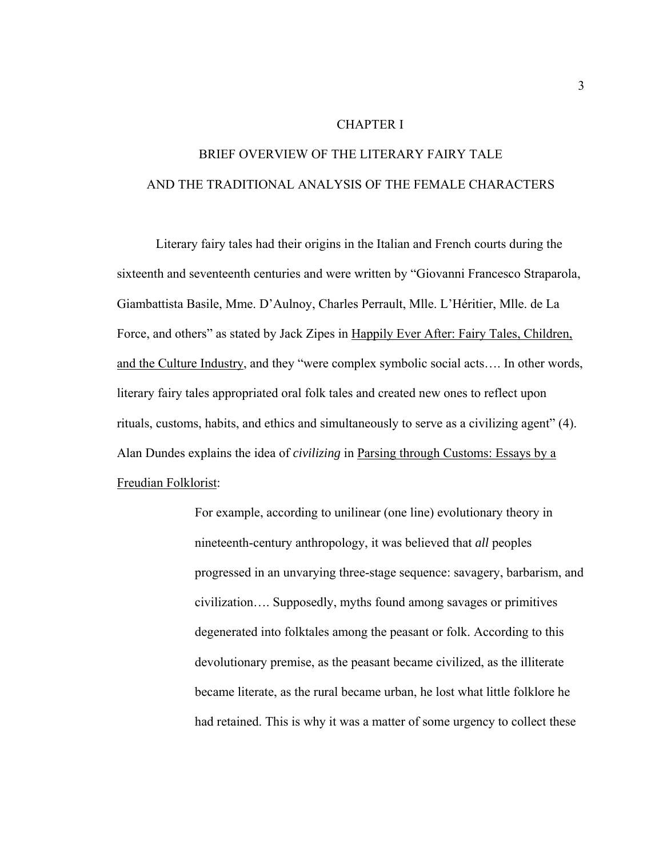#### CHAPTER I

# BRIEF OVERVIEW OF THE LITERARY FAIRY TALE AND THE TRADITIONAL ANALYSIS OF THE FEMALE CHARACTERS

Literary fairy tales had their origins in the Italian and French courts during the sixteenth and seventeenth centuries and were written by "Giovanni Francesco Straparola, Giambattista Basile, Mme. D'Aulnoy, Charles Perrault, Mlle. L'Héritier, Mlle. de La Force, and others" as stated by Jack Zipes in Happily Ever After: Fairy Tales, Children, and the Culture Industry, and they "were complex symbolic social acts…. In other words, literary fairy tales appropriated oral folk tales and created new ones to reflect upon rituals, customs, habits, and ethics and simultaneously to serve as a civilizing agent" (4). Alan Dundes explains the idea of *civilizing* in Parsing through Customs: Essays by a Freudian Folklorist:

> For example, according to unilinear (one line) evolutionary theory in nineteenth-century anthropology, it was believed that *all* peoples progressed in an unvarying three-stage sequence: savagery, barbarism, and civilization…. Supposedly, myths found among savages or primitives degenerated into folktales among the peasant or folk. According to this devolutionary premise, as the peasant became civilized, as the illiterate became literate, as the rural became urban, he lost what little folklore he had retained. This is why it was a matter of some urgency to collect these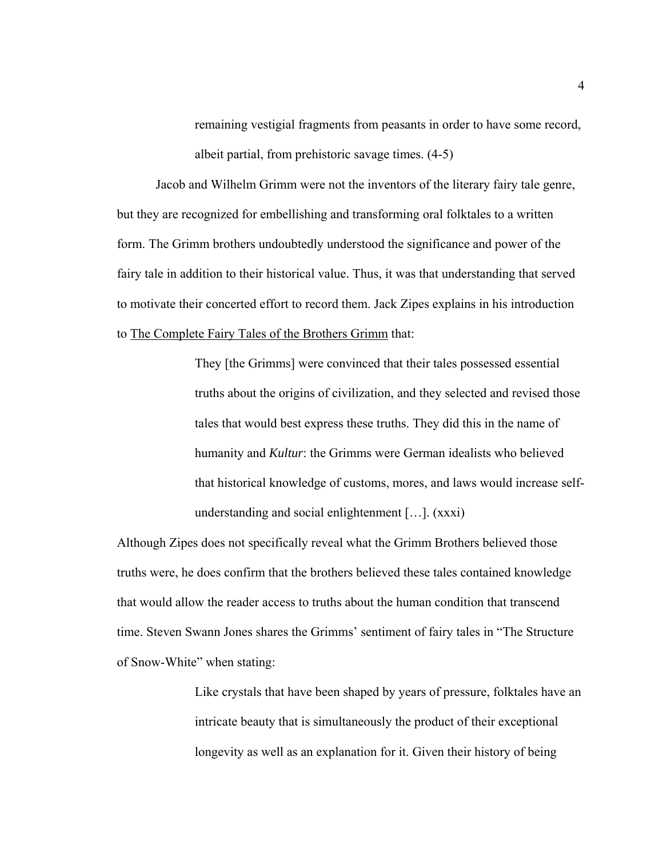remaining vestigial fragments from peasants in order to have some record, albeit partial, from prehistoric savage times. (4-5)

Jacob and Wilhelm Grimm were not the inventors of the literary fairy tale genre, but they are recognized for embellishing and transforming oral folktales to a written form. The Grimm brothers undoubtedly understood the significance and power of the fairy tale in addition to their historical value. Thus, it was that understanding that served to motivate their concerted effort to record them. Jack Zipes explains in his introduction to The Complete Fairy Tales of the Brothers Grimm that:

> They [the Grimms] were convinced that their tales possessed essential truths about the origins of civilization, and they selected and revised those tales that would best express these truths. They did this in the name of humanity and *Kultur*: the Grimms were German idealists who believed that historical knowledge of customs, mores, and laws would increase selfunderstanding and social enlightenment […]. (xxxi)

Although Zipes does not specifically reveal what the Grimm Brothers believed those truths were, he does confirm that the brothers believed these tales contained knowledge that would allow the reader access to truths about the human condition that transcend time. Steven Swann Jones shares the Grimms' sentiment of fairy tales in "The Structure of Snow-White" when stating:

> Like crystals that have been shaped by years of pressure, folktales have an intricate beauty that is simultaneously the product of their exceptional longevity as well as an explanation for it. Given their history of being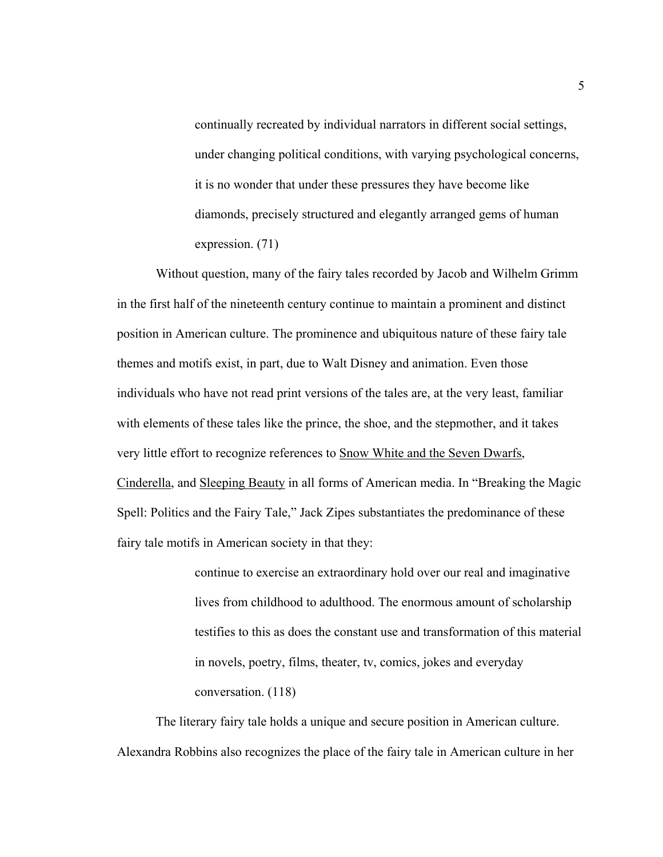continually recreated by individual narrators in different social settings, under changing political conditions, with varying psychological concerns, it is no wonder that under these pressures they have become like diamonds, precisely structured and elegantly arranged gems of human expression. (71)

Without question, many of the fairy tales recorded by Jacob and Wilhelm Grimm in the first half of the nineteenth century continue to maintain a prominent and distinct position in American culture. The prominence and ubiquitous nature of these fairy tale themes and motifs exist, in part, due to Walt Disney and animation. Even those individuals who have not read print versions of the tales are, at the very least, familiar with elements of these tales like the prince, the shoe, and the stepmother, and it takes very little effort to recognize references to Snow White and the Seven Dwarfs, Cinderella, and Sleeping Beauty in all forms of American media. In "Breaking the Magic Spell: Politics and the Fairy Tale," Jack Zipes substantiates the predominance of these fairy tale motifs in American society in that they:

> continue to exercise an extraordinary hold over our real and imaginative lives from childhood to adulthood. The enormous amount of scholarship testifies to this as does the constant use and transformation of this material in novels, poetry, films, theater, tv, comics, jokes and everyday conversation. (118)

The literary fairy tale holds a unique and secure position in American culture. Alexandra Robbins also recognizes the place of the fairy tale in American culture in her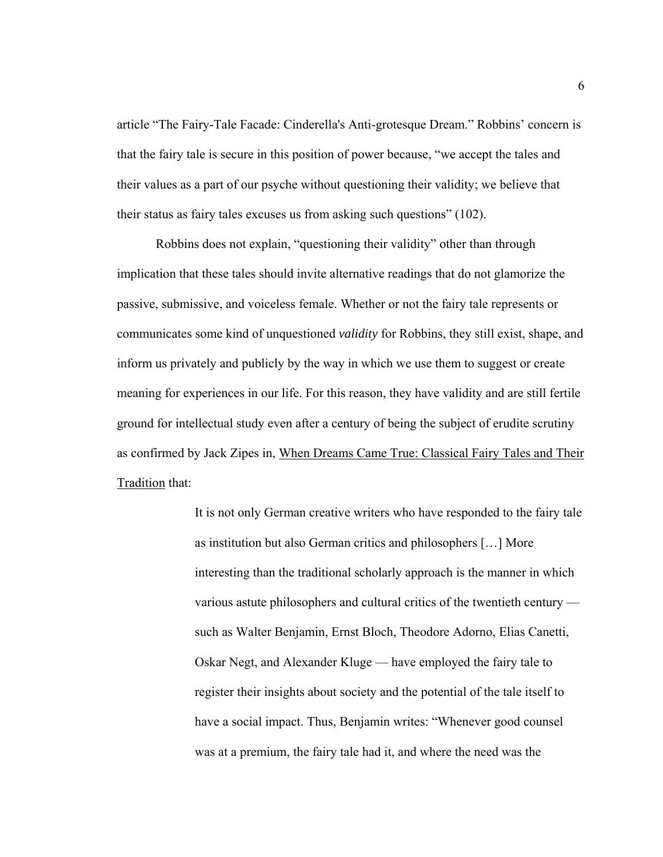article "The Fairy-Tale Facade: Cinderella's Anti-grotesque Dream." Robbins' concern is that the fairy tale is secure in this position of power because, "we accept the tales and their values as a part of our psyche without questioning their validity; we believe that their status as fairy tales excuses us from asking such questions" (102).

Robbins does not explain, "questioning their validity" other than through implication that these tales should invite alternative readings that do not glamorize the passive, submissive, and voiceless female. Whether or not the fairy tale represents or communicates some kind of unquestioned *validity* for Robbins, they still exist, shape, and inform us privately and publicly by the way in which we use them to suggest or create meaning for experiences in our life. For this reason, they have validity and are still fertile ground for intellectual study even after a century of being the subject of erudite scrutiny as confirmed by Jack Zipes in, When Dreams Came True: Classical Fairy Tales and Their Tradition that:

> It is not only German creative writers who have responded to the fairy tale as institution but also German critics and philosophers […] More interesting than the traditional scholarly approach is the manner in which various astute philosophers and cultural critics of the twentieth century such as Walter Benjamin, Ernst Bloch, Theodore Adorno, Elias Canetti, Oskar Negt, and Alexander Kluge — have employed the fairy tale to register their insights about society and the potential of the tale itself to have a social impact. Thus, Benjamin writes: "Whenever good counsel was at a premium, the fairy tale had it, and where the need was the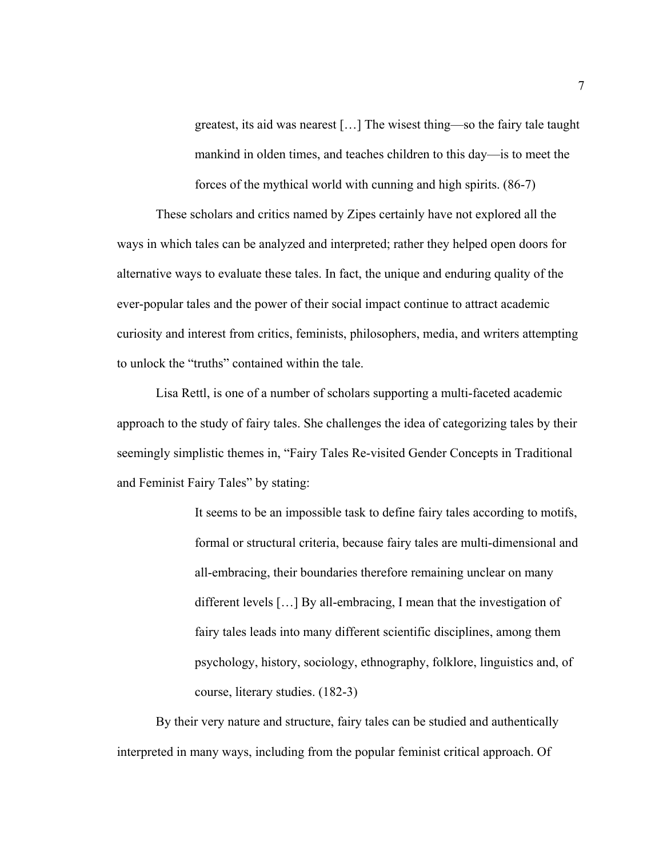greatest, its aid was nearest […] The wisest thing—so the fairy tale taught mankind in olden times, and teaches children to this day—is to meet the forces of the mythical world with cunning and high spirits. (86-7)

These scholars and critics named by Zipes certainly have not explored all the ways in which tales can be analyzed and interpreted; rather they helped open doors for alternative ways to evaluate these tales. In fact, the unique and enduring quality of the ever-popular tales and the power of their social impact continue to attract academic curiosity and interest from critics, feminists, philosophers, media, and writers attempting to unlock the "truths" contained within the tale.

Lisa Rettl, is one of a number of scholars supporting a multi-faceted academic approach to the study of fairy tales. She challenges the idea of categorizing tales by their seemingly simplistic themes in, "Fairy Tales Re-visited Gender Concepts in Traditional and Feminist Fairy Tales" by stating:

> It seems to be an impossible task to define fairy tales according to motifs, formal or structural criteria, because fairy tales are multi-dimensional and all-embracing, their boundaries therefore remaining unclear on many different levels […] By all-embracing, I mean that the investigation of fairy tales leads into many different scientific disciplines, among them psychology, history, sociology, ethnography, folklore, linguistics and, of course, literary studies. (182-3)

By their very nature and structure, fairy tales can be studied and authentically interpreted in many ways, including from the popular feminist critical approach. Of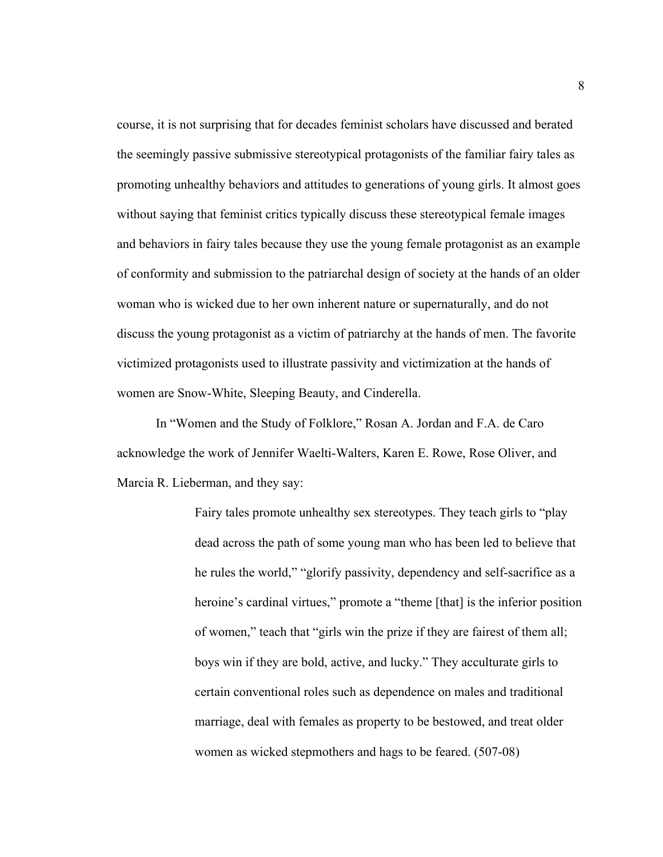course, it is not surprising that for decades feminist scholars have discussed and berated the seemingly passive submissive stereotypical protagonists of the familiar fairy tales as promoting unhealthy behaviors and attitudes to generations of young girls. It almost goes without saying that feminist critics typically discuss these stereotypical female images and behaviors in fairy tales because they use the young female protagonist as an example of conformity and submission to the patriarchal design of society at the hands of an older woman who is wicked due to her own inherent nature or supernaturally, and do not discuss the young protagonist as a victim of patriarchy at the hands of men. The favorite victimized protagonists used to illustrate passivity and victimization at the hands of women are Snow-White, Sleeping Beauty, and Cinderella.

In "Women and the Study of Folklore," Rosan A. Jordan and F.A. de Caro acknowledge the work of Jennifer Waelti-Walters, Karen E. Rowe, Rose Oliver, and Marcia R. Lieberman, and they say:

> Fairy tales promote unhealthy sex stereotypes. They teach girls to "play dead across the path of some young man who has been led to believe that he rules the world," "glorify passivity, dependency and self-sacrifice as a heroine's cardinal virtues," promote a "theme [that] is the inferior position of women," teach that "girls win the prize if they are fairest of them all; boys win if they are bold, active, and lucky." They acculturate girls to certain conventional roles such as dependence on males and traditional marriage, deal with females as property to be bestowed, and treat older women as wicked stepmothers and hags to be feared. (507-08)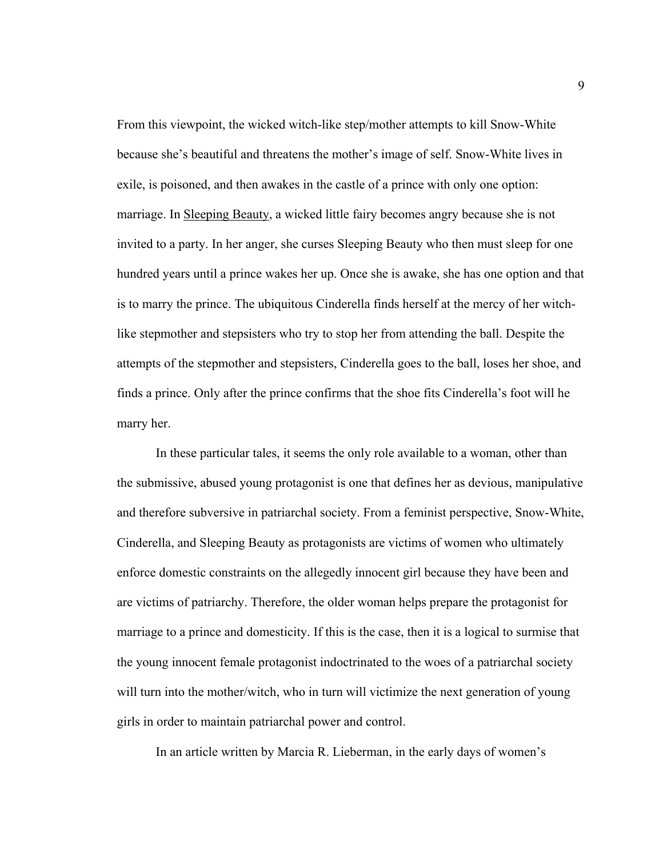From this viewpoint, the wicked witch-like step/mother attempts to kill Snow-White because she's beautiful and threatens the mother's image of self. Snow-White lives in exile, is poisoned, and then awakes in the castle of a prince with only one option: marriage. In Sleeping Beauty, a wicked little fairy becomes angry because she is not invited to a party. In her anger, she curses Sleeping Beauty who then must sleep for one hundred years until a prince wakes her up. Once she is awake, she has one option and that is to marry the prince. The ubiquitous Cinderella finds herself at the mercy of her witchlike stepmother and stepsisters who try to stop her from attending the ball. Despite the attempts of the stepmother and stepsisters, Cinderella goes to the ball, loses her shoe, and finds a prince. Only after the prince confirms that the shoe fits Cinderella's foot will he marry her.

In these particular tales, it seems the only role available to a woman, other than the submissive, abused young protagonist is one that defines her as devious, manipulative and therefore subversive in patriarchal society. From a feminist perspective, Snow-White, Cinderella, and Sleeping Beauty as protagonists are victims of women who ultimately enforce domestic constraints on the allegedly innocent girl because they have been and are victims of patriarchy. Therefore, the older woman helps prepare the protagonist for marriage to a prince and domesticity. If this is the case, then it is a logical to surmise that the young innocent female protagonist indoctrinated to the woes of a patriarchal society will turn into the mother/witch, who in turn will victimize the next generation of young girls in order to maintain patriarchal power and control.

In an article written by Marcia R. Lieberman, in the early days of women's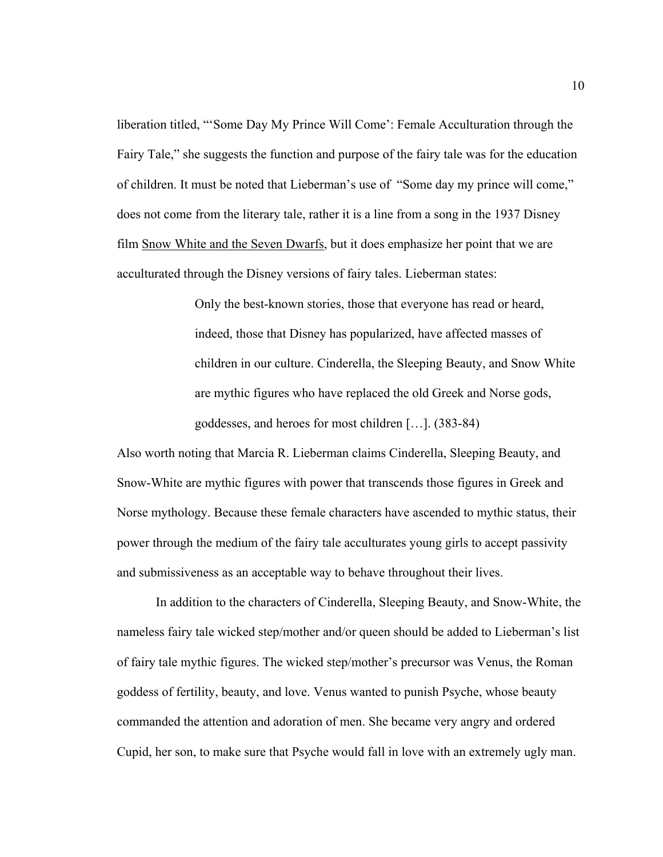liberation titled, "'Some Day My Prince Will Come': Female Acculturation through the Fairy Tale," she suggests the function and purpose of the fairy tale was for the education of children. It must be noted that Lieberman's use of "Some day my prince will come," does not come from the literary tale, rather it is a line from a song in the 1937 Disney film Snow White and the Seven Dwarfs, but it does emphasize her point that we are acculturated through the Disney versions of fairy tales. Lieberman states:

> Only the best-known stories, those that everyone has read or heard, indeed, those that Disney has popularized, have affected masses of children in our culture. Cinderella, the Sleeping Beauty, and Snow White are mythic figures who have replaced the old Greek and Norse gods, goddesses, and heroes for most children […]. (383-84)

Also worth noting that Marcia R. Lieberman claims Cinderella, Sleeping Beauty, and Snow-White are mythic figures with power that transcends those figures in Greek and Norse mythology. Because these female characters have ascended to mythic status, their power through the medium of the fairy tale acculturates young girls to accept passivity and submissiveness as an acceptable way to behave throughout their lives.

In addition to the characters of Cinderella, Sleeping Beauty, and Snow-White, the nameless fairy tale wicked step/mother and/or queen should be added to Lieberman's list of fairy tale mythic figures. The wicked step/mother's precursor was Venus, the Roman goddess of fertility, beauty, and love. Venus wanted to punish Psyche, whose beauty commanded the attention and adoration of men. She became very angry and ordered Cupid, her son, to make sure that Psyche would fall in love with an extremely ugly man.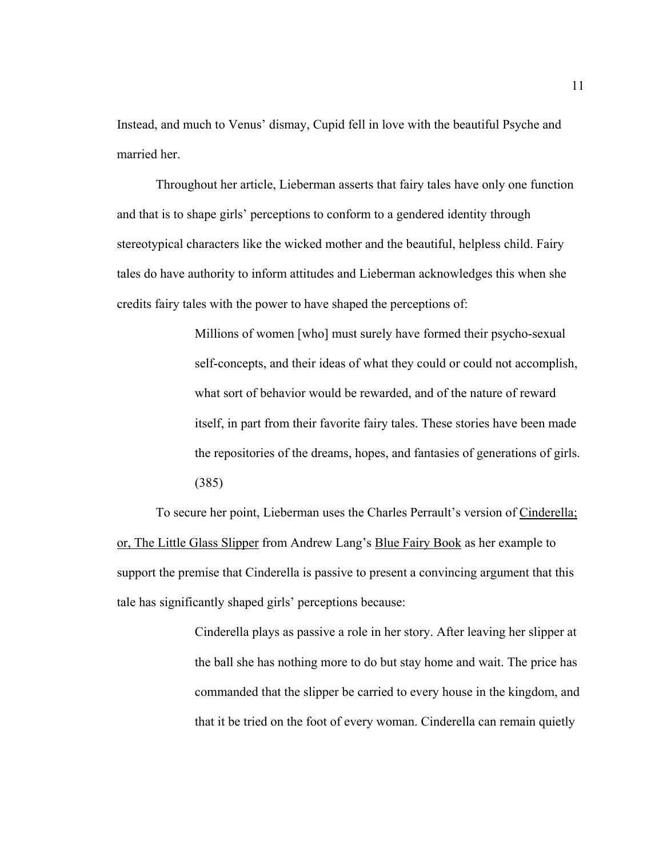Instead, and much to Venus' dismay, Cupid fell in love with the beautiful Psyche and married her.

Throughout her article, Lieberman asserts that fairy tales have only one function and that is to shape girls' perceptions to conform to a gendered identity through stereotypical characters like the wicked mother and the beautiful, helpless child. Fairy tales do have authority to inform attitudes and Lieberman acknowledges this when she credits fairy tales with the power to have shaped the perceptions of:

> Millions of women [who] must surely have formed their psycho-sexual self-concepts, and their ideas of what they could or could not accomplish, what sort of behavior would be rewarded, and of the nature of reward itself, in part from their favorite fairy tales. These stories have been made the repositories of the dreams, hopes, and fantasies of generations of girls. (385)

To secure her point, Lieberman uses the Charles Perrault's version of Cinderella; or, The Little Glass Slipper from Andrew Lang's Blue Fairy Book as her example to support the premise that Cinderella is passive to present a convincing argument that this tale has significantly shaped girls' perceptions because:

> Cinderella plays as passive a role in her story. After leaving her slipper at the ball she has nothing more to do but stay home and wait. The price has commanded that the slipper be carried to every house in the kingdom, and that it be tried on the foot of every woman. Cinderella can remain quietly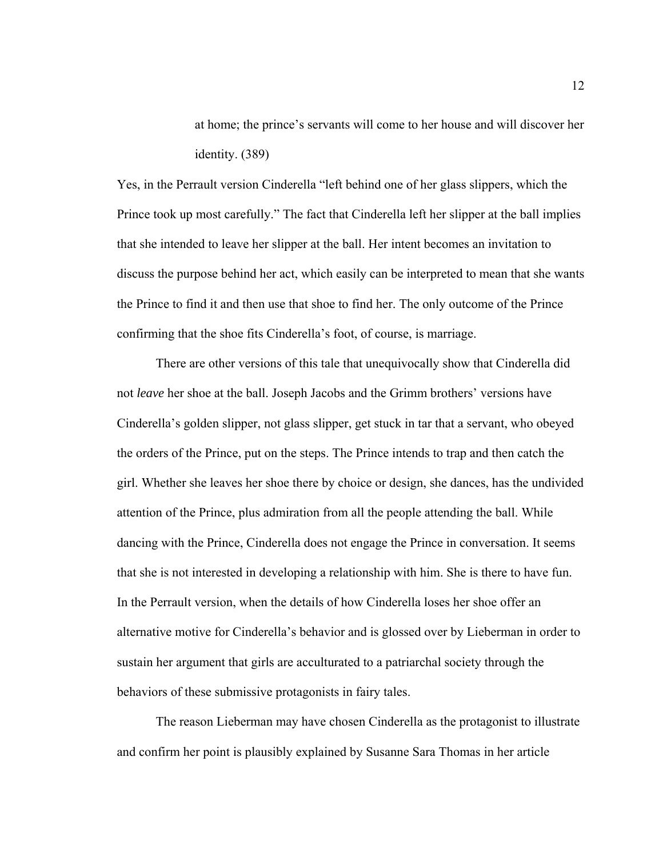at home; the prince's servants will come to her house and will discover her identity. (389)

Yes, in the Perrault version Cinderella "left behind one of her glass slippers, which the Prince took up most carefully." The fact that Cinderella left her slipper at the ball implies that she intended to leave her slipper at the ball. Her intent becomes an invitation to discuss the purpose behind her act, which easily can be interpreted to mean that she wants the Prince to find it and then use that shoe to find her. The only outcome of the Prince confirming that the shoe fits Cinderella's foot, of course, is marriage.

There are other versions of this tale that unequivocally show that Cinderella did not *leave* her shoe at the ball. Joseph Jacobs and the Grimm brothers' versions have Cinderella's golden slipper, not glass slipper, get stuck in tar that a servant, who obeyed the orders of the Prince, put on the steps. The Prince intends to trap and then catch the girl. Whether she leaves her shoe there by choice or design, she dances, has the undivided attention of the Prince, plus admiration from all the people attending the ball. While dancing with the Prince, Cinderella does not engage the Prince in conversation. It seems that she is not interested in developing a relationship with him. She is there to have fun. In the Perrault version, when the details of how Cinderella loses her shoe offer an alternative motive for Cinderella's behavior and is glossed over by Lieberman in order to sustain her argument that girls are acculturated to a patriarchal society through the behaviors of these submissive protagonists in fairy tales.

The reason Lieberman may have chosen Cinderella as the protagonist to illustrate and confirm her point is plausibly explained by Susanne Sara Thomas in her article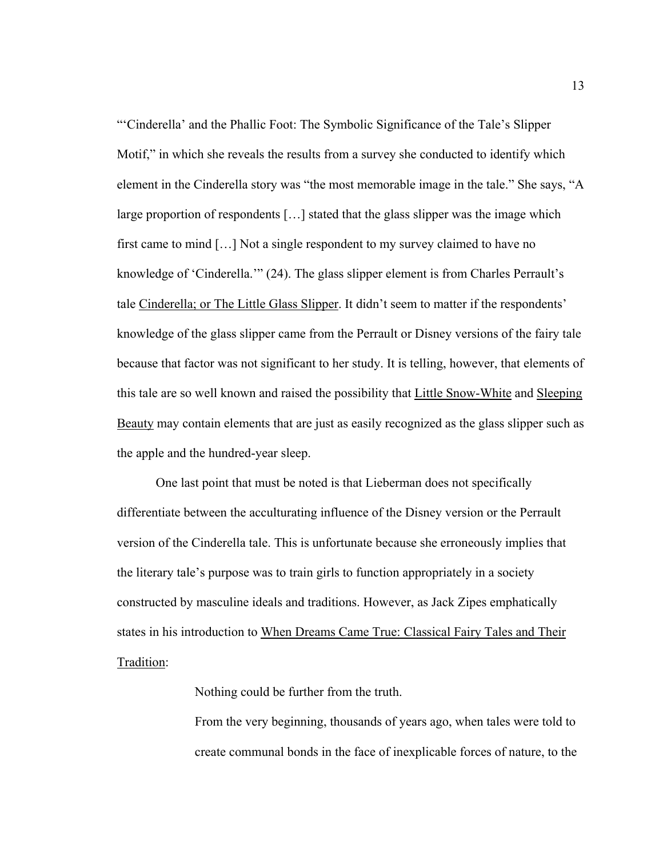"'Cinderella' and the Phallic Foot: The Symbolic Significance of the Tale's Slipper Motif," in which she reveals the results from a survey she conducted to identify which element in the Cinderella story was "the most memorable image in the tale." She says, "A large proportion of respondents […] stated that the glass slipper was the image which first came to mind […] Not a single respondent to my survey claimed to have no knowledge of 'Cinderella.'" (24). The glass slipper element is from Charles Perrault's tale Cinderella; or The Little Glass Slipper. It didn't seem to matter if the respondents' knowledge of the glass slipper came from the Perrault or Disney versions of the fairy tale because that factor was not significant to her study. It is telling, however, that elements of this tale are so well known and raised the possibility that Little Snow-White and Sleeping Beauty may contain elements that are just as easily recognized as the glass slipper such as the apple and the hundred-year sleep.

One last point that must be noted is that Lieberman does not specifically differentiate between the acculturating influence of the Disney version or the Perrault version of the Cinderella tale. This is unfortunate because she erroneously implies that the literary tale's purpose was to train girls to function appropriately in a society constructed by masculine ideals and traditions. However, as Jack Zipes emphatically states in his introduction to When Dreams Came True: Classical Fairy Tales and Their Tradition:

Nothing could be further from the truth.

From the very beginning, thousands of years ago, when tales were told to create communal bonds in the face of inexplicable forces of nature, to the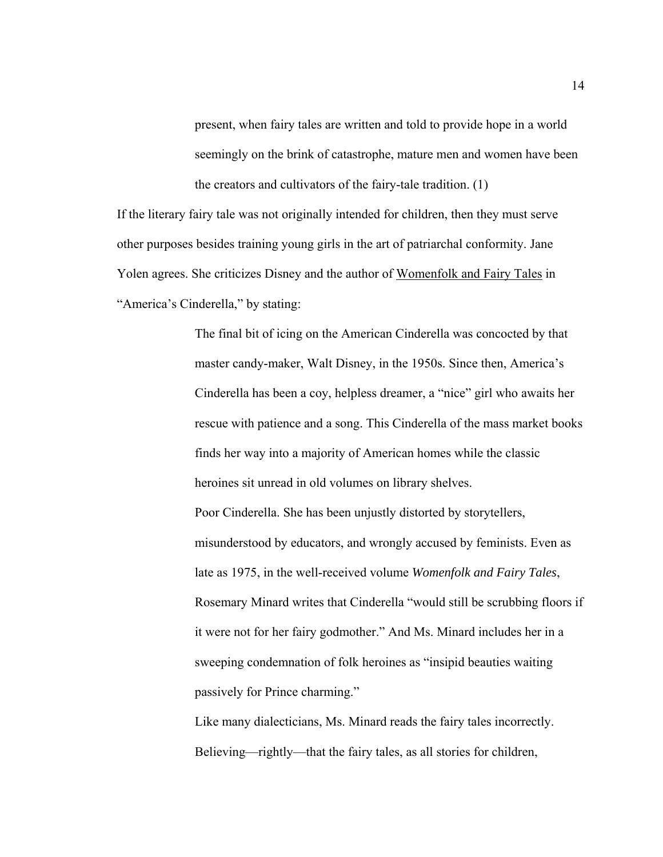present, when fairy tales are written and told to provide hope in a world seemingly on the brink of catastrophe, mature men and women have been the creators and cultivators of the fairy-tale tradition. (1)

If the literary fairy tale was not originally intended for children, then they must serve other purposes besides training young girls in the art of patriarchal conformity. Jane Yolen agrees. She criticizes Disney and the author of Womenfolk and Fairy Tales in "America's Cinderella," by stating:

> The final bit of icing on the American Cinderella was concocted by that master candy-maker, Walt Disney, in the 1950s. Since then, America's Cinderella has been a coy, helpless dreamer, a "nice" girl who awaits her rescue with patience and a song. This Cinderella of the mass market books finds her way into a majority of American homes while the classic heroines sit unread in old volumes on library shelves. Poor Cinderella. She has been unjustly distorted by storytellers, misunderstood by educators, and wrongly accused by feminists. Even as late as 1975, in the well-received volume *Womenfolk and Fairy Tales*, Rosemary Minard writes that Cinderella "would still be scrubbing floors if it were not for her fairy godmother." And Ms. Minard includes her in a sweeping condemnation of folk heroines as "insipid beauties waiting passively for Prince charming."

Like many dialecticians, Ms. Minard reads the fairy tales incorrectly. Believing—rightly—that the fairy tales, as all stories for children,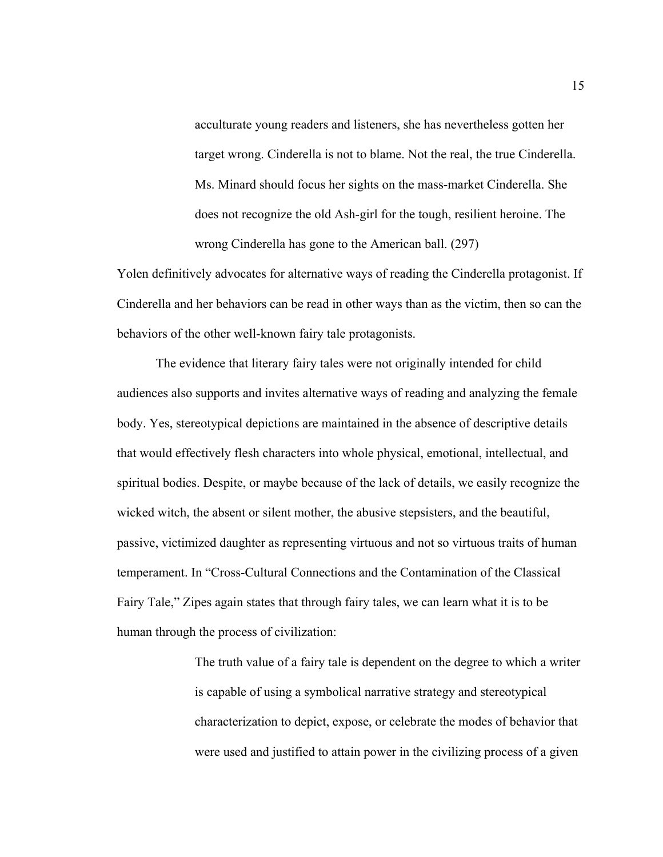acculturate young readers and listeners, she has nevertheless gotten her target wrong. Cinderella is not to blame. Not the real, the true Cinderella. Ms. Minard should focus her sights on the mass-market Cinderella. She does not recognize the old Ash-girl for the tough, resilient heroine. The wrong Cinderella has gone to the American ball. (297)

Yolen definitively advocates for alternative ways of reading the Cinderella protagonist. If Cinderella and her behaviors can be read in other ways than as the victim, then so can the behaviors of the other well-known fairy tale protagonists.

The evidence that literary fairy tales were not originally intended for child audiences also supports and invites alternative ways of reading and analyzing the female body. Yes, stereotypical depictions are maintained in the absence of descriptive details that would effectively flesh characters into whole physical, emotional, intellectual, and spiritual bodies. Despite, or maybe because of the lack of details, we easily recognize the wicked witch, the absent or silent mother, the abusive stepsisters, and the beautiful, passive, victimized daughter as representing virtuous and not so virtuous traits of human temperament. In "Cross-Cultural Connections and the Contamination of the Classical Fairy Tale," Zipes again states that through fairy tales, we can learn what it is to be human through the process of civilization:

> The truth value of a fairy tale is dependent on the degree to which a writer is capable of using a symbolical narrative strategy and stereotypical characterization to depict, expose, or celebrate the modes of behavior that were used and justified to attain power in the civilizing process of a given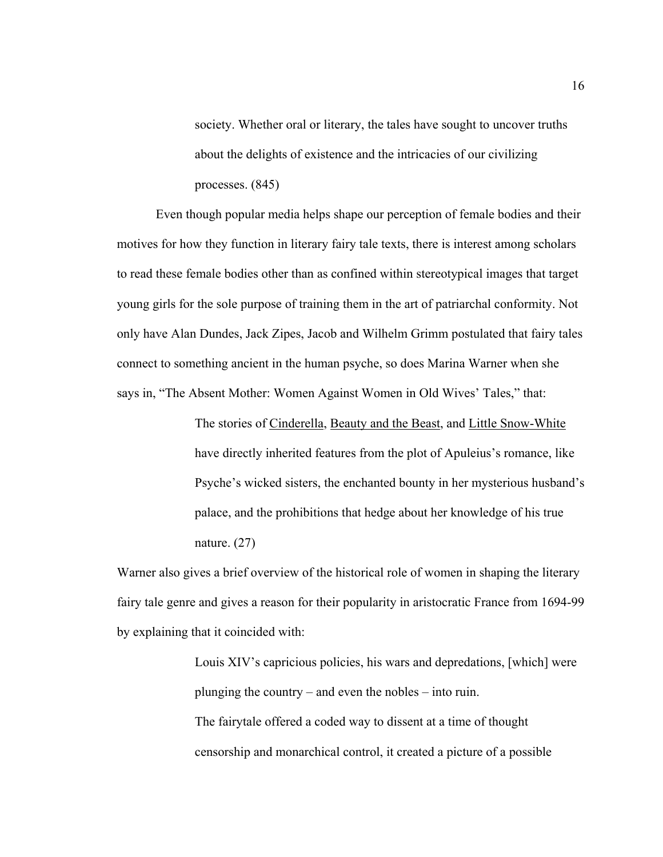society. Whether oral or literary, the tales have sought to uncover truths about the delights of existence and the intricacies of our civilizing processes. (845)

Even though popular media helps shape our perception of female bodies and their motives for how they function in literary fairy tale texts, there is interest among scholars to read these female bodies other than as confined within stereotypical images that target young girls for the sole purpose of training them in the art of patriarchal conformity. Not only have Alan Dundes, Jack Zipes, Jacob and Wilhelm Grimm postulated that fairy tales connect to something ancient in the human psyche, so does Marina Warner when she says in, "The Absent Mother: Women Against Women in Old Wives' Tales," that:

> The stories of Cinderella, Beauty and the Beast, and Little Snow-White have directly inherited features from the plot of Apuleius's romance, like Psyche's wicked sisters, the enchanted bounty in her mysterious husband's palace, and the prohibitions that hedge about her knowledge of his true nature. (27)

Warner also gives a brief overview of the historical role of women in shaping the literary fairy tale genre and gives a reason for their popularity in aristocratic France from 1694-99 by explaining that it coincided with:

> Louis XIV's capricious policies, his wars and depredations, [which] were plunging the country – and even the nobles – into ruin.

The fairytale offered a coded way to dissent at a time of thought censorship and monarchical control, it created a picture of a possible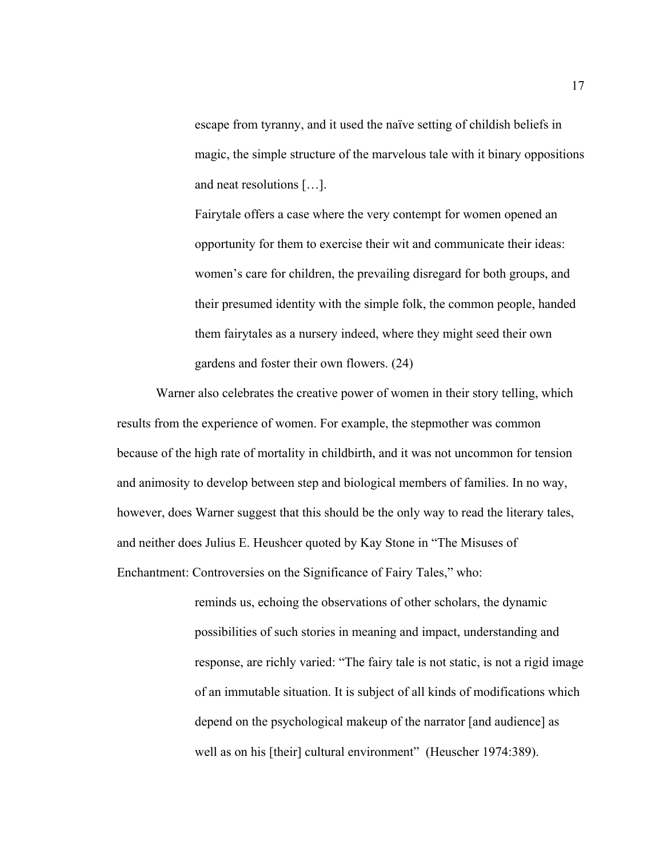escape from tyranny, and it used the naïve setting of childish beliefs in magic, the simple structure of the marvelous tale with it binary oppositions and neat resolutions […].

Fairytale offers a case where the very contempt for women opened an opportunity for them to exercise their wit and communicate their ideas: women's care for children, the prevailing disregard for both groups, and their presumed identity with the simple folk, the common people, handed them fairytales as a nursery indeed, where they might seed their own gardens and foster their own flowers. (24)

Warner also celebrates the creative power of women in their story telling, which results from the experience of women. For example, the stepmother was common because of the high rate of mortality in childbirth, and it was not uncommon for tension and animosity to develop between step and biological members of families. In no way, however, does Warner suggest that this should be the only way to read the literary tales, and neither does Julius E. Heushcer quoted by Kay Stone in "The Misuses of Enchantment: Controversies on the Significance of Fairy Tales," who:

> reminds us, echoing the observations of other scholars, the dynamic possibilities of such stories in meaning and impact, understanding and response, are richly varied: "The fairy tale is not static, is not a rigid image of an immutable situation. It is subject of all kinds of modifications which depend on the psychological makeup of the narrator [and audience] as well as on his [their] cultural environment" (Heuscher 1974:389).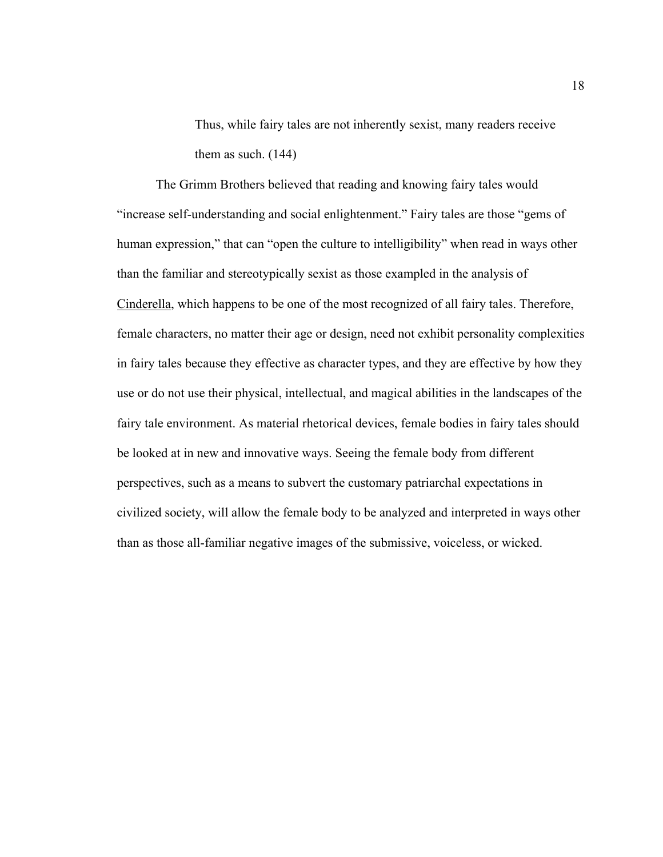Thus, while fairy tales are not inherently sexist, many readers receive them as such. (144)

The Grimm Brothers believed that reading and knowing fairy tales would "increase self-understanding and social enlightenment." Fairy tales are those "gems of human expression," that can "open the culture to intelligibility" when read in ways other than the familiar and stereotypically sexist as those exampled in the analysis of Cinderella, which happens to be one of the most recognized of all fairy tales. Therefore, female characters, no matter their age or design, need not exhibit personality complexities in fairy tales because they effective as character types, and they are effective by how they use or do not use their physical, intellectual, and magical abilities in the landscapes of the fairy tale environment. As material rhetorical devices, female bodies in fairy tales should be looked at in new and innovative ways. Seeing the female body from different perspectives, such as a means to subvert the customary patriarchal expectations in civilized society, will allow the female body to be analyzed and interpreted in ways other than as those all-familiar negative images of the submissive, voiceless, or wicked.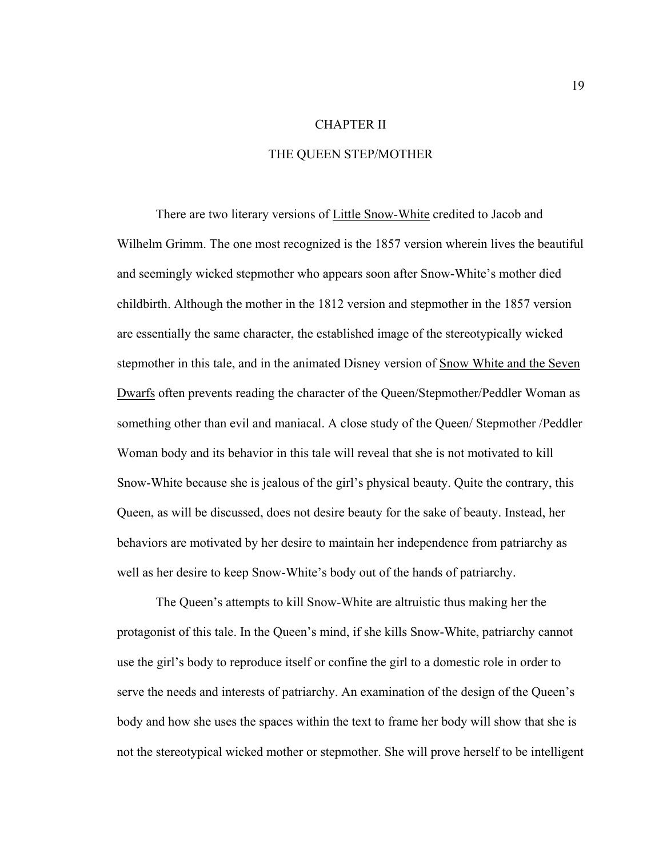#### CHAPTER II

#### THE QUEEN STEP/MOTHER

There are two literary versions of Little Snow-White credited to Jacob and Wilhelm Grimm. The one most recognized is the 1857 version wherein lives the beautiful and seemingly wicked stepmother who appears soon after Snow-White's mother died childbirth. Although the mother in the 1812 version and stepmother in the 1857 version are essentially the same character, the established image of the stereotypically wicked stepmother in this tale, and in the animated Disney version of Snow White and the Seven Dwarfs often prevents reading the character of the Queen/Stepmother/Peddler Woman as something other than evil and maniacal. A close study of the Queen/ Stepmother /Peddler Woman body and its behavior in this tale will reveal that she is not motivated to kill Snow-White because she is jealous of the girl's physical beauty. Quite the contrary, this Queen, as will be discussed, does not desire beauty for the sake of beauty. Instead, her behaviors are motivated by her desire to maintain her independence from patriarchy as well as her desire to keep Snow-White's body out of the hands of patriarchy.

The Queen's attempts to kill Snow-White are altruistic thus making her the protagonist of this tale. In the Queen's mind, if she kills Snow-White, patriarchy cannot use the girl's body to reproduce itself or confine the girl to a domestic role in order to serve the needs and interests of patriarchy. An examination of the design of the Queen's body and how she uses the spaces within the text to frame her body will show that she is not the stereotypical wicked mother or stepmother. She will prove herself to be intelligent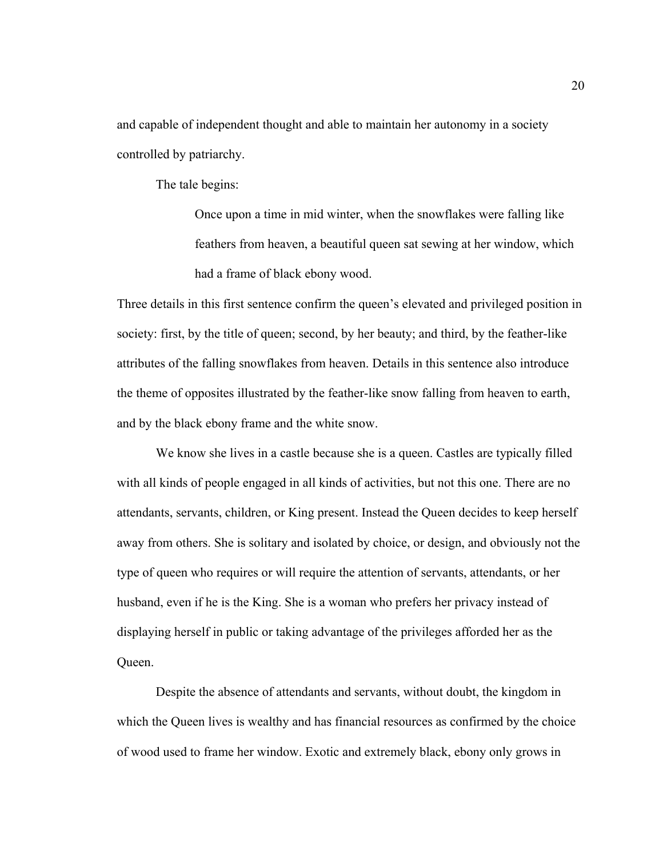and capable of independent thought and able to maintain her autonomy in a society controlled by patriarchy.

The tale begins:

Once upon a time in mid winter, when the snowflakes were falling like feathers from heaven, a beautiful queen sat sewing at her window, which had a frame of black ebony wood.

Three details in this first sentence confirm the queen's elevated and privileged position in society: first, by the title of queen; second, by her beauty; and third, by the feather-like attributes of the falling snowflakes from heaven. Details in this sentence also introduce the theme of opposites illustrated by the feather-like snow falling from heaven to earth, and by the black ebony frame and the white snow.

We know she lives in a castle because she is a queen. Castles are typically filled with all kinds of people engaged in all kinds of activities, but not this one. There are no attendants, servants, children, or King present. Instead the Queen decides to keep herself away from others. She is solitary and isolated by choice, or design, and obviously not the type of queen who requires or will require the attention of servants, attendants, or her husband, even if he is the King. She is a woman who prefers her privacy instead of displaying herself in public or taking advantage of the privileges afforded her as the Queen.

Despite the absence of attendants and servants, without doubt, the kingdom in which the Queen lives is wealthy and has financial resources as confirmed by the choice of wood used to frame her window. Exotic and extremely black, ebony only grows in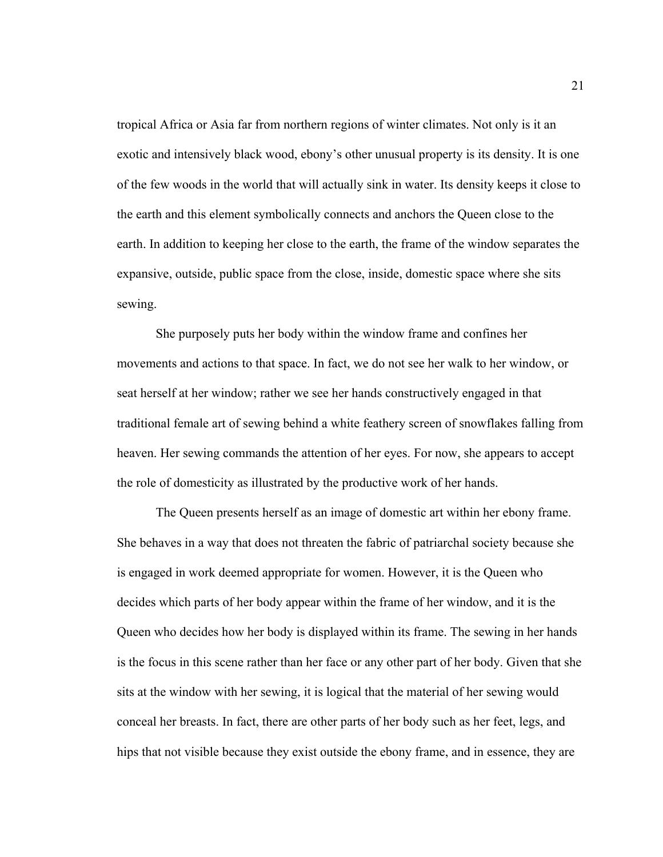tropical Africa or Asia far from northern regions of winter climates. Not only is it an exotic and intensively black wood, ebony's other unusual property is its density. It is one of the few woods in the world that will actually sink in water. Its density keeps it close to the earth and this element symbolically connects and anchors the Queen close to the earth. In addition to keeping her close to the earth, the frame of the window separates the expansive, outside, public space from the close, inside, domestic space where she sits sewing.

She purposely puts her body within the window frame and confines her movements and actions to that space. In fact, we do not see her walk to her window, or seat herself at her window; rather we see her hands constructively engaged in that traditional female art of sewing behind a white feathery screen of snowflakes falling from heaven. Her sewing commands the attention of her eyes. For now, she appears to accept the role of domesticity as illustrated by the productive work of her hands.

The Queen presents herself as an image of domestic art within her ebony frame. She behaves in a way that does not threaten the fabric of patriarchal society because she is engaged in work deemed appropriate for women. However, it is the Queen who decides which parts of her body appear within the frame of her window, and it is the Queen who decides how her body is displayed within its frame. The sewing in her hands is the focus in this scene rather than her face or any other part of her body. Given that she sits at the window with her sewing, it is logical that the material of her sewing would conceal her breasts. In fact, there are other parts of her body such as her feet, legs, and hips that not visible because they exist outside the ebony frame, and in essence, they are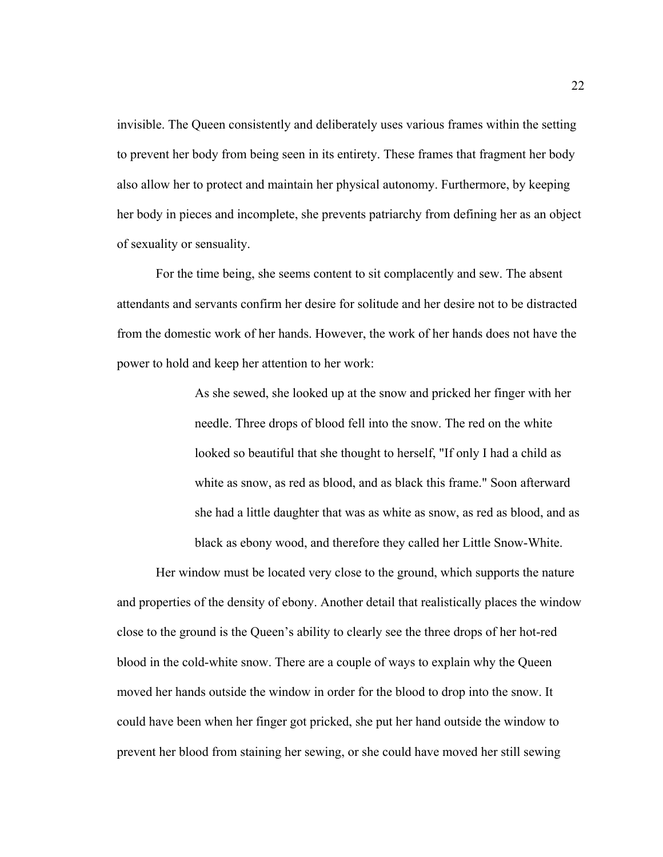invisible. The Queen consistently and deliberately uses various frames within the setting to prevent her body from being seen in its entirety. These frames that fragment her body also allow her to protect and maintain her physical autonomy. Furthermore, by keeping her body in pieces and incomplete, she prevents patriarchy from defining her as an object of sexuality or sensuality.

For the time being, she seems content to sit complacently and sew. The absent attendants and servants confirm her desire for solitude and her desire not to be distracted from the domestic work of her hands. However, the work of her hands does not have the power to hold and keep her attention to her work:

> As she sewed, she looked up at the snow and pricked her finger with her needle. Three drops of blood fell into the snow. The red on the white looked so beautiful that she thought to herself, "If only I had a child as white as snow, as red as blood, and as black this frame." Soon afterward she had a little daughter that was as white as snow, as red as blood, and as black as ebony wood, and therefore they called her Little Snow-White.

Her window must be located very close to the ground, which supports the nature and properties of the density of ebony. Another detail that realistically places the window close to the ground is the Queen's ability to clearly see the three drops of her hot-red blood in the cold-white snow. There are a couple of ways to explain why the Queen moved her hands outside the window in order for the blood to drop into the snow. It could have been when her finger got pricked, she put her hand outside the window to prevent her blood from staining her sewing, or she could have moved her still sewing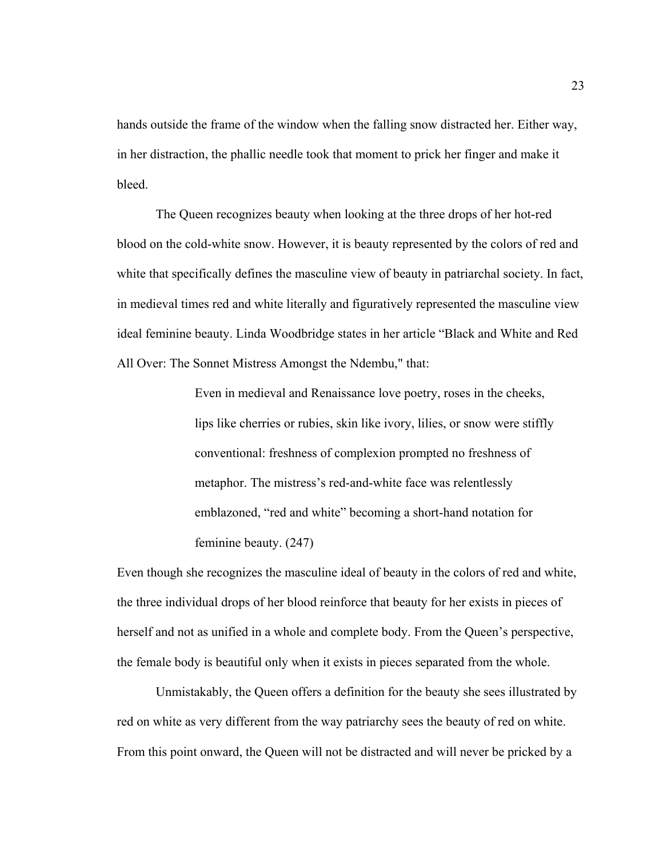hands outside the frame of the window when the falling snow distracted her. Either way, in her distraction, the phallic needle took that moment to prick her finger and make it bleed.

The Queen recognizes beauty when looking at the three drops of her hot-red blood on the cold-white snow. However, it is beauty represented by the colors of red and white that specifically defines the masculine view of beauty in patriarchal society. In fact, in medieval times red and white literally and figuratively represented the masculine view ideal feminine beauty. Linda Woodbridge states in her article "Black and White and Red All Over: The Sonnet Mistress Amongst the Ndembu," that:

> Even in medieval and Renaissance love poetry, roses in the cheeks, lips like cherries or rubies, skin like ivory, lilies, or snow were stiffly conventional: freshness of complexion prompted no freshness of metaphor. The mistress's red-and-white face was relentlessly emblazoned, "red and white" becoming a short-hand notation for feminine beauty. (247)

Even though she recognizes the masculine ideal of beauty in the colors of red and white, the three individual drops of her blood reinforce that beauty for her exists in pieces of herself and not as unified in a whole and complete body. From the Queen's perspective, the female body is beautiful only when it exists in pieces separated from the whole.

Unmistakably, the Queen offers a definition for the beauty she sees illustrated by red on white as very different from the way patriarchy sees the beauty of red on white. From this point onward, the Queen will not be distracted and will never be pricked by a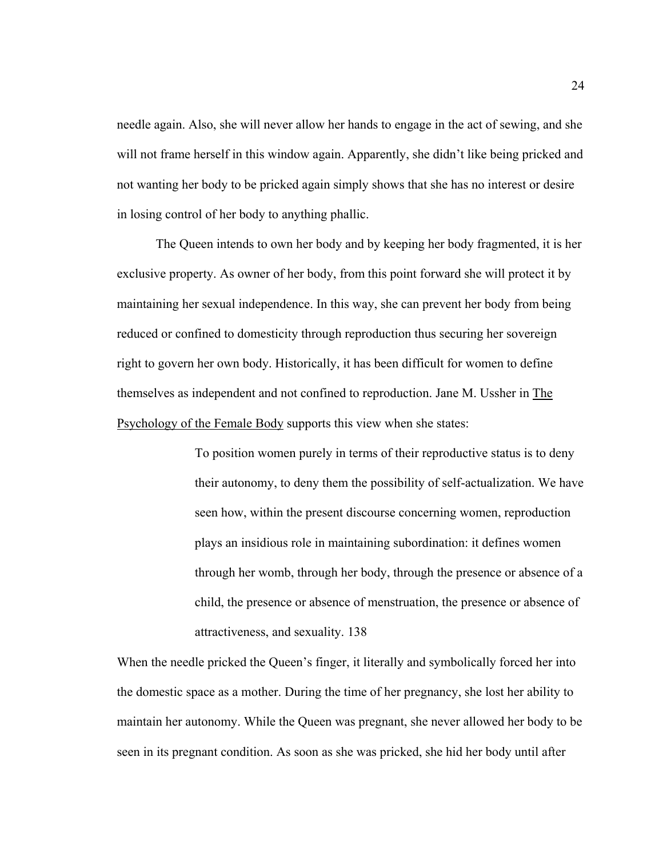needle again. Also, she will never allow her hands to engage in the act of sewing, and she will not frame herself in this window again. Apparently, she didn't like being pricked and not wanting her body to be pricked again simply shows that she has no interest or desire in losing control of her body to anything phallic.

The Queen intends to own her body and by keeping her body fragmented, it is her exclusive property. As owner of her body, from this point forward she will protect it by maintaining her sexual independence. In this way, she can prevent her body from being reduced or confined to domesticity through reproduction thus securing her sovereign right to govern her own body. Historically, it has been difficult for women to define themselves as independent and not confined to reproduction. Jane M. Ussher in The Psychology of the Female Body supports this view when she states:

> To position women purely in terms of their reproductive status is to deny their autonomy, to deny them the possibility of self-actualization. We have seen how, within the present discourse concerning women, reproduction plays an insidious role in maintaining subordination: it defines women through her womb, through her body, through the presence or absence of a child, the presence or absence of menstruation, the presence or absence of attractiveness, and sexuality. 138

When the needle pricked the Queen's finger, it literally and symbolically forced her into the domestic space as a mother. During the time of her pregnancy, she lost her ability to maintain her autonomy. While the Queen was pregnant, she never allowed her body to be seen in its pregnant condition. As soon as she was pricked, she hid her body until after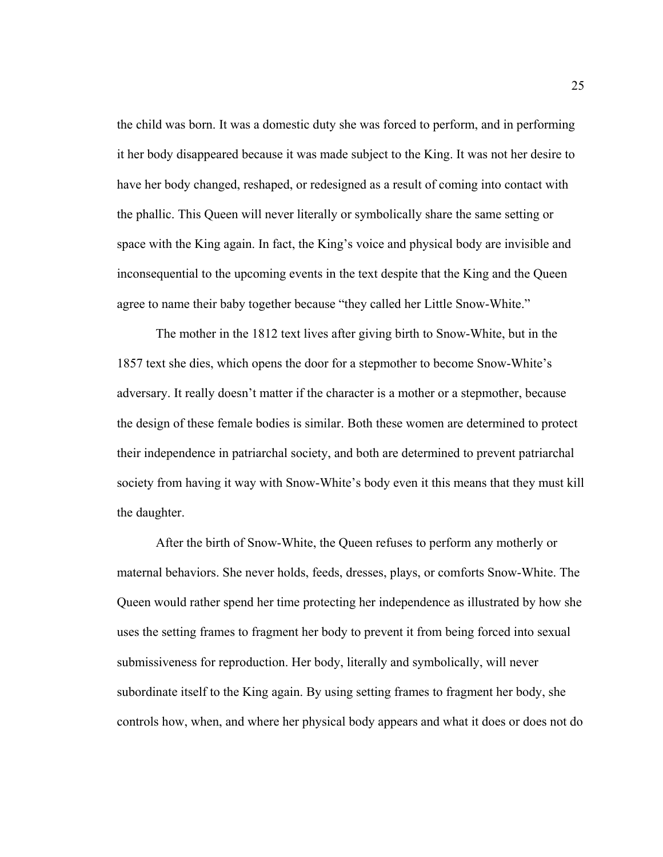the child was born. It was a domestic duty she was forced to perform, and in performing it her body disappeared because it was made subject to the King. It was not her desire to have her body changed, reshaped, or redesigned as a result of coming into contact with the phallic. This Queen will never literally or symbolically share the same setting or space with the King again. In fact, the King's voice and physical body are invisible and inconsequential to the upcoming events in the text despite that the King and the Queen agree to name their baby together because "they called her Little Snow-White."

The mother in the 1812 text lives after giving birth to Snow-White, but in the 1857 text she dies, which opens the door for a stepmother to become Snow-White's adversary. It really doesn't matter if the character is a mother or a stepmother, because the design of these female bodies is similar. Both these women are determined to protect their independence in patriarchal society, and both are determined to prevent patriarchal society from having it way with Snow-White's body even it this means that they must kill the daughter.

After the birth of Snow-White, the Queen refuses to perform any motherly or maternal behaviors. She never holds, feeds, dresses, plays, or comforts Snow-White. The Queen would rather spend her time protecting her independence as illustrated by how she uses the setting frames to fragment her body to prevent it from being forced into sexual submissiveness for reproduction. Her body, literally and symbolically, will never subordinate itself to the King again. By using setting frames to fragment her body, she controls how, when, and where her physical body appears and what it does or does not do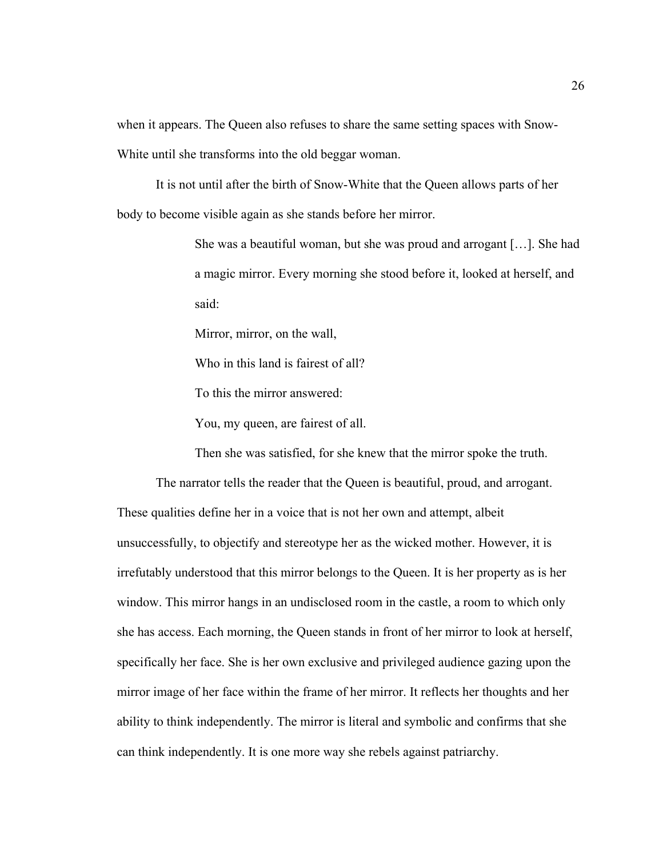when it appears. The Queen also refuses to share the same setting spaces with Snow-White until she transforms into the old beggar woman.

It is not until after the birth of Snow-White that the Queen allows parts of her body to become visible again as she stands before her mirror.

> She was a beautiful woman, but she was proud and arrogant […]. She had a magic mirror. Every morning she stood before it, looked at herself, and said:

Mirror, mirror, on the wall,

Who in this land is fairest of all?

To this the mirror answered:

You, my queen, are fairest of all.

Then she was satisfied, for she knew that the mirror spoke the truth.

The narrator tells the reader that the Queen is beautiful, proud, and arrogant. These qualities define her in a voice that is not her own and attempt, albeit unsuccessfully, to objectify and stereotype her as the wicked mother. However, it is irrefutably understood that this mirror belongs to the Queen. It is her property as is her window. This mirror hangs in an undisclosed room in the castle, a room to which only she has access. Each morning, the Queen stands in front of her mirror to look at herself, specifically her face. She is her own exclusive and privileged audience gazing upon the mirror image of her face within the frame of her mirror. It reflects her thoughts and her ability to think independently. The mirror is literal and symbolic and confirms that she can think independently. It is one more way she rebels against patriarchy.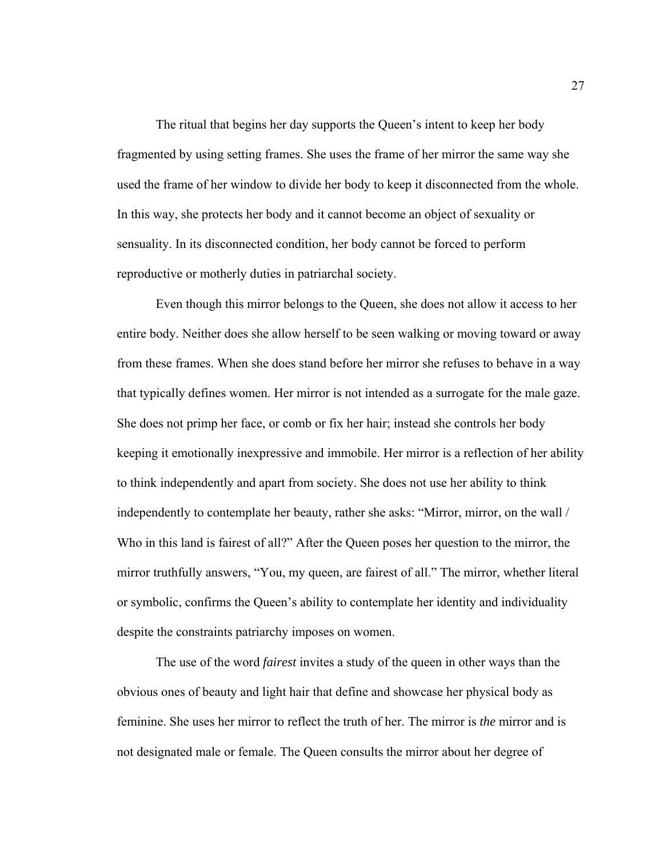The ritual that begins her day supports the Queen's intent to keep her body fragmented by using setting frames. She uses the frame of her mirror the same way she used the frame of her window to divide her body to keep it disconnected from the whole. In this way, she protects her body and it cannot become an object of sexuality or sensuality. In its disconnected condition, her body cannot be forced to perform reproductive or motherly duties in patriarchal society.

Even though this mirror belongs to the Queen, she does not allow it access to her entire body. Neither does she allow herself to be seen walking or moving toward or away from these frames. When she does stand before her mirror she refuses to behave in a way that typically defines women. Her mirror is not intended as a surrogate for the male gaze. She does not primp her face, or comb or fix her hair; instead she controls her body keeping it emotionally inexpressive and immobile. Her mirror is a reflection of her ability to think independently and apart from society. She does not use her ability to think independently to contemplate her beauty, rather she asks: "Mirror, mirror, on the wall / Who in this land is fairest of all?" After the Queen poses her question to the mirror, the mirror truthfully answers, "You, my queen, are fairest of all." The mirror, whether literal or symbolic, confirms the Queen's ability to contemplate her identity and individuality despite the constraints patriarchy imposes on women.

The use of the word *fairest* invites a study of the queen in other ways than the obvious ones of beauty and light hair that define and showcase her physical body as feminine. She uses her mirror to reflect the truth of her. The mirror is *the* mirror and is not designated male or female. The Queen consults the mirror about her degree of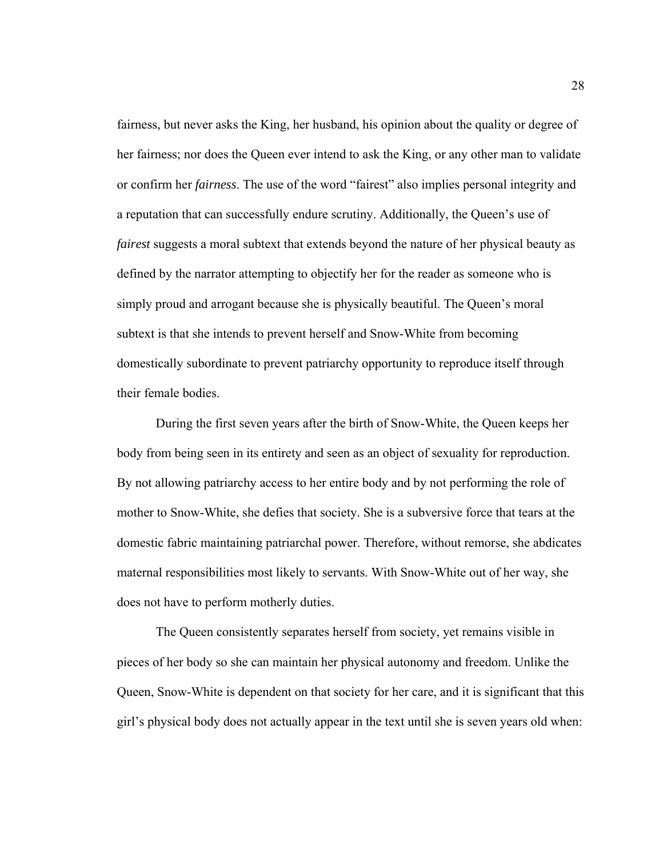fairness, but never asks the King, her husband, his opinion about the quality or degree of her fairness; nor does the Queen ever intend to ask the King, or any other man to validate or confirm her *fairness*. The use of the word "fairest" also implies personal integrity and a reputation that can successfully endure scrutiny. Additionally, the Queen's use of *fairest* suggests a moral subtext that extends beyond the nature of her physical beauty as defined by the narrator attempting to objectify her for the reader as someone who is simply proud and arrogant because she is physically beautiful. The Queen's moral subtext is that she intends to prevent herself and Snow-White from becoming domestically subordinate to prevent patriarchy opportunity to reproduce itself through their female bodies.

During the first seven years after the birth of Snow-White, the Queen keeps her body from being seen in its entirety and seen as an object of sexuality for reproduction. By not allowing patriarchy access to her entire body and by not performing the role of mother to Snow-White, she defies that society. She is a subversive force that tears at the domestic fabric maintaining patriarchal power. Therefore, without remorse, she abdicates maternal responsibilities most likely to servants. With Snow-White out of her way, she does not have to perform motherly duties.

The Queen consistently separates herself from society, yet remains visible in pieces of her body so she can maintain her physical autonomy and freedom. Unlike the Queen, Snow-White is dependent on that society for her care, and it is significant that this girl's physical body does not actually appear in the text until she is seven years old when: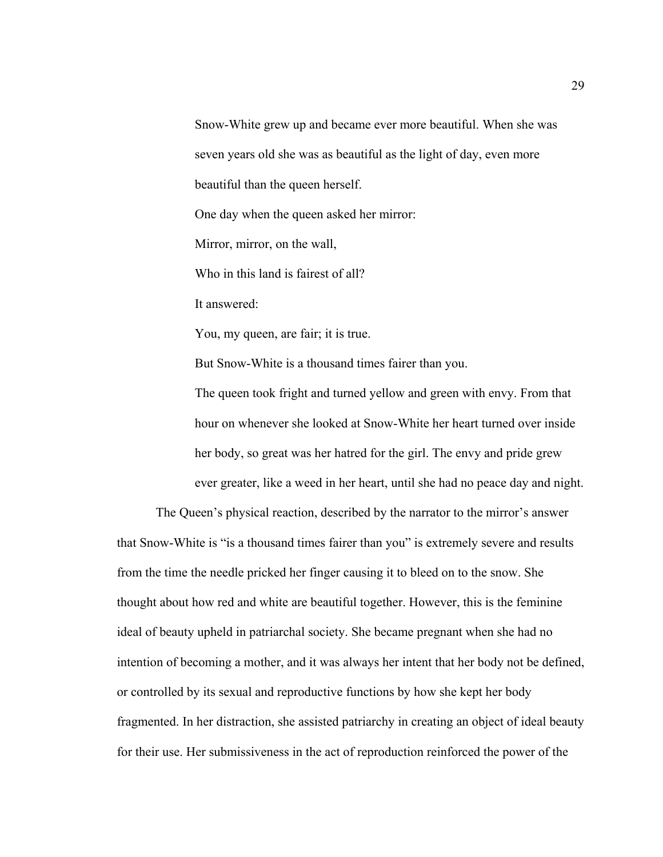Snow-White grew up and became ever more beautiful. When she was seven years old she was as beautiful as the light of day, even more beautiful than the queen herself.

One day when the queen asked her mirror:

Mirror, mirror, on the wall,

Who in this land is fairest of all?

It answered:

You, my queen, are fair; it is true.

But Snow-White is a thousand times fairer than you.

The queen took fright and turned yellow and green with envy. From that hour on whenever she looked at Snow-White her heart turned over inside her body, so great was her hatred for the girl. The envy and pride grew ever greater, like a weed in her heart, until she had no peace day and night.

The Queen's physical reaction, described by the narrator to the mirror's answer that Snow-White is "is a thousand times fairer than you" is extremely severe and results from the time the needle pricked her finger causing it to bleed on to the snow. She thought about how red and white are beautiful together. However, this is the feminine ideal of beauty upheld in patriarchal society. She became pregnant when she had no intention of becoming a mother, and it was always her intent that her body not be defined, or controlled by its sexual and reproductive functions by how she kept her body fragmented. In her distraction, she assisted patriarchy in creating an object of ideal beauty for their use. Her submissiveness in the act of reproduction reinforced the power of the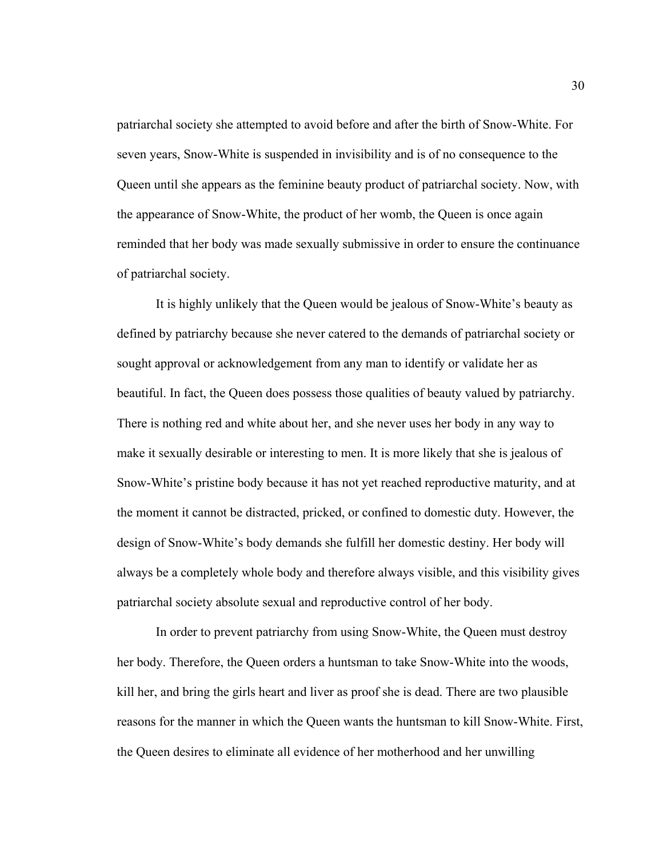patriarchal society she attempted to avoid before and after the birth of Snow-White. For seven years, Snow-White is suspended in invisibility and is of no consequence to the Queen until she appears as the feminine beauty product of patriarchal society. Now, with the appearance of Snow-White, the product of her womb, the Queen is once again reminded that her body was made sexually submissive in order to ensure the continuance of patriarchal society.

It is highly unlikely that the Queen would be jealous of Snow-White's beauty as defined by patriarchy because she never catered to the demands of patriarchal society or sought approval or acknowledgement from any man to identify or validate her as beautiful. In fact, the Queen does possess those qualities of beauty valued by patriarchy. There is nothing red and white about her, and she never uses her body in any way to make it sexually desirable or interesting to men. It is more likely that she is jealous of Snow-White's pristine body because it has not yet reached reproductive maturity, and at the moment it cannot be distracted, pricked, or confined to domestic duty. However, the design of Snow-White's body demands she fulfill her domestic destiny. Her body will always be a completely whole body and therefore always visible, and this visibility gives patriarchal society absolute sexual and reproductive control of her body.

In order to prevent patriarchy from using Snow-White, the Queen must destroy her body. Therefore, the Queen orders a huntsman to take Snow-White into the woods, kill her, and bring the girls heart and liver as proof she is dead. There are two plausible reasons for the manner in which the Queen wants the huntsman to kill Snow-White. First, the Queen desires to eliminate all evidence of her motherhood and her unwilling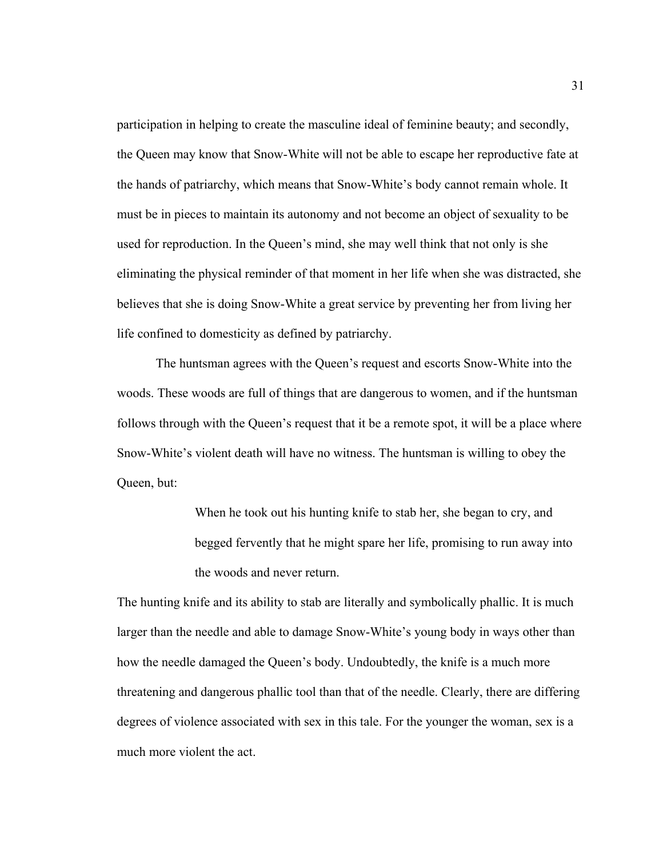participation in helping to create the masculine ideal of feminine beauty; and secondly, the Queen may know that Snow-White will not be able to escape her reproductive fate at the hands of patriarchy, which means that Snow-White's body cannot remain whole. It must be in pieces to maintain its autonomy and not become an object of sexuality to be used for reproduction. In the Queen's mind, she may well think that not only is she eliminating the physical reminder of that moment in her life when she was distracted, she believes that she is doing Snow-White a great service by preventing her from living her life confined to domesticity as defined by patriarchy.

The huntsman agrees with the Queen's request and escorts Snow-White into the woods. These woods are full of things that are dangerous to women, and if the huntsman follows through with the Queen's request that it be a remote spot, it will be a place where Snow-White's violent death will have no witness. The huntsman is willing to obey the Queen, but:

> When he took out his hunting knife to stab her, she began to cry, and begged fervently that he might spare her life, promising to run away into the woods and never return.

The hunting knife and its ability to stab are literally and symbolically phallic. It is much larger than the needle and able to damage Snow-White's young body in ways other than how the needle damaged the Queen's body. Undoubtedly, the knife is a much more threatening and dangerous phallic tool than that of the needle. Clearly, there are differing degrees of violence associated with sex in this tale. For the younger the woman, sex is a much more violent the act.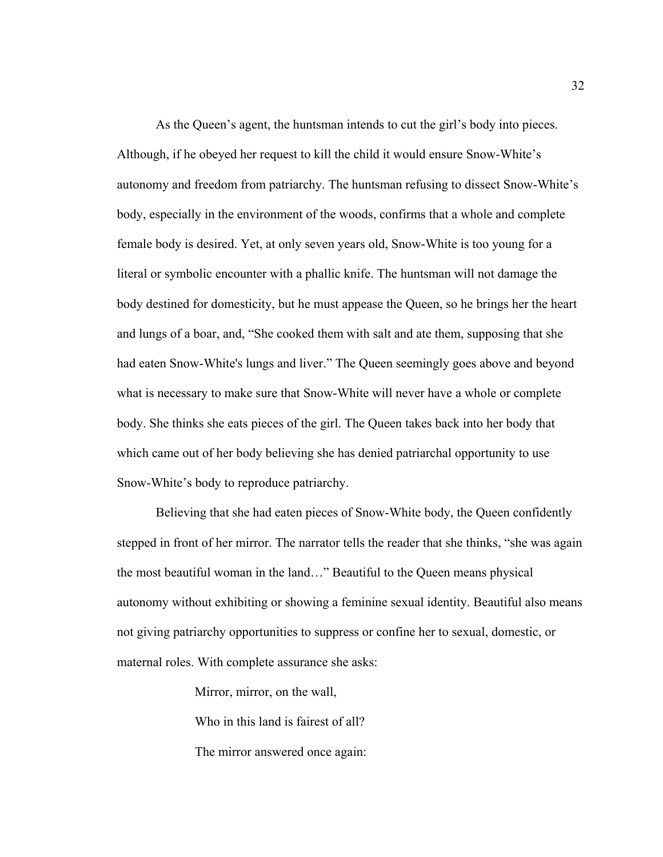As the Queen's agent, the huntsman intends to cut the girl's body into pieces. Although, if he obeyed her request to kill the child it would ensure Snow-White's autonomy and freedom from patriarchy. The huntsman refusing to dissect Snow-White's body, especially in the environment of the woods, confirms that a whole and complete female body is desired. Yet, at only seven years old, Snow-White is too young for a literal or symbolic encounter with a phallic knife. The huntsman will not damage the body destined for domesticity, but he must appease the Queen, so he brings her the heart and lungs of a boar, and, "She cooked them with salt and ate them, supposing that she had eaten Snow-White's lungs and liver." The Queen seemingly goes above and beyond what is necessary to make sure that Snow-White will never have a whole or complete body. She thinks she eats pieces of the girl. The Queen takes back into her body that which came out of her body believing she has denied patriarchal opportunity to use Snow-White's body to reproduce patriarchy.

Believing that she had eaten pieces of Snow-White body, the Queen confidently stepped in front of her mirror. The narrator tells the reader that she thinks, "she was again the most beautiful woman in the land…" Beautiful to the Queen means physical autonomy without exhibiting or showing a feminine sexual identity. Beautiful also means not giving patriarchy opportunities to suppress or confine her to sexual, domestic, or maternal roles. With complete assurance she asks:

Mirror, mirror, on the wall,

Who in this land is fairest of all?

The mirror answered once again: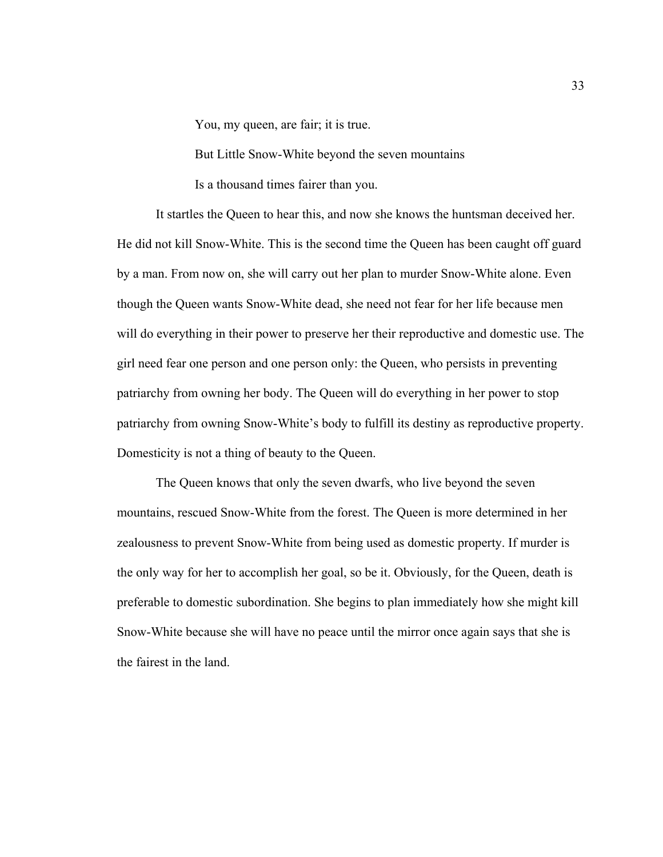You, my queen, are fair; it is true.

But Little Snow-White beyond the seven mountains

Is a thousand times fairer than you.

It startles the Queen to hear this, and now she knows the huntsman deceived her. He did not kill Snow-White. This is the second time the Queen has been caught off guard by a man. From now on, she will carry out her plan to murder Snow-White alone. Even though the Queen wants Snow-White dead, she need not fear for her life because men will do everything in their power to preserve her their reproductive and domestic use. The girl need fear one person and one person only: the Queen, who persists in preventing patriarchy from owning her body. The Queen will do everything in her power to stop patriarchy from owning Snow-White's body to fulfill its destiny as reproductive property. Domesticity is not a thing of beauty to the Queen.

The Queen knows that only the seven dwarfs, who live beyond the seven mountains, rescued Snow-White from the forest. The Queen is more determined in her zealousness to prevent Snow-White from being used as domestic property. If murder is the only way for her to accomplish her goal, so be it. Obviously, for the Queen, death is preferable to domestic subordination. She begins to plan immediately how she might kill Snow-White because she will have no peace until the mirror once again says that she is the fairest in the land.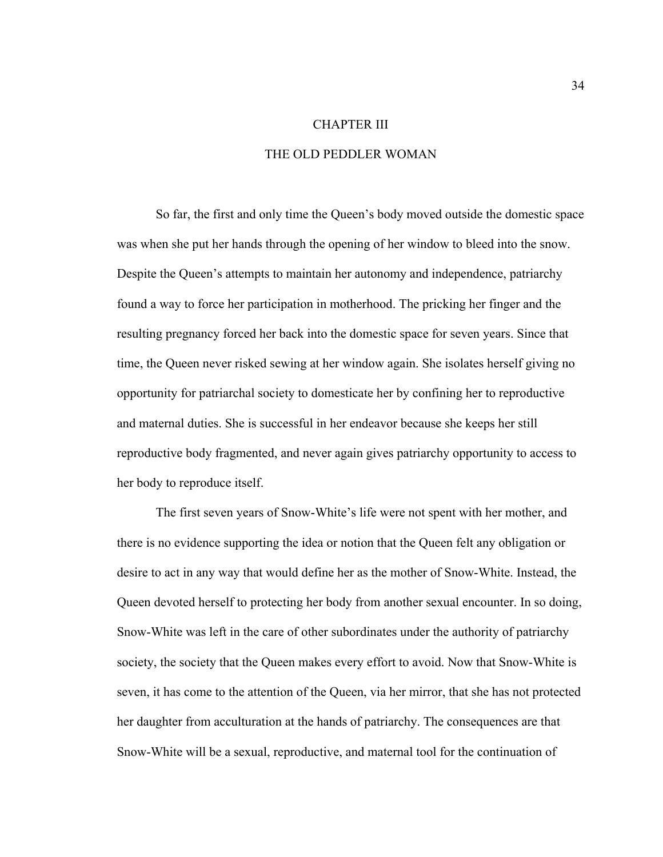## CHAPTER III

## THE OLD PEDDLER WOMAN

So far, the first and only time the Queen's body moved outside the domestic space was when she put her hands through the opening of her window to bleed into the snow. Despite the Queen's attempts to maintain her autonomy and independence, patriarchy found a way to force her participation in motherhood. The pricking her finger and the resulting pregnancy forced her back into the domestic space for seven years. Since that time, the Queen never risked sewing at her window again. She isolates herself giving no opportunity for patriarchal society to domesticate her by confining her to reproductive and maternal duties. She is successful in her endeavor because she keeps her still reproductive body fragmented, and never again gives patriarchy opportunity to access to her body to reproduce itself.

The first seven years of Snow-White's life were not spent with her mother, and there is no evidence supporting the idea or notion that the Queen felt any obligation or desire to act in any way that would define her as the mother of Snow-White. Instead, the Queen devoted herself to protecting her body from another sexual encounter. In so doing, Snow-White was left in the care of other subordinates under the authority of patriarchy society, the society that the Queen makes every effort to avoid. Now that Snow-White is seven, it has come to the attention of the Queen, via her mirror, that she has not protected her daughter from acculturation at the hands of patriarchy. The consequences are that Snow-White will be a sexual, reproductive, and maternal tool for the continuation of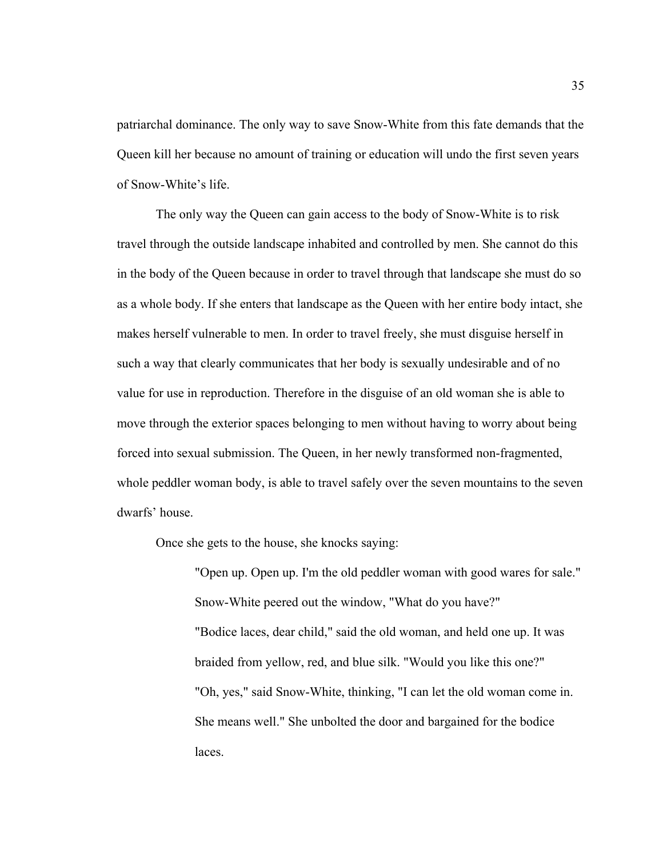patriarchal dominance. The only way to save Snow-White from this fate demands that the Queen kill her because no amount of training or education will undo the first seven years of Snow-White's life.

The only way the Queen can gain access to the body of Snow-White is to risk travel through the outside landscape inhabited and controlled by men. She cannot do this in the body of the Queen because in order to travel through that landscape she must do so as a whole body. If she enters that landscape as the Queen with her entire body intact, she makes herself vulnerable to men. In order to travel freely, she must disguise herself in such a way that clearly communicates that her body is sexually undesirable and of no value for use in reproduction. Therefore in the disguise of an old woman she is able to move through the exterior spaces belonging to men without having to worry about being forced into sexual submission. The Queen, in her newly transformed non-fragmented, whole peddler woman body, is able to travel safely over the seven mountains to the seven dwarfs' house.

Once she gets to the house, she knocks saying:

"Open up. Open up. I'm the old peddler woman with good wares for sale." Snow-White peered out the window, "What do you have?" "Bodice laces, dear child," said the old woman, and held one up. It was braided from yellow, red, and blue silk. "Would you like this one?" "Oh, yes," said Snow-White, thinking, "I can let the old woman come in. She means well." She unbolted the door and bargained for the bodice laces.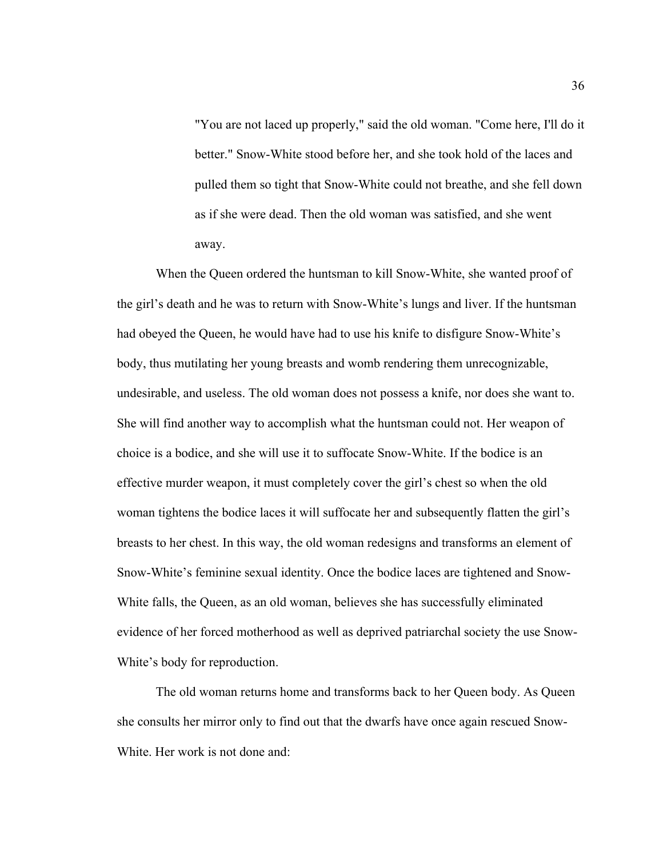"You are not laced up properly," said the old woman. "Come here, I'll do it better." Snow-White stood before her, and she took hold of the laces and pulled them so tight that Snow-White could not breathe, and she fell down as if she were dead. Then the old woman was satisfied, and she went away.

When the Queen ordered the huntsman to kill Snow-White, she wanted proof of the girl's death and he was to return with Snow-White's lungs and liver. If the huntsman had obeyed the Queen, he would have had to use his knife to disfigure Snow-White's body, thus mutilating her young breasts and womb rendering them unrecognizable, undesirable, and useless. The old woman does not possess a knife, nor does she want to. She will find another way to accomplish what the huntsman could not. Her weapon of choice is a bodice, and she will use it to suffocate Snow-White. If the bodice is an effective murder weapon, it must completely cover the girl's chest so when the old woman tightens the bodice laces it will suffocate her and subsequently flatten the girl's breasts to her chest. In this way, the old woman redesigns and transforms an element of Snow-White's feminine sexual identity. Once the bodice laces are tightened and Snow-White falls, the Queen, as an old woman, believes she has successfully eliminated evidence of her forced motherhood as well as deprived patriarchal society the use Snow-White's body for reproduction.

The old woman returns home and transforms back to her Queen body. As Queen she consults her mirror only to find out that the dwarfs have once again rescued Snow-White. Her work is not done and: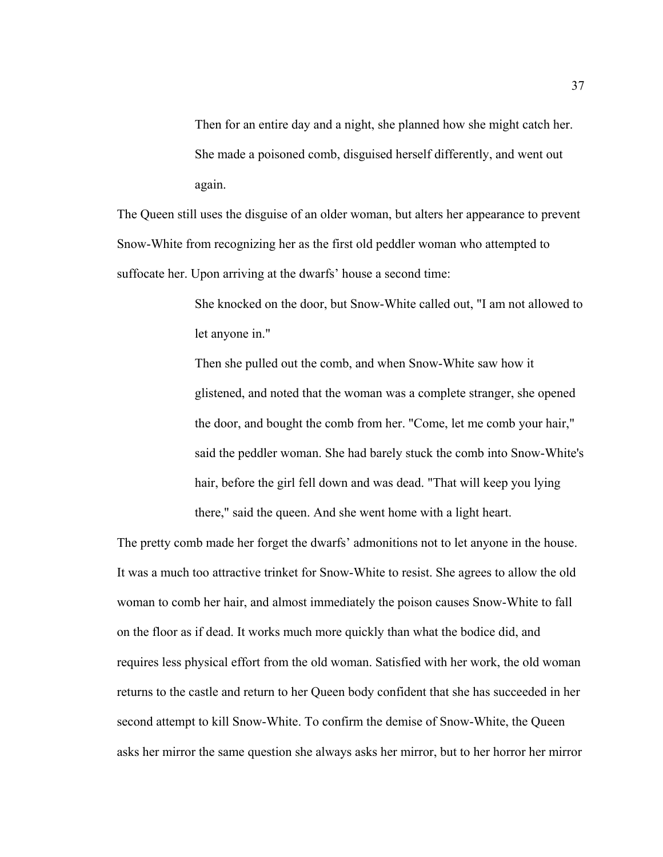Then for an entire day and a night, she planned how she might catch her. She made a poisoned comb, disguised herself differently, and went out again.

The Queen still uses the disguise of an older woman, but alters her appearance to prevent Snow-White from recognizing her as the first old peddler woman who attempted to suffocate her. Upon arriving at the dwarfs' house a second time:

> She knocked on the door, but Snow-White called out, "I am not allowed to let anyone in."

> Then she pulled out the comb, and when Snow-White saw how it glistened, and noted that the woman was a complete stranger, she opened the door, and bought the comb from her. "Come, let me comb your hair," said the peddler woman. She had barely stuck the comb into Snow-White's hair, before the girl fell down and was dead. "That will keep you lying there," said the queen. And she went home with a light heart.

The pretty comb made her forget the dwarfs' admonitions not to let anyone in the house. It was a much too attractive trinket for Snow-White to resist. She agrees to allow the old woman to comb her hair, and almost immediately the poison causes Snow-White to fall on the floor as if dead. It works much more quickly than what the bodice did, and requires less physical effort from the old woman. Satisfied with her work, the old woman returns to the castle and return to her Queen body confident that she has succeeded in her second attempt to kill Snow-White. To confirm the demise of Snow-White, the Queen asks her mirror the same question she always asks her mirror, but to her horror her mirror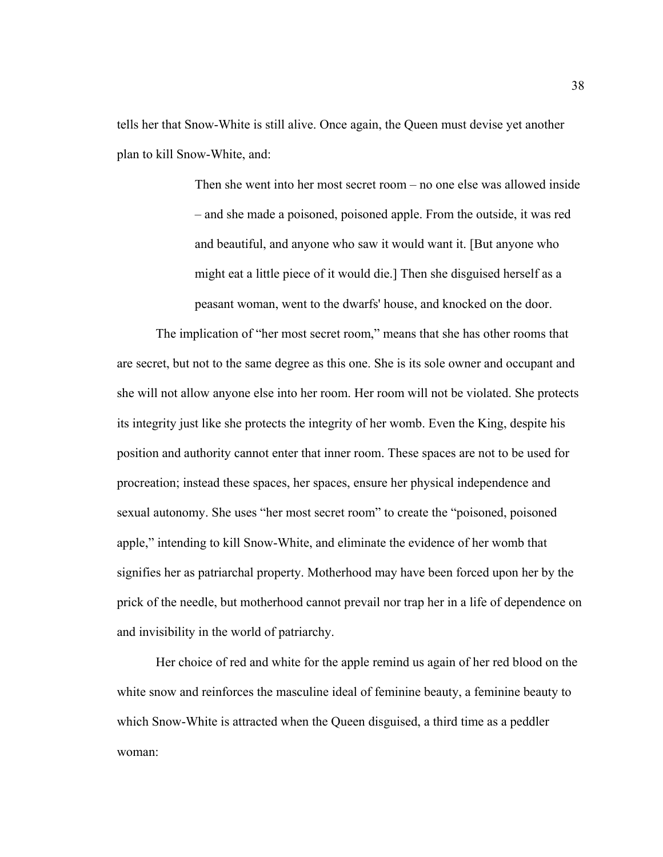tells her that Snow-White is still alive. Once again, the Queen must devise yet another plan to kill Snow-White, and:

> Then she went into her most secret room – no one else was allowed inside – and she made a poisoned, poisoned apple. From the outside, it was red and beautiful, and anyone who saw it would want it. [But anyone who might eat a little piece of it would die.] Then she disguised herself as a peasant woman, went to the dwarfs' house, and knocked on the door.

The implication of "her most secret room," means that she has other rooms that are secret, but not to the same degree as this one. She is its sole owner and occupant and she will not allow anyone else into her room. Her room will not be violated. She protects its integrity just like she protects the integrity of her womb. Even the King, despite his position and authority cannot enter that inner room. These spaces are not to be used for procreation; instead these spaces, her spaces, ensure her physical independence and sexual autonomy. She uses "her most secret room" to create the "poisoned, poisoned apple," intending to kill Snow-White, and eliminate the evidence of her womb that signifies her as patriarchal property. Motherhood may have been forced upon her by the prick of the needle, but motherhood cannot prevail nor trap her in a life of dependence on and invisibility in the world of patriarchy.

Her choice of red and white for the apple remind us again of her red blood on the white snow and reinforces the masculine ideal of feminine beauty, a feminine beauty to which Snow-White is attracted when the Queen disguised, a third time as a peddler woman: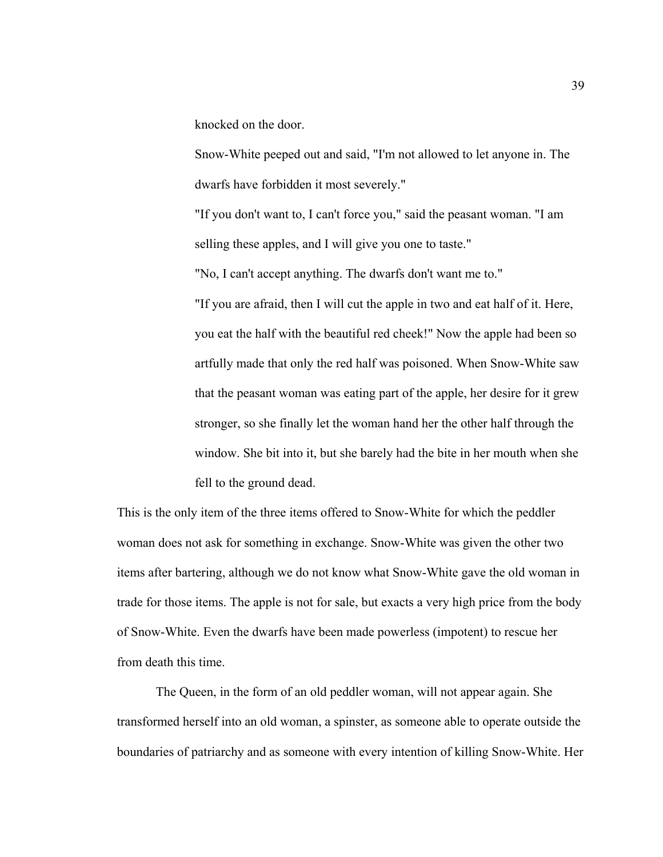knocked on the door.

Snow-White peeped out and said, "I'm not allowed to let anyone in. The dwarfs have forbidden it most severely."

"If you don't want to, I can't force you," said the peasant woman. "I am selling these apples, and I will give you one to taste."

"No, I can't accept anything. The dwarfs don't want me to."

"If you are afraid, then I will cut the apple in two and eat half of it. Here, you eat the half with the beautiful red cheek!" Now the apple had been so artfully made that only the red half was poisoned. When Snow-White saw that the peasant woman was eating part of the apple, her desire for it grew stronger, so she finally let the woman hand her the other half through the window. She bit into it, but she barely had the bite in her mouth when she fell to the ground dead.

This is the only item of the three items offered to Snow-White for which the peddler woman does not ask for something in exchange. Snow-White was given the other two items after bartering, although we do not know what Snow-White gave the old woman in trade for those items. The apple is not for sale, but exacts a very high price from the body of Snow-White. Even the dwarfs have been made powerless (impotent) to rescue her from death this time.

The Queen, in the form of an old peddler woman, will not appear again. She transformed herself into an old woman, a spinster, as someone able to operate outside the boundaries of patriarchy and as someone with every intention of killing Snow-White. Her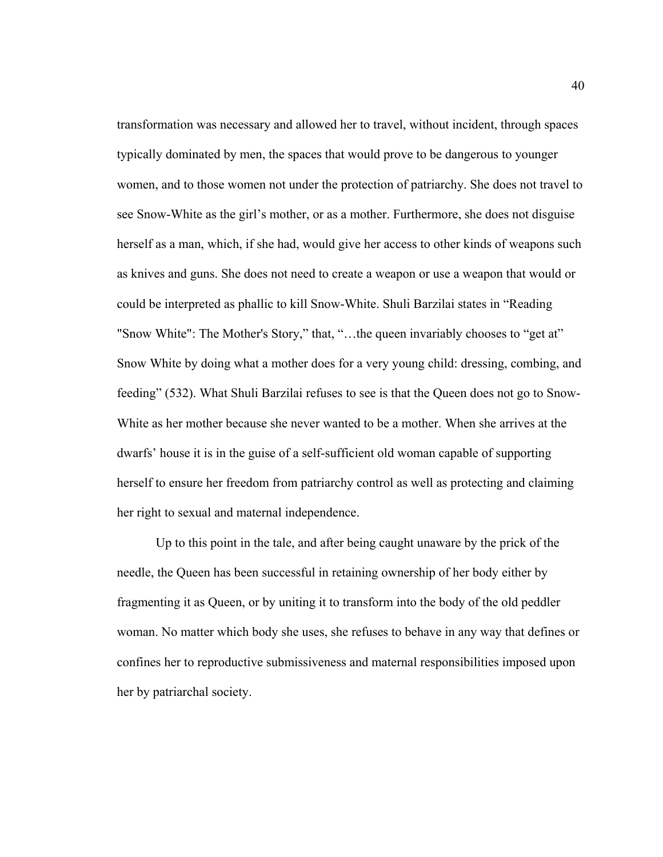transformation was necessary and allowed her to travel, without incident, through spaces typically dominated by men, the spaces that would prove to be dangerous to younger women, and to those women not under the protection of patriarchy. She does not travel to see Snow-White as the girl's mother, or as a mother. Furthermore, she does not disguise herself as a man, which, if she had, would give her access to other kinds of weapons such as knives and guns. She does not need to create a weapon or use a weapon that would or could be interpreted as phallic to kill Snow-White. Shuli Barzilai states in "Reading "Snow White": The Mother's Story," that, "…the queen invariably chooses to "get at" Snow White by doing what a mother does for a very young child: dressing, combing, and feeding" (532). What Shuli Barzilai refuses to see is that the Queen does not go to Snow-White as her mother because she never wanted to be a mother. When she arrives at the dwarfs' house it is in the guise of a self-sufficient old woman capable of supporting herself to ensure her freedom from patriarchy control as well as protecting and claiming her right to sexual and maternal independence.

Up to this point in the tale, and after being caught unaware by the prick of the needle, the Queen has been successful in retaining ownership of her body either by fragmenting it as Queen, or by uniting it to transform into the body of the old peddler woman. No matter which body she uses, she refuses to behave in any way that defines or confines her to reproductive submissiveness and maternal responsibilities imposed upon her by patriarchal society.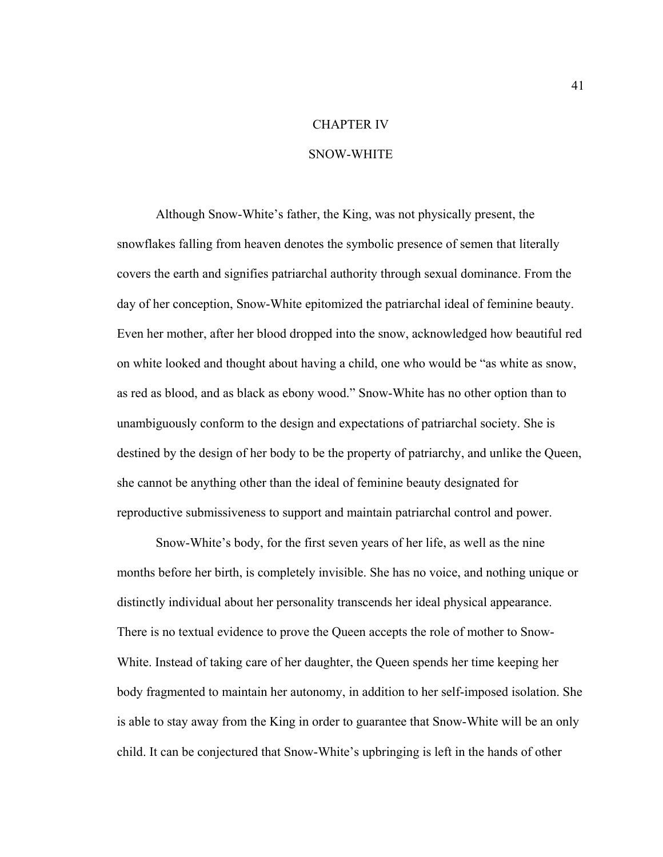## CHAPTER IV

### SNOW-WHITE

Although Snow-White's father, the King, was not physically present, the snowflakes falling from heaven denotes the symbolic presence of semen that literally covers the earth and signifies patriarchal authority through sexual dominance. From the day of her conception, Snow-White epitomized the patriarchal ideal of feminine beauty. Even her mother, after her blood dropped into the snow, acknowledged how beautiful red on white looked and thought about having a child, one who would be "as white as snow, as red as blood, and as black as ebony wood." Snow-White has no other option than to unambiguously conform to the design and expectations of patriarchal society. She is destined by the design of her body to be the property of patriarchy, and unlike the Queen, she cannot be anything other than the ideal of feminine beauty designated for reproductive submissiveness to support and maintain patriarchal control and power.

Snow-White's body, for the first seven years of her life, as well as the nine months before her birth, is completely invisible. She has no voice, and nothing unique or distinctly individual about her personality transcends her ideal physical appearance. There is no textual evidence to prove the Queen accepts the role of mother to Snow-White. Instead of taking care of her daughter, the Queen spends her time keeping her body fragmented to maintain her autonomy, in addition to her self-imposed isolation. She is able to stay away from the King in order to guarantee that Snow-White will be an only child. It can be conjectured that Snow-White's upbringing is left in the hands of other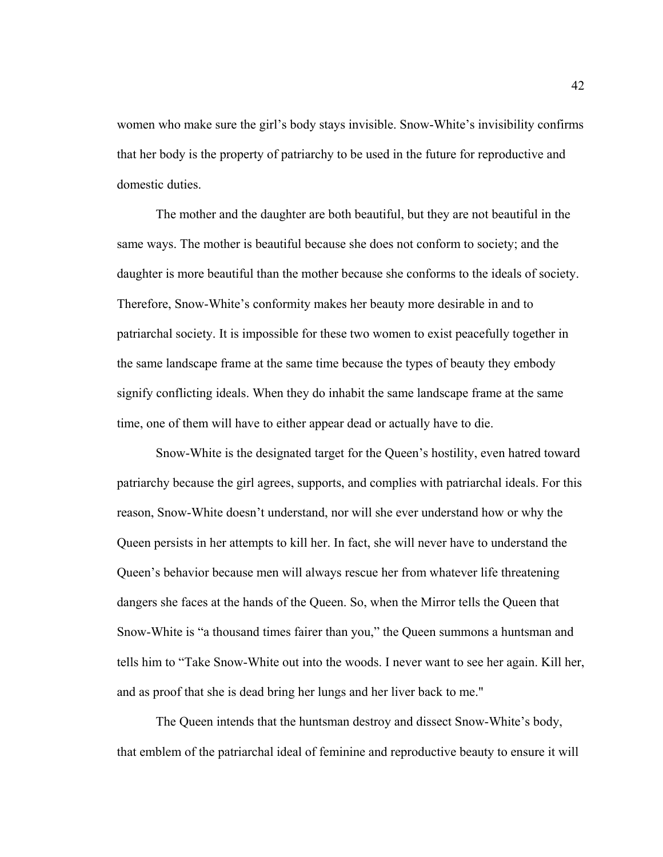women who make sure the girl's body stays invisible. Snow-White's invisibility confirms that her body is the property of patriarchy to be used in the future for reproductive and domestic duties.

The mother and the daughter are both beautiful, but they are not beautiful in the same ways. The mother is beautiful because she does not conform to society; and the daughter is more beautiful than the mother because she conforms to the ideals of society. Therefore, Snow-White's conformity makes her beauty more desirable in and to patriarchal society. It is impossible for these two women to exist peacefully together in the same landscape frame at the same time because the types of beauty they embody signify conflicting ideals. When they do inhabit the same landscape frame at the same time, one of them will have to either appear dead or actually have to die.

Snow-White is the designated target for the Queen's hostility, even hatred toward patriarchy because the girl agrees, supports, and complies with patriarchal ideals. For this reason, Snow-White doesn't understand, nor will she ever understand how or why the Queen persists in her attempts to kill her. In fact, she will never have to understand the Queen's behavior because men will always rescue her from whatever life threatening dangers she faces at the hands of the Queen. So, when the Mirror tells the Queen that Snow-White is "a thousand times fairer than you," the Queen summons a huntsman and tells him to "Take Snow-White out into the woods. I never want to see her again. Kill her, and as proof that she is dead bring her lungs and her liver back to me."

The Queen intends that the huntsman destroy and dissect Snow-White's body, that emblem of the patriarchal ideal of feminine and reproductive beauty to ensure it will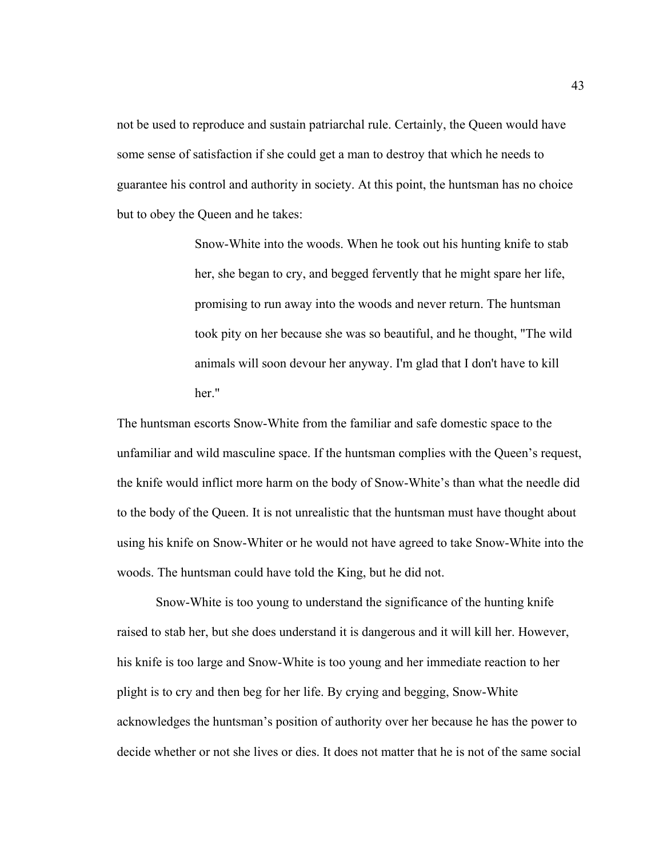not be used to reproduce and sustain patriarchal rule. Certainly, the Queen would have some sense of satisfaction if she could get a man to destroy that which he needs to guarantee his control and authority in society. At this point, the huntsman has no choice but to obey the Queen and he takes:

> Snow-White into the woods. When he took out his hunting knife to stab her, she began to cry, and begged fervently that he might spare her life, promising to run away into the woods and never return. The huntsman took pity on her because she was so beautiful, and he thought, "The wild animals will soon devour her anyway. I'm glad that I don't have to kill her."

The huntsman escorts Snow-White from the familiar and safe domestic space to the unfamiliar and wild masculine space. If the huntsman complies with the Queen's request, the knife would inflict more harm on the body of Snow-White's than what the needle did to the body of the Queen. It is not unrealistic that the huntsman must have thought about using his knife on Snow-Whiter or he would not have agreed to take Snow-White into the woods. The huntsman could have told the King, but he did not.

Snow-White is too young to understand the significance of the hunting knife raised to stab her, but she does understand it is dangerous and it will kill her. However, his knife is too large and Snow-White is too young and her immediate reaction to her plight is to cry and then beg for her life. By crying and begging, Snow-White acknowledges the huntsman's position of authority over her because he has the power to decide whether or not she lives or dies. It does not matter that he is not of the same social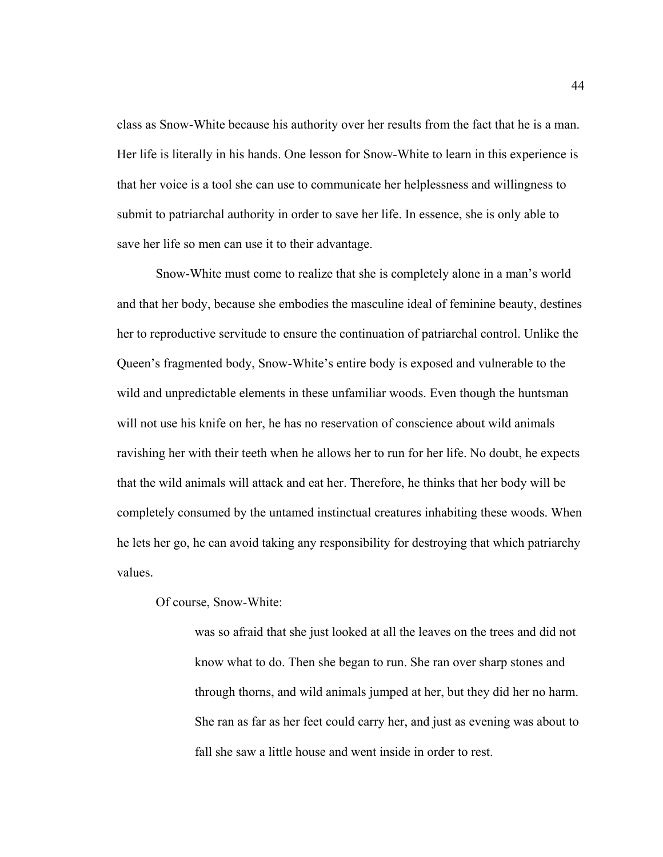class as Snow-White because his authority over her results from the fact that he is a man. Her life is literally in his hands. One lesson for Snow-White to learn in this experience is that her voice is a tool she can use to communicate her helplessness and willingness to submit to patriarchal authority in order to save her life. In essence, she is only able to save her life so men can use it to their advantage.

Snow-White must come to realize that she is completely alone in a man's world and that her body, because she embodies the masculine ideal of feminine beauty, destines her to reproductive servitude to ensure the continuation of patriarchal control. Unlike the Queen's fragmented body, Snow-White's entire body is exposed and vulnerable to the wild and unpredictable elements in these unfamiliar woods. Even though the huntsman will not use his knife on her, he has no reservation of conscience about wild animals ravishing her with their teeth when he allows her to run for her life. No doubt, he expects that the wild animals will attack and eat her. Therefore, he thinks that her body will be completely consumed by the untamed instinctual creatures inhabiting these woods. When he lets her go, he can avoid taking any responsibility for destroying that which patriarchy values.

### Of course, Snow-White:

was so afraid that she just looked at all the leaves on the trees and did not know what to do. Then she began to run. She ran over sharp stones and through thorns, and wild animals jumped at her, but they did her no harm. She ran as far as her feet could carry her, and just as evening was about to fall she saw a little house and went inside in order to rest.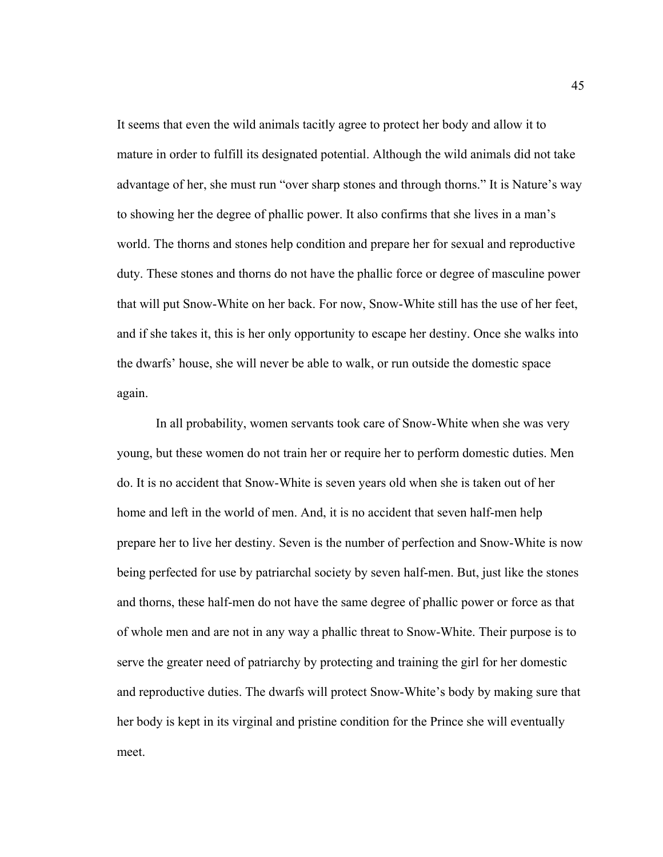It seems that even the wild animals tacitly agree to protect her body and allow it to mature in order to fulfill its designated potential. Although the wild animals did not take advantage of her, she must run "over sharp stones and through thorns." It is Nature's way to showing her the degree of phallic power. It also confirms that she lives in a man's world. The thorns and stones help condition and prepare her for sexual and reproductive duty. These stones and thorns do not have the phallic force or degree of masculine power that will put Snow-White on her back. For now, Snow-White still has the use of her feet, and if she takes it, this is her only opportunity to escape her destiny. Once she walks into the dwarfs' house, she will never be able to walk, or run outside the domestic space again.

In all probability, women servants took care of Snow-White when she was very young, but these women do not train her or require her to perform domestic duties. Men do. It is no accident that Snow-White is seven years old when she is taken out of her home and left in the world of men. And, it is no accident that seven half-men help prepare her to live her destiny. Seven is the number of perfection and Snow-White is now being perfected for use by patriarchal society by seven half-men. But, just like the stones and thorns, these half-men do not have the same degree of phallic power or force as that of whole men and are not in any way a phallic threat to Snow-White. Their purpose is to serve the greater need of patriarchy by protecting and training the girl for her domestic and reproductive duties. The dwarfs will protect Snow-White's body by making sure that her body is kept in its virginal and pristine condition for the Prince she will eventually meet.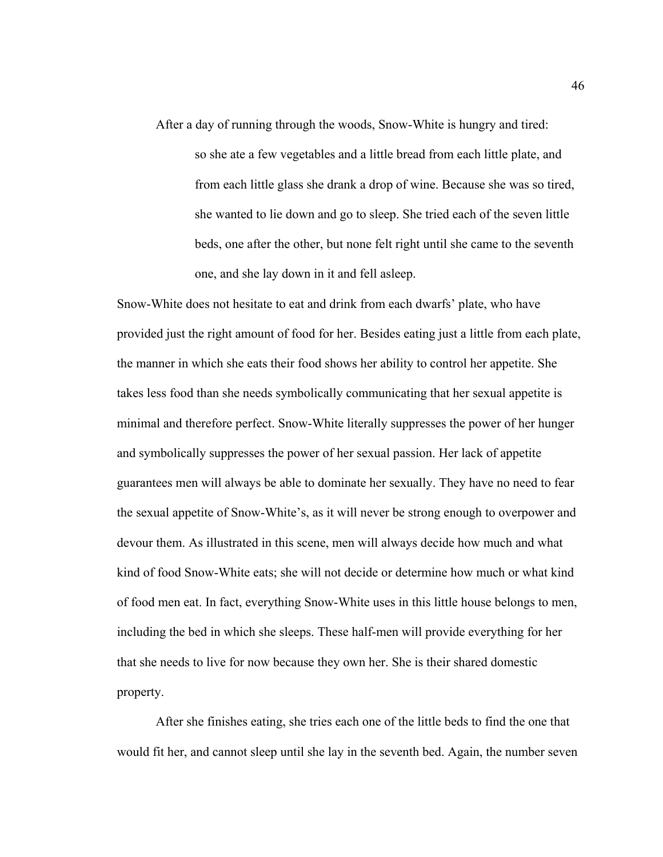After a day of running through the woods, Snow-White is hungry and tired:

so she ate a few vegetables and a little bread from each little plate, and from each little glass she drank a drop of wine. Because she was so tired, she wanted to lie down and go to sleep. She tried each of the seven little beds, one after the other, but none felt right until she came to the seventh one, and she lay down in it and fell asleep.

Snow-White does not hesitate to eat and drink from each dwarfs' plate, who have provided just the right amount of food for her. Besides eating just a little from each plate, the manner in which she eats their food shows her ability to control her appetite. She takes less food than she needs symbolically communicating that her sexual appetite is minimal and therefore perfect. Snow-White literally suppresses the power of her hunger and symbolically suppresses the power of her sexual passion. Her lack of appetite guarantees men will always be able to dominate her sexually. They have no need to fear the sexual appetite of Snow-White's, as it will never be strong enough to overpower and devour them. As illustrated in this scene, men will always decide how much and what kind of food Snow-White eats; she will not decide or determine how much or what kind of food men eat. In fact, everything Snow-White uses in this little house belongs to men, including the bed in which she sleeps. These half-men will provide everything for her that she needs to live for now because they own her. She is their shared domestic property.

After she finishes eating, she tries each one of the little beds to find the one that would fit her, and cannot sleep until she lay in the seventh bed. Again, the number seven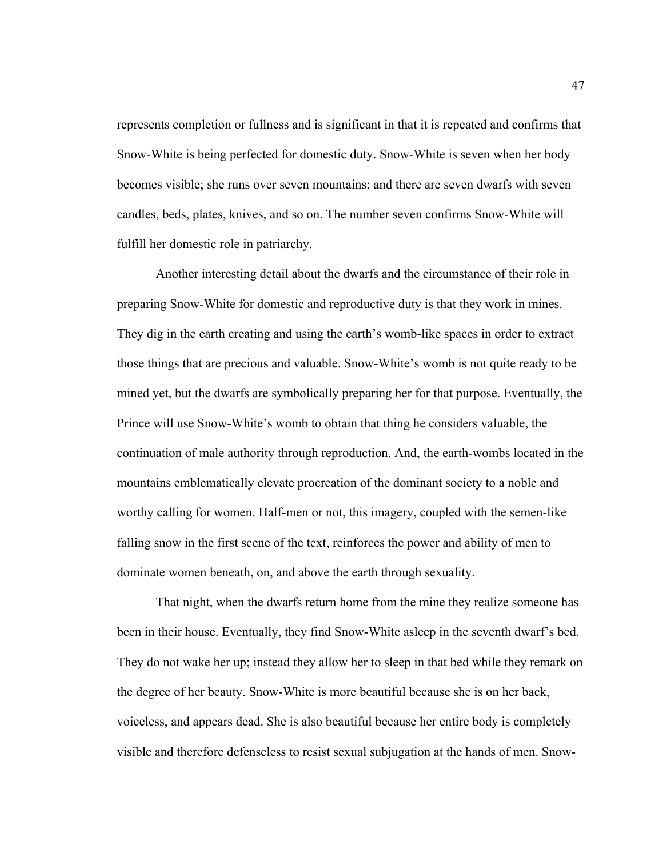represents completion or fullness and is significant in that it is repeated and confirms that Snow-White is being perfected for domestic duty. Snow-White is seven when her body becomes visible; she runs over seven mountains; and there are seven dwarfs with seven candles, beds, plates, knives, and so on. The number seven confirms Snow-White will fulfill her domestic role in patriarchy.

Another interesting detail about the dwarfs and the circumstance of their role in preparing Snow-White for domestic and reproductive duty is that they work in mines. They dig in the earth creating and using the earth's womb-like spaces in order to extract those things that are precious and valuable. Snow-White's womb is not quite ready to be mined yet, but the dwarfs are symbolically preparing her for that purpose. Eventually, the Prince will use Snow-White's womb to obtain that thing he considers valuable, the continuation of male authority through reproduction. And, the earth-wombs located in the mountains emblematically elevate procreation of the dominant society to a noble and worthy calling for women. Half-men or not, this imagery, coupled with the semen-like falling snow in the first scene of the text, reinforces the power and ability of men to dominate women beneath, on, and above the earth through sexuality.

That night, when the dwarfs return home from the mine they realize someone has been in their house. Eventually, they find Snow-White asleep in the seventh dwarf's bed. They do not wake her up; instead they allow her to sleep in that bed while they remark on the degree of her beauty. Snow-White is more beautiful because she is on her back, voiceless, and appears dead. She is also beautiful because her entire body is completely visible and therefore defenseless to resist sexual subjugation at the hands of men. Snow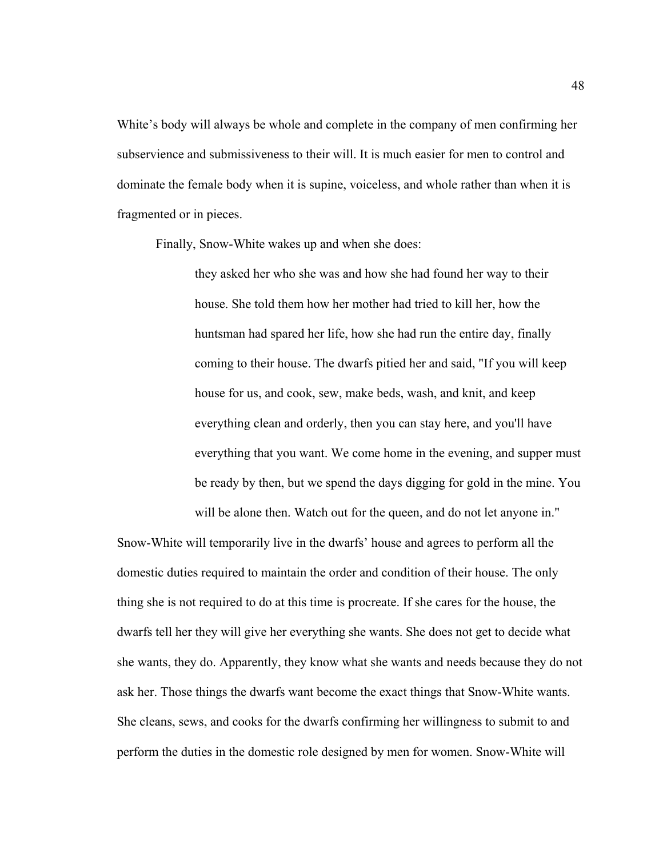White's body will always be whole and complete in the company of men confirming her subservience and submissiveness to their will. It is much easier for men to control and dominate the female body when it is supine, voiceless, and whole rather than when it is fragmented or in pieces.

Finally, Snow-White wakes up and when she does:

they asked her who she was and how she had found her way to their house. She told them how her mother had tried to kill her, how the huntsman had spared her life, how she had run the entire day, finally coming to their house. The dwarfs pitied her and said, "If you will keep house for us, and cook, sew, make beds, wash, and knit, and keep everything clean and orderly, then you can stay here, and you'll have everything that you want. We come home in the evening, and supper must be ready by then, but we spend the days digging for gold in the mine. You will be alone then. Watch out for the queen, and do not let anyone in."

Snow-White will temporarily live in the dwarfs' house and agrees to perform all the domestic duties required to maintain the order and condition of their house. The only thing she is not required to do at this time is procreate. If she cares for the house, the dwarfs tell her they will give her everything she wants. She does not get to decide what she wants, they do. Apparently, they know what she wants and needs because they do not ask her. Those things the dwarfs want become the exact things that Snow-White wants. She cleans, sews, and cooks for the dwarfs confirming her willingness to submit to and perform the duties in the domestic role designed by men for women. Snow-White will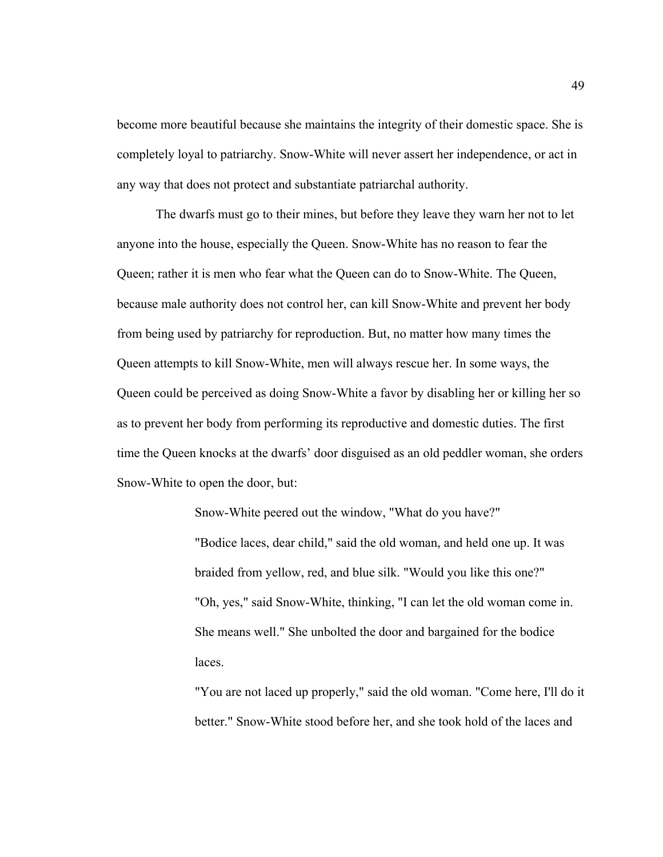become more beautiful because she maintains the integrity of their domestic space. She is completely loyal to patriarchy. Snow-White will never assert her independence, or act in any way that does not protect and substantiate patriarchal authority.

The dwarfs must go to their mines, but before they leave they warn her not to let anyone into the house, especially the Queen. Snow-White has no reason to fear the Queen; rather it is men who fear what the Queen can do to Snow-White. The Queen, because male authority does not control her, can kill Snow-White and prevent her body from being used by patriarchy for reproduction. But, no matter how many times the Queen attempts to kill Snow-White, men will always rescue her. In some ways, the Queen could be perceived as doing Snow-White a favor by disabling her or killing her so as to prevent her body from performing its reproductive and domestic duties. The first time the Queen knocks at the dwarfs' door disguised as an old peddler woman, she orders Snow-White to open the door, but:

> Snow-White peered out the window, "What do you have?" "Bodice laces, dear child," said the old woman, and held one up. It was braided from yellow, red, and blue silk. "Would you like this one?" "Oh, yes," said Snow-White, thinking, "I can let the old woman come in. She means well." She unbolted the door and bargained for the bodice laces.

"You are not laced up properly," said the old woman. "Come here, I'll do it better." Snow-White stood before her, and she took hold of the laces and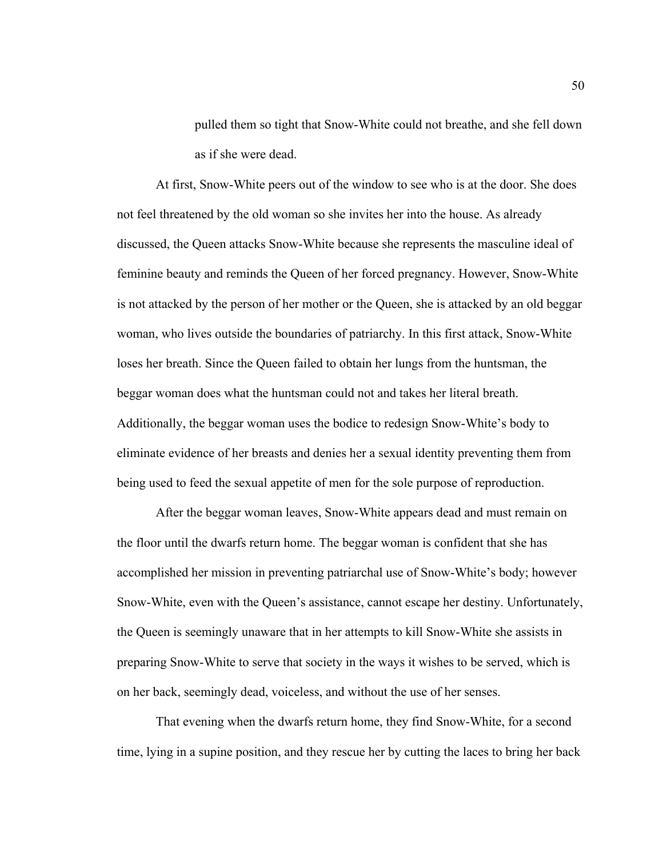pulled them so tight that Snow-White could not breathe, and she fell down as if she were dead.

At first, Snow-White peers out of the window to see who is at the door. She does not feel threatened by the old woman so she invites her into the house. As already discussed, the Queen attacks Snow-White because she represents the masculine ideal of feminine beauty and reminds the Queen of her forced pregnancy. However, Snow-White is not attacked by the person of her mother or the Queen, she is attacked by an old beggar woman, who lives outside the boundaries of patriarchy. In this first attack, Snow-White loses her breath. Since the Queen failed to obtain her lungs from the huntsman, the beggar woman does what the huntsman could not and takes her literal breath. Additionally, the beggar woman uses the bodice to redesign Snow-White's body to eliminate evidence of her breasts and denies her a sexual identity preventing them from being used to feed the sexual appetite of men for the sole purpose of reproduction.

After the beggar woman leaves, Snow-White appears dead and must remain on the floor until the dwarfs return home. The beggar woman is confident that she has accomplished her mission in preventing patriarchal use of Snow-White's body; however Snow-White, even with the Queen's assistance, cannot escape her destiny. Unfortunately, the Queen is seemingly unaware that in her attempts to kill Snow-White she assists in preparing Snow-White to serve that society in the ways it wishes to be served, which is on her back, seemingly dead, voiceless, and without the use of her senses.

That evening when the dwarfs return home, they find Snow-White, for a second time, lying in a supine position, and they rescue her by cutting the laces to bring her back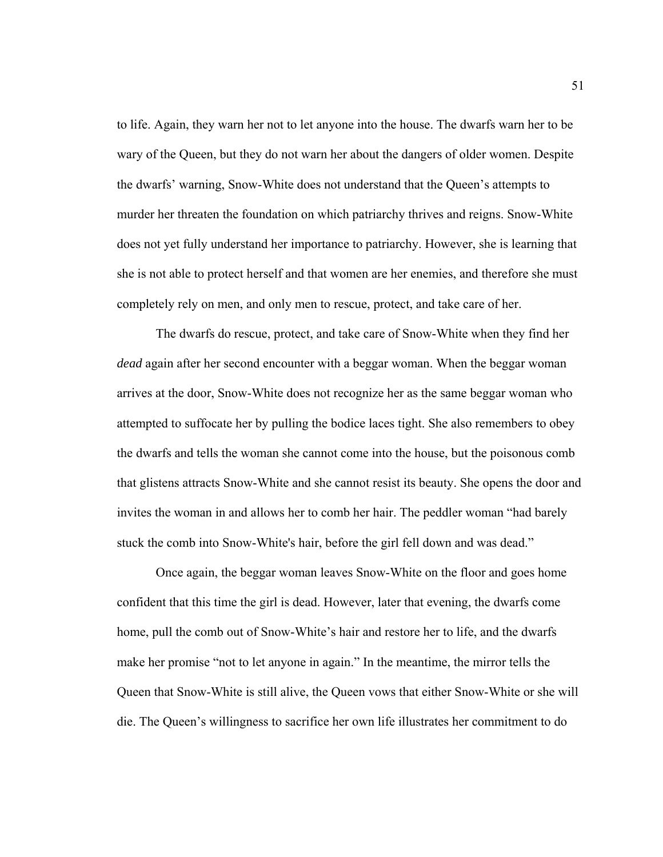to life. Again, they warn her not to let anyone into the house. The dwarfs warn her to be wary of the Queen, but they do not warn her about the dangers of older women. Despite the dwarfs' warning, Snow-White does not understand that the Queen's attempts to murder her threaten the foundation on which patriarchy thrives and reigns. Snow-White does not yet fully understand her importance to patriarchy. However, she is learning that she is not able to protect herself and that women are her enemies, and therefore she must completely rely on men, and only men to rescue, protect, and take care of her.

The dwarfs do rescue, protect, and take care of Snow-White when they find her *dead* again after her second encounter with a beggar woman. When the beggar woman arrives at the door, Snow-White does not recognize her as the same beggar woman who attempted to suffocate her by pulling the bodice laces tight. She also remembers to obey the dwarfs and tells the woman she cannot come into the house, but the poisonous comb that glistens attracts Snow-White and she cannot resist its beauty. She opens the door and invites the woman in and allows her to comb her hair. The peddler woman "had barely stuck the comb into Snow-White's hair, before the girl fell down and was dead."

Once again, the beggar woman leaves Snow-White on the floor and goes home confident that this time the girl is dead. However, later that evening, the dwarfs come home, pull the comb out of Snow-White's hair and restore her to life, and the dwarfs make her promise "not to let anyone in again." In the meantime, the mirror tells the Queen that Snow-White is still alive, the Queen vows that either Snow-White or she will die. The Queen's willingness to sacrifice her own life illustrates her commitment to do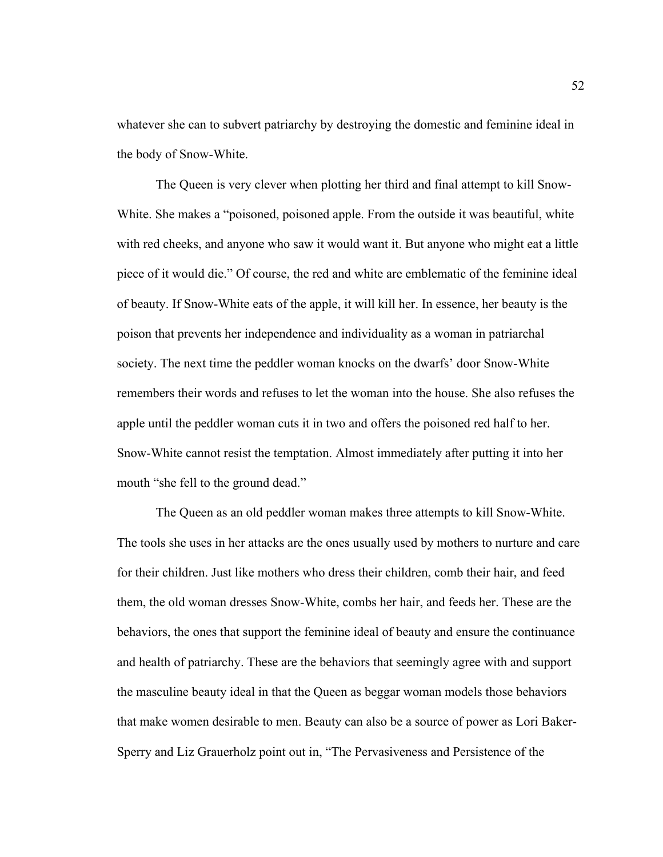whatever she can to subvert patriarchy by destroying the domestic and feminine ideal in the body of Snow-White.

The Queen is very clever when plotting her third and final attempt to kill Snow-White. She makes a "poisoned, poisoned apple. From the outside it was beautiful, white with red cheeks, and anyone who saw it would want it. But anyone who might eat a little piece of it would die." Of course, the red and white are emblematic of the feminine ideal of beauty. If Snow-White eats of the apple, it will kill her. In essence, her beauty is the poison that prevents her independence and individuality as a woman in patriarchal society. The next time the peddler woman knocks on the dwarfs' door Snow-White remembers their words and refuses to let the woman into the house. She also refuses the apple until the peddler woman cuts it in two and offers the poisoned red half to her. Snow-White cannot resist the temptation. Almost immediately after putting it into her mouth "she fell to the ground dead."

The Queen as an old peddler woman makes three attempts to kill Snow-White. The tools she uses in her attacks are the ones usually used by mothers to nurture and care for their children. Just like mothers who dress their children, comb their hair, and feed them, the old woman dresses Snow-White, combs her hair, and feeds her. These are the behaviors, the ones that support the feminine ideal of beauty and ensure the continuance and health of patriarchy. These are the behaviors that seemingly agree with and support the masculine beauty ideal in that the Queen as beggar woman models those behaviors that make women desirable to men. Beauty can also be a source of power as Lori Baker-Sperry and Liz Grauerholz point out in, "The Pervasiveness and Persistence of the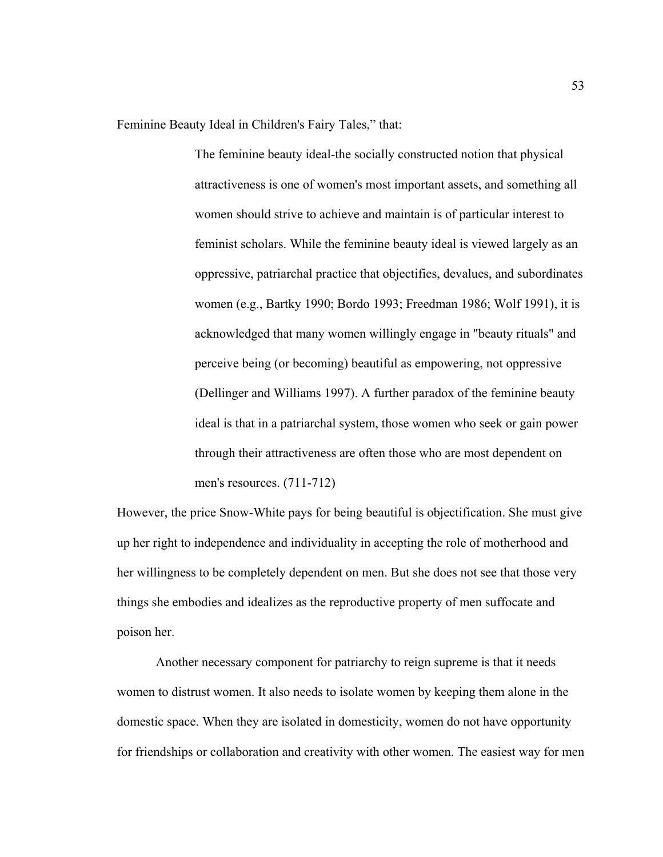Feminine Beauty Ideal in Children's Fairy Tales," that:

The feminine beauty ideal-the socially constructed notion that physical attractiveness is one of women's most important assets, and something all women should strive to achieve and maintain is of particular interest to feminist scholars. While the feminine beauty ideal is viewed largely as an oppressive, patriarchal practice that objectifies, devalues, and subordinates women (e.g., Bartky 1990; Bordo 1993; Freedman 1986; Wolf 1991), it is acknowledged that many women willingly engage in "beauty rituals" and perceive being (or becoming) beautiful as empowering, not oppressive (Dellinger and Williams 1997). A further paradox of the feminine beauty ideal is that in a patriarchal system, those women who seek or gain power through their attractiveness are often those who are most dependent on men's resources. (711-712)

However, the price Snow-White pays for being beautiful is objectification. She must give up her right to independence and individuality in accepting the role of motherhood and her willingness to be completely dependent on men. But she does not see that those very things she embodies and idealizes as the reproductive property of men suffocate and poison her.

Another necessary component for patriarchy to reign supreme is that it needs women to distrust women. It also needs to isolate women by keeping them alone in the domestic space. When they are isolated in domesticity, women do not have opportunity for friendships or collaboration and creativity with other women. The easiest way for men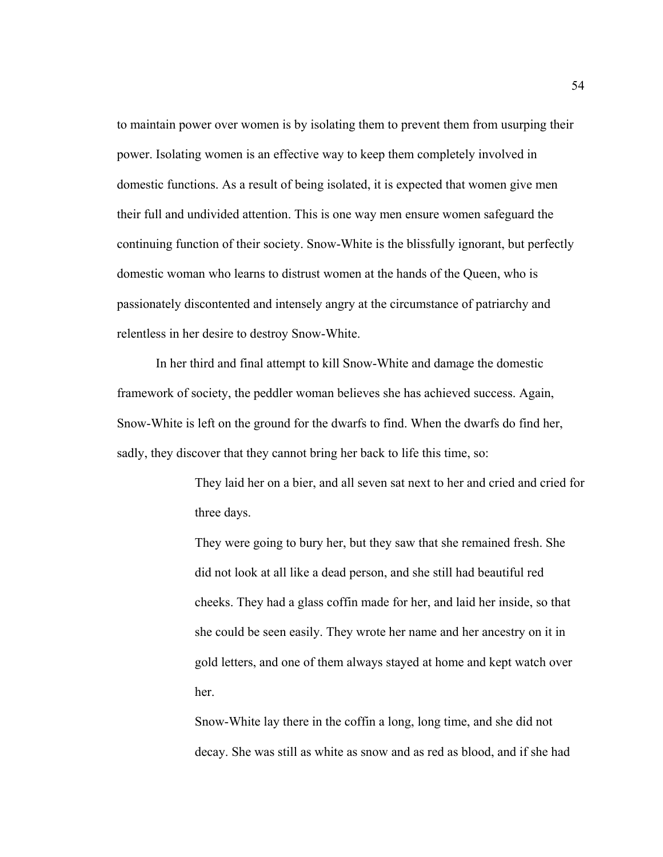to maintain power over women is by isolating them to prevent them from usurping their power. Isolating women is an effective way to keep them completely involved in domestic functions. As a result of being isolated, it is expected that women give men their full and undivided attention. This is one way men ensure women safeguard the continuing function of their society. Snow-White is the blissfully ignorant, but perfectly domestic woman who learns to distrust women at the hands of the Queen, who is passionately discontented and intensely angry at the circumstance of patriarchy and relentless in her desire to destroy Snow-White.

In her third and final attempt to kill Snow-White and damage the domestic framework of society, the peddler woman believes she has achieved success. Again, Snow-White is left on the ground for the dwarfs to find. When the dwarfs do find her, sadly, they discover that they cannot bring her back to life this time, so:

> They laid her on a bier, and all seven sat next to her and cried and cried for three days.

They were going to bury her, but they saw that she remained fresh. She did not look at all like a dead person, and she still had beautiful red cheeks. They had a glass coffin made for her, and laid her inside, so that she could be seen easily. They wrote her name and her ancestry on it in gold letters, and one of them always stayed at home and kept watch over her.

Snow-White lay there in the coffin a long, long time, and she did not decay. She was still as white as snow and as red as blood, and if she had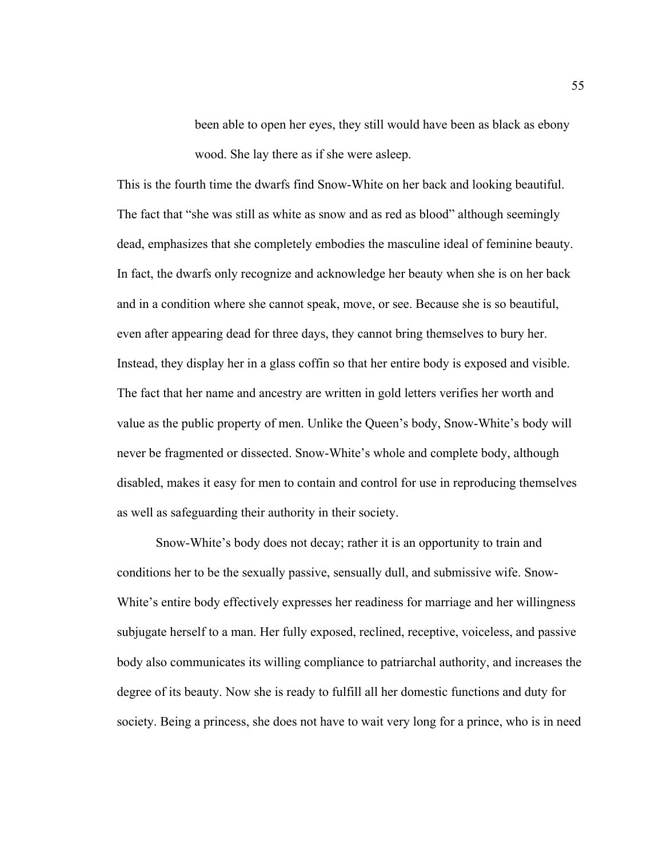been able to open her eyes, they still would have been as black as ebony wood. She lay there as if she were asleep.

This is the fourth time the dwarfs find Snow-White on her back and looking beautiful. The fact that "she was still as white as snow and as red as blood" although seemingly dead, emphasizes that she completely embodies the masculine ideal of feminine beauty. In fact, the dwarfs only recognize and acknowledge her beauty when she is on her back and in a condition where she cannot speak, move, or see. Because she is so beautiful, even after appearing dead for three days, they cannot bring themselves to bury her. Instead, they display her in a glass coffin so that her entire body is exposed and visible. The fact that her name and ancestry are written in gold letters verifies her worth and value as the public property of men. Unlike the Queen's body, Snow-White's body will never be fragmented or dissected. Snow-White's whole and complete body, although disabled, makes it easy for men to contain and control for use in reproducing themselves as well as safeguarding their authority in their society.

Snow-White's body does not decay; rather it is an opportunity to train and conditions her to be the sexually passive, sensually dull, and submissive wife. Snow-White's entire body effectively expresses her readiness for marriage and her willingness subjugate herself to a man. Her fully exposed, reclined, receptive, voiceless, and passive body also communicates its willing compliance to patriarchal authority, and increases the degree of its beauty. Now she is ready to fulfill all her domestic functions and duty for society. Being a princess, she does not have to wait very long for a prince, who is in need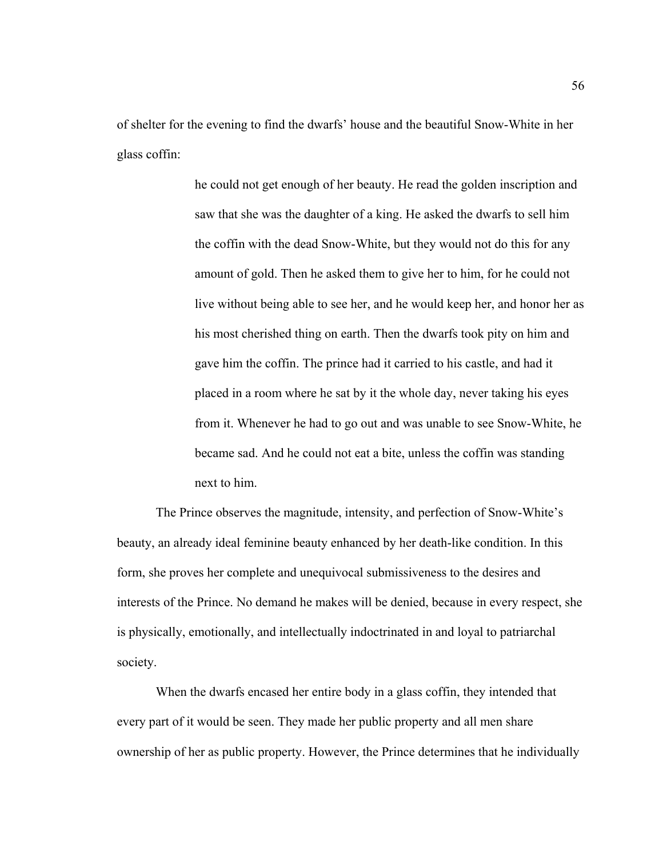of shelter for the evening to find the dwarfs' house and the beautiful Snow-White in her glass coffin:

> he could not get enough of her beauty. He read the golden inscription and saw that she was the daughter of a king. He asked the dwarfs to sell him the coffin with the dead Snow-White, but they would not do this for any amount of gold. Then he asked them to give her to him, for he could not live without being able to see her, and he would keep her, and honor her as his most cherished thing on earth. Then the dwarfs took pity on him and gave him the coffin. The prince had it carried to his castle, and had it placed in a room where he sat by it the whole day, never taking his eyes from it. Whenever he had to go out and was unable to see Snow-White, he became sad. And he could not eat a bite, unless the coffin was standing next to him.

 The Prince observes the magnitude, intensity, and perfection of Snow-White's beauty, an already ideal feminine beauty enhanced by her death-like condition. In this form, she proves her complete and unequivocal submissiveness to the desires and interests of the Prince. No demand he makes will be denied, because in every respect, she is physically, emotionally, and intellectually indoctrinated in and loyal to patriarchal society.

When the dwarfs encased her entire body in a glass coffin, they intended that every part of it would be seen. They made her public property and all men share ownership of her as public property. However, the Prince determines that he individually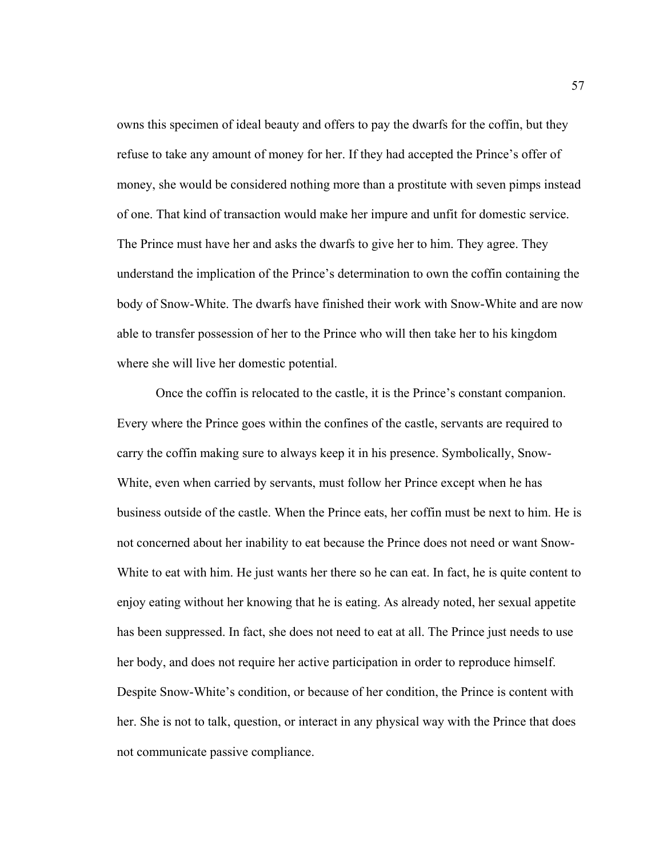owns this specimen of ideal beauty and offers to pay the dwarfs for the coffin, but they refuse to take any amount of money for her. If they had accepted the Prince's offer of money, she would be considered nothing more than a prostitute with seven pimps instead of one. That kind of transaction would make her impure and unfit for domestic service. The Prince must have her and asks the dwarfs to give her to him. They agree. They understand the implication of the Prince's determination to own the coffin containing the body of Snow-White. The dwarfs have finished their work with Snow-White and are now able to transfer possession of her to the Prince who will then take her to his kingdom where she will live her domestic potential.

Once the coffin is relocated to the castle, it is the Prince's constant companion. Every where the Prince goes within the confines of the castle, servants are required to carry the coffin making sure to always keep it in his presence. Symbolically, Snow-White, even when carried by servants, must follow her Prince except when he has business outside of the castle. When the Prince eats, her coffin must be next to him. He is not concerned about her inability to eat because the Prince does not need or want Snow-White to eat with him. He just wants her there so he can eat. In fact, he is quite content to enjoy eating without her knowing that he is eating. As already noted, her sexual appetite has been suppressed. In fact, she does not need to eat at all. The Prince just needs to use her body, and does not require her active participation in order to reproduce himself. Despite Snow-White's condition, or because of her condition, the Prince is content with her. She is not to talk, question, or interact in any physical way with the Prince that does not communicate passive compliance.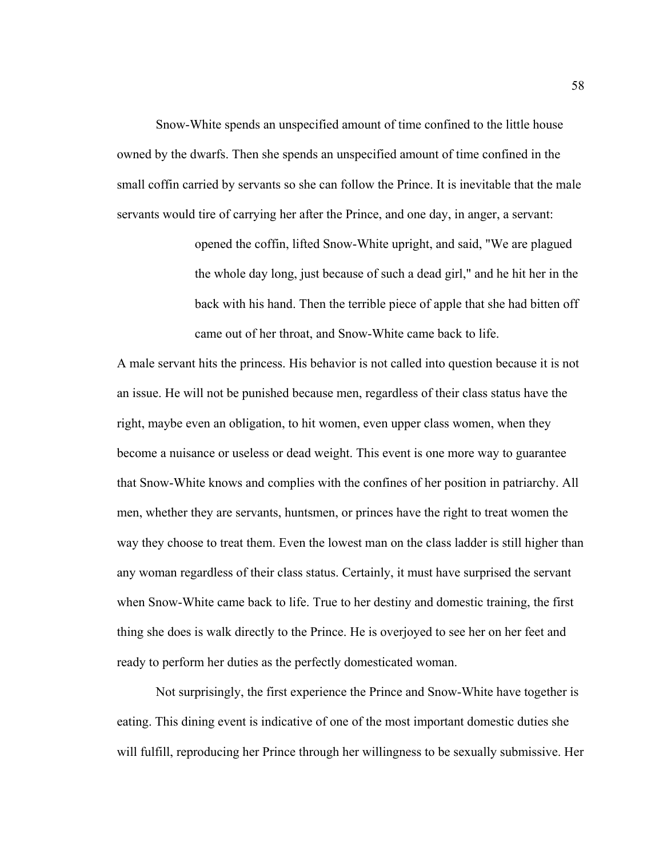Snow-White spends an unspecified amount of time confined to the little house owned by the dwarfs. Then she spends an unspecified amount of time confined in the small coffin carried by servants so she can follow the Prince. It is inevitable that the male servants would tire of carrying her after the Prince, and one day, in anger, a servant:

> opened the coffin, lifted Snow-White upright, and said, "We are plagued the whole day long, just because of such a dead girl," and he hit her in the back with his hand. Then the terrible piece of apple that she had bitten off came out of her throat, and Snow-White came back to life.

A male servant hits the princess. His behavior is not called into question because it is not an issue. He will not be punished because men, regardless of their class status have the right, maybe even an obligation, to hit women, even upper class women, when they become a nuisance or useless or dead weight. This event is one more way to guarantee that Snow-White knows and complies with the confines of her position in patriarchy. All men, whether they are servants, huntsmen, or princes have the right to treat women the way they choose to treat them. Even the lowest man on the class ladder is still higher than any woman regardless of their class status. Certainly, it must have surprised the servant when Snow-White came back to life. True to her destiny and domestic training, the first thing she does is walk directly to the Prince. He is overjoyed to see her on her feet and ready to perform her duties as the perfectly domesticated woman.

Not surprisingly, the first experience the Prince and Snow-White have together is eating. This dining event is indicative of one of the most important domestic duties she will fulfill, reproducing her Prince through her willingness to be sexually submissive. Her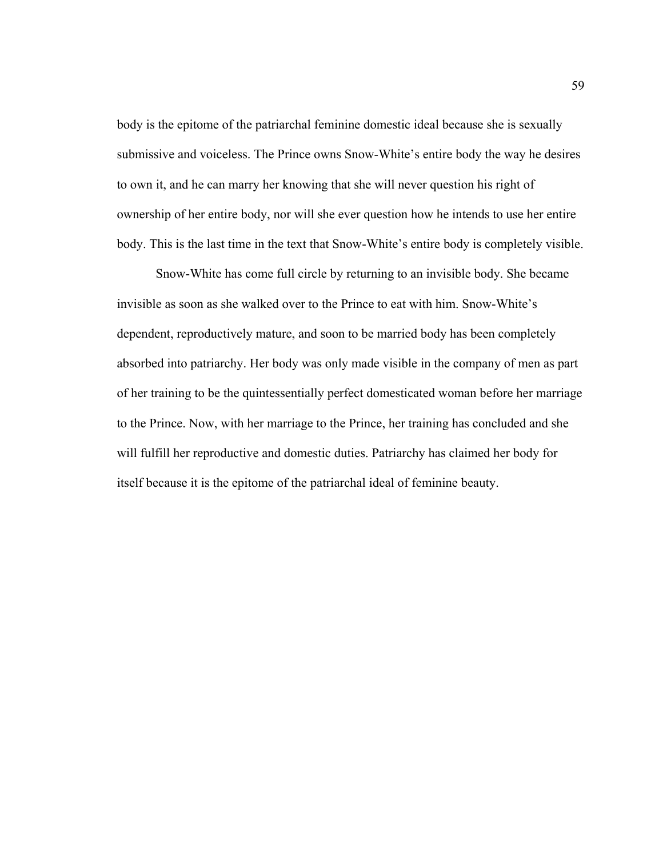body is the epitome of the patriarchal feminine domestic ideal because she is sexually submissive and voiceless. The Prince owns Snow-White's entire body the way he desires to own it, and he can marry her knowing that she will never question his right of ownership of her entire body, nor will she ever question how he intends to use her entire body. This is the last time in the text that Snow-White's entire body is completely visible.

Snow-White has come full circle by returning to an invisible body. She became invisible as soon as she walked over to the Prince to eat with him. Snow-White's dependent, reproductively mature, and soon to be married body has been completely absorbed into patriarchy. Her body was only made visible in the company of men as part of her training to be the quintessentially perfect domesticated woman before her marriage to the Prince. Now, with her marriage to the Prince, her training has concluded and she will fulfill her reproductive and domestic duties. Patriarchy has claimed her body for itself because it is the epitome of the patriarchal ideal of feminine beauty.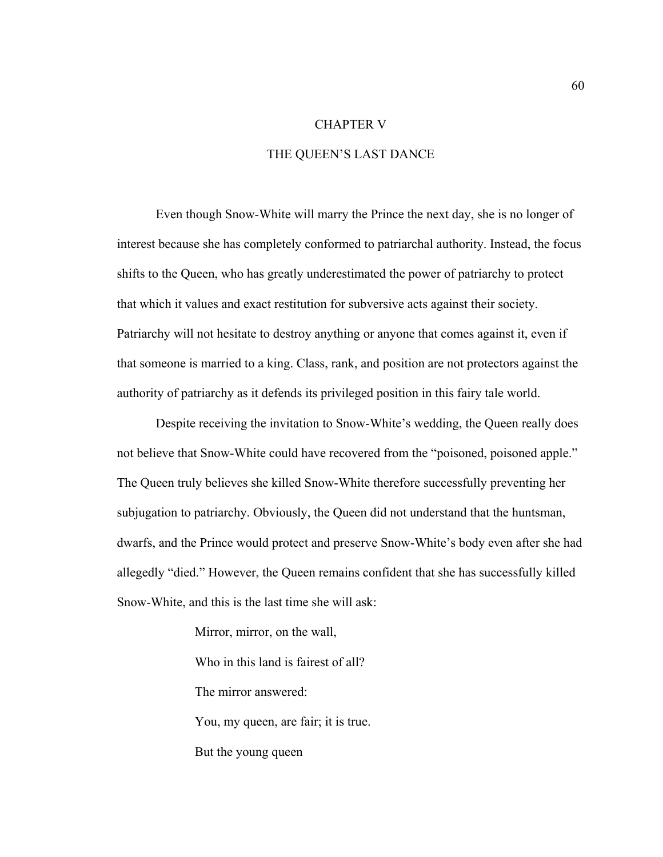## CHAPTER V

# THE QUEEN'S LAST DANCE

Even though Snow-White will marry the Prince the next day, she is no longer of interest because she has completely conformed to patriarchal authority. Instead, the focus shifts to the Queen, who has greatly underestimated the power of patriarchy to protect that which it values and exact restitution for subversive acts against their society. Patriarchy will not hesitate to destroy anything or anyone that comes against it, even if that someone is married to a king. Class, rank, and position are not protectors against the authority of patriarchy as it defends its privileged position in this fairy tale world.

Despite receiving the invitation to Snow-White's wedding, the Queen really does not believe that Snow-White could have recovered from the "poisoned, poisoned apple." The Queen truly believes she killed Snow-White therefore successfully preventing her subjugation to patriarchy. Obviously, the Queen did not understand that the huntsman, dwarfs, and the Prince would protect and preserve Snow-White's body even after she had allegedly "died." However, the Queen remains confident that she has successfully killed Snow-White, and this is the last time she will ask:

Mirror, mirror, on the wall,

Who in this land is fairest of all?

The mirror answered:

You, my queen, are fair; it is true.

But the young queen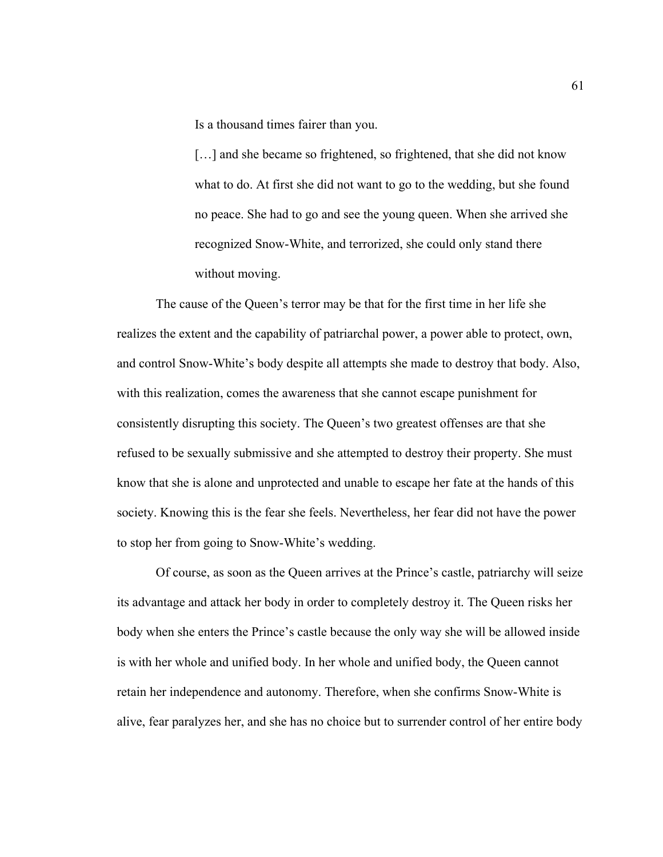Is a thousand times fairer than you.

[...] and she became so frightened, so frightened, that she did not know what to do. At first she did not want to go to the wedding, but she found no peace. She had to go and see the young queen. When she arrived she recognized Snow-White, and terrorized, she could only stand there without moving.

The cause of the Queen's terror may be that for the first time in her life she realizes the extent and the capability of patriarchal power, a power able to protect, own, and control Snow-White's body despite all attempts she made to destroy that body. Also, with this realization, comes the awareness that she cannot escape punishment for consistently disrupting this society. The Queen's two greatest offenses are that she refused to be sexually submissive and she attempted to destroy their property. She must know that she is alone and unprotected and unable to escape her fate at the hands of this society. Knowing this is the fear she feels. Nevertheless, her fear did not have the power to stop her from going to Snow-White's wedding.

Of course, as soon as the Queen arrives at the Prince's castle, patriarchy will seize its advantage and attack her body in order to completely destroy it. The Queen risks her body when she enters the Prince's castle because the only way she will be allowed inside is with her whole and unified body. In her whole and unified body, the Queen cannot retain her independence and autonomy. Therefore, when she confirms Snow-White is alive, fear paralyzes her, and she has no choice but to surrender control of her entire body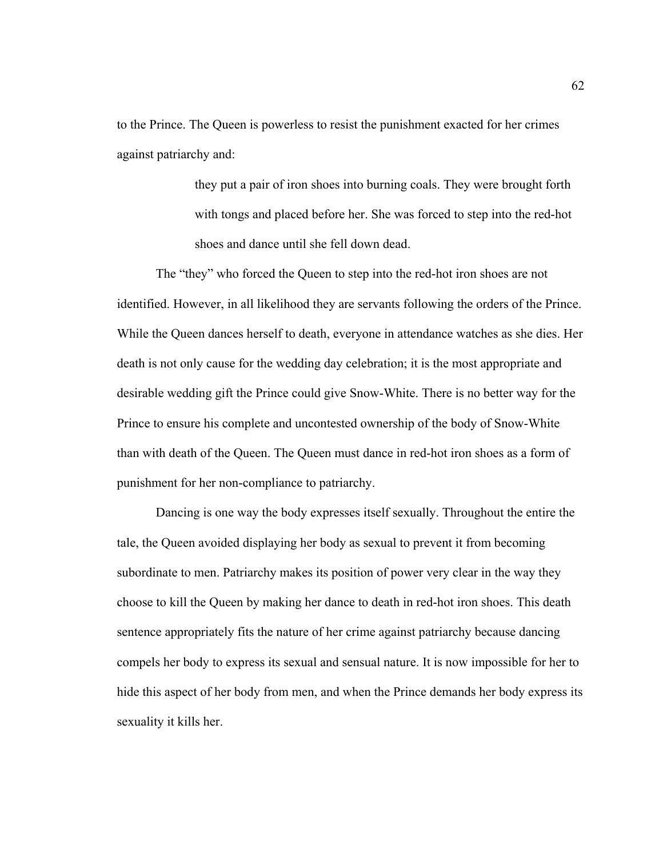to the Prince. The Queen is powerless to resist the punishment exacted for her crimes against patriarchy and:

> they put a pair of iron shoes into burning coals. They were brought forth with tongs and placed before her. She was forced to step into the red-hot shoes and dance until she fell down dead.

The "they" who forced the Queen to step into the red-hot iron shoes are not identified. However, in all likelihood they are servants following the orders of the Prince. While the Queen dances herself to death, everyone in attendance watches as she dies. Her death is not only cause for the wedding day celebration; it is the most appropriate and desirable wedding gift the Prince could give Snow-White. There is no better way for the Prince to ensure his complete and uncontested ownership of the body of Snow-White than with death of the Queen. The Queen must dance in red-hot iron shoes as a form of punishment for her non-compliance to patriarchy.

Dancing is one way the body expresses itself sexually. Throughout the entire the tale, the Queen avoided displaying her body as sexual to prevent it from becoming subordinate to men. Patriarchy makes its position of power very clear in the way they choose to kill the Queen by making her dance to death in red-hot iron shoes. This death sentence appropriately fits the nature of her crime against patriarchy because dancing compels her body to express its sexual and sensual nature. It is now impossible for her to hide this aspect of her body from men, and when the Prince demands her body express its sexuality it kills her.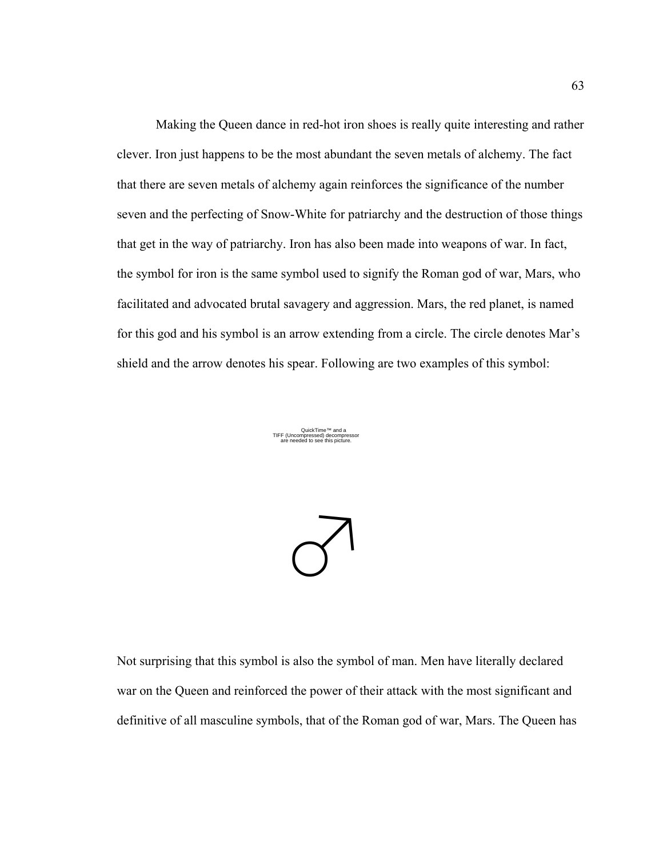Making the Queen dance in red-hot iron shoes is really quite interesting and rather clever. Iron just happens to be the most abundant the seven metals of alchemy. The fact that there are seven metals of alchemy again reinforces the significance of the number seven and the perfecting of Snow-White for patriarchy and the destruction of those things that get in the way of patriarchy. Iron has also been made into weapons of war. In fact, the symbol for iron is the same symbol used to signify the Roman god of war, Mars, who facilitated and advocated brutal savagery and aggression. Mars, the red planet, is named for this god and his symbol is an arrow extending from a circle. The circle denotes Mar's shield and the arrow denotes his spear. Following are two examples of this symbol:

> QuickTime™ and a TIFF (Uncompressed) decompressor are needed to see this picture.



Not surprising that this symbol is also the symbol of man. Men have literally declared war on the Queen and reinforced the power of their attack with the most significant and definitive of all masculine symbols, that of the Roman god of war, Mars. The Queen has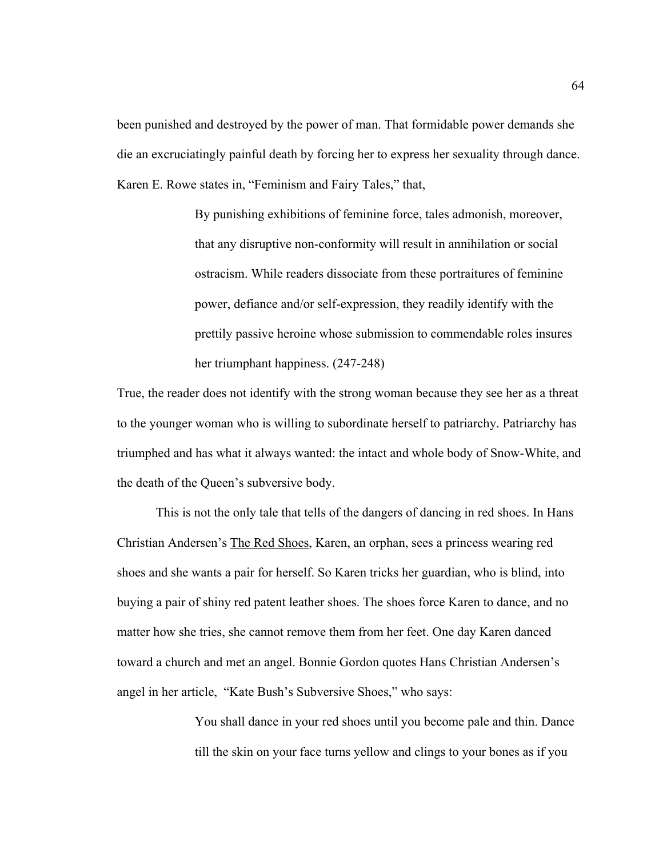been punished and destroyed by the power of man. That formidable power demands she die an excruciatingly painful death by forcing her to express her sexuality through dance. Karen E. Rowe states in, "Feminism and Fairy Tales," that,

> By punishing exhibitions of feminine force, tales admonish, moreover, that any disruptive non-conformity will result in annihilation or social ostracism. While readers dissociate from these portraitures of feminine power, defiance and/or self-expression, they readily identify with the prettily passive heroine whose submission to commendable roles insures her triumphant happiness. (247-248)

True, the reader does not identify with the strong woman because they see her as a threat to the younger woman who is willing to subordinate herself to patriarchy. Patriarchy has triumphed and has what it always wanted: the intact and whole body of Snow-White, and the death of the Queen's subversive body.

This is not the only tale that tells of the dangers of dancing in red shoes. In Hans Christian Andersen's The Red Shoes, Karen, an orphan, sees a princess wearing red shoes and she wants a pair for herself. So Karen tricks her guardian, who is blind, into buying a pair of shiny red patent leather shoes. The shoes force Karen to dance, and no matter how she tries, she cannot remove them from her feet. One day Karen danced toward a church and met an angel. Bonnie Gordon quotes Hans Christian Andersen's angel in her article, "Kate Bush's Subversive Shoes," who says:

> You shall dance in your red shoes until you become pale and thin. Dance till the skin on your face turns yellow and clings to your bones as if you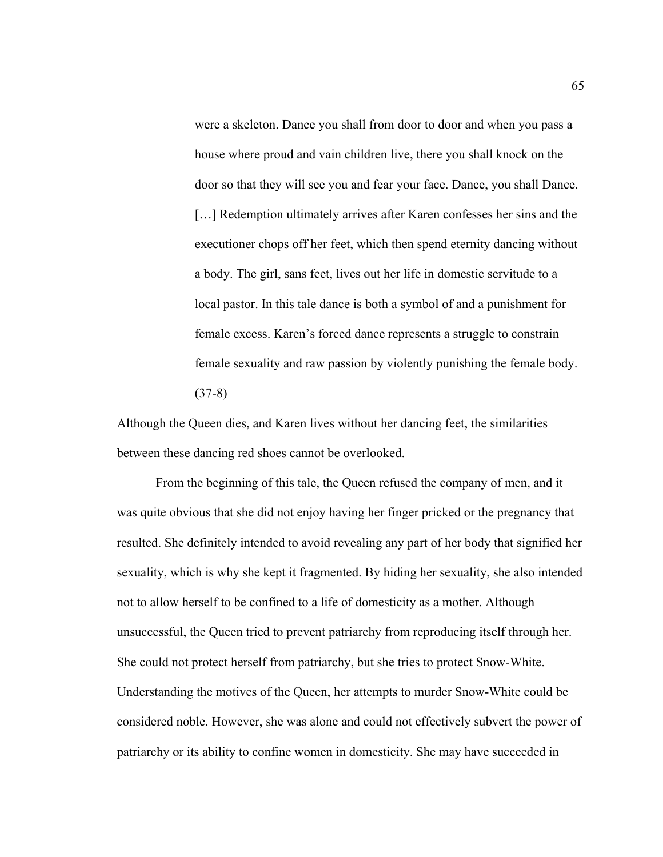were a skeleton. Dance you shall from door to door and when you pass a house where proud and vain children live, there you shall knock on the door so that they will see you and fear your face. Dance, you shall Dance. [...] Redemption ultimately arrives after Karen confesses her sins and the executioner chops off her feet, which then spend eternity dancing without a body. The girl, sans feet, lives out her life in domestic servitude to a local pastor. In this tale dance is both a symbol of and a punishment for female excess. Karen's forced dance represents a struggle to constrain female sexuality and raw passion by violently punishing the female body. (37-8)

Although the Queen dies, and Karen lives without her dancing feet, the similarities between these dancing red shoes cannot be overlooked.

From the beginning of this tale, the Queen refused the company of men, and it was quite obvious that she did not enjoy having her finger pricked or the pregnancy that resulted. She definitely intended to avoid revealing any part of her body that signified her sexuality, which is why she kept it fragmented. By hiding her sexuality, she also intended not to allow herself to be confined to a life of domesticity as a mother. Although unsuccessful, the Queen tried to prevent patriarchy from reproducing itself through her. She could not protect herself from patriarchy, but she tries to protect Snow-White. Understanding the motives of the Queen, her attempts to murder Snow-White could be considered noble. However, she was alone and could not effectively subvert the power of patriarchy or its ability to confine women in domesticity. She may have succeeded in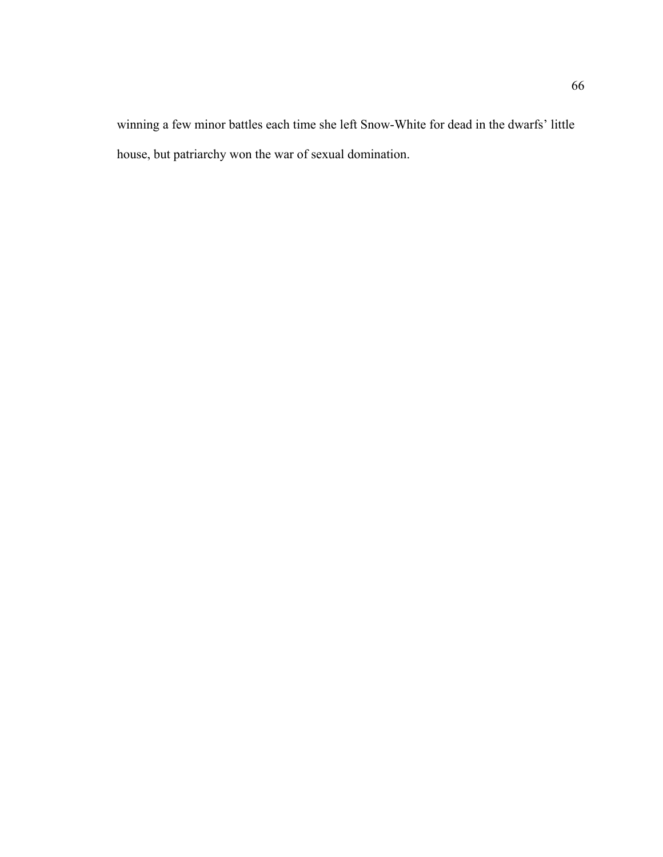winning a few minor battles each time she left Snow-White for dead in the dwarfs' little house, but patriarchy won the war of sexual domination.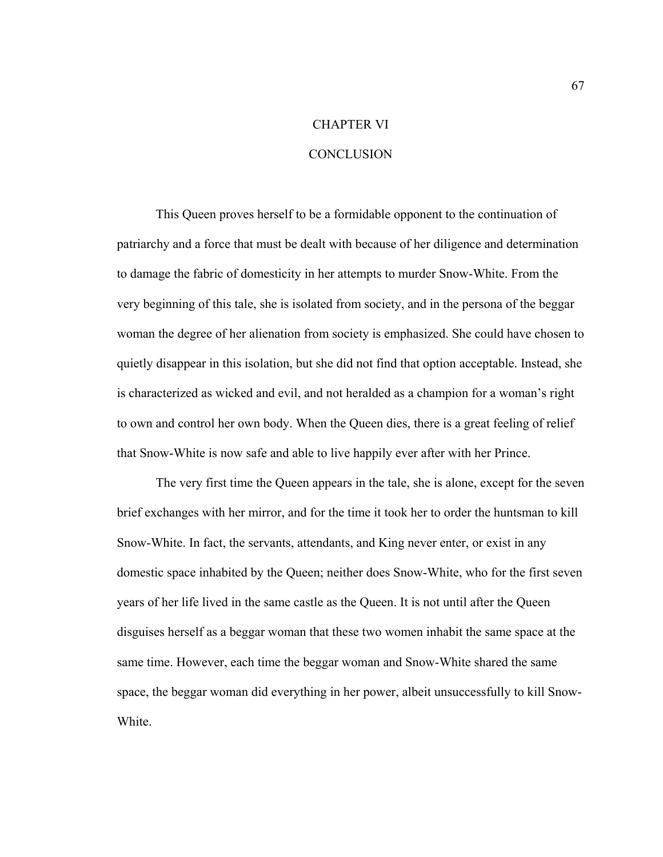# CHAPTER VI

### **CONCLUSION**

This Queen proves herself to be a formidable opponent to the continuation of patriarchy and a force that must be dealt with because of her diligence and determination to damage the fabric of domesticity in her attempts to murder Snow-White. From the very beginning of this tale, she is isolated from society, and in the persona of the beggar woman the degree of her alienation from society is emphasized. She could have chosen to quietly disappear in this isolation, but she did not find that option acceptable. Instead, she is characterized as wicked and evil, and not heralded as a champion for a woman's right to own and control her own body. When the Queen dies, there is a great feeling of relief that Snow-White is now safe and able to live happily ever after with her Prince.

The very first time the Queen appears in the tale, she is alone, except for the seven brief exchanges with her mirror, and for the time it took her to order the huntsman to kill Snow-White. In fact, the servants, attendants, and King never enter, or exist in any domestic space inhabited by the Queen; neither does Snow-White, who for the first seven years of her life lived in the same castle as the Queen. It is not until after the Queen disguises herself as a beggar woman that these two women inhabit the same space at the same time. However, each time the beggar woman and Snow-White shared the same space, the beggar woman did everything in her power, albeit unsuccessfully to kill Snow-White.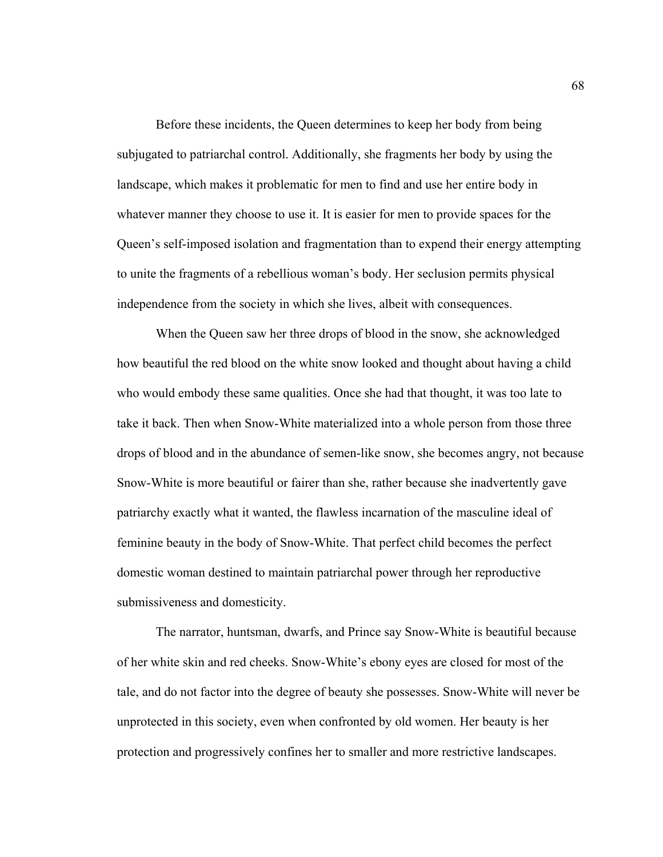Before these incidents, the Queen determines to keep her body from being subjugated to patriarchal control. Additionally, she fragments her body by using the landscape, which makes it problematic for men to find and use her entire body in whatever manner they choose to use it. It is easier for men to provide spaces for the Queen's self-imposed isolation and fragmentation than to expend their energy attempting to unite the fragments of a rebellious woman's body. Her seclusion permits physical independence from the society in which she lives, albeit with consequences.

When the Queen saw her three drops of blood in the snow, she acknowledged how beautiful the red blood on the white snow looked and thought about having a child who would embody these same qualities. Once she had that thought, it was too late to take it back. Then when Snow-White materialized into a whole person from those three drops of blood and in the abundance of semen-like snow, she becomes angry, not because Snow-White is more beautiful or fairer than she, rather because she inadvertently gave patriarchy exactly what it wanted, the flawless incarnation of the masculine ideal of feminine beauty in the body of Snow-White. That perfect child becomes the perfect domestic woman destined to maintain patriarchal power through her reproductive submissiveness and domesticity.

The narrator, huntsman, dwarfs, and Prince say Snow-White is beautiful because of her white skin and red cheeks. Snow-White's ebony eyes are closed for most of the tale, and do not factor into the degree of beauty she possesses. Snow-White will never be unprotected in this society, even when confronted by old women. Her beauty is her protection and progressively confines her to smaller and more restrictive landscapes.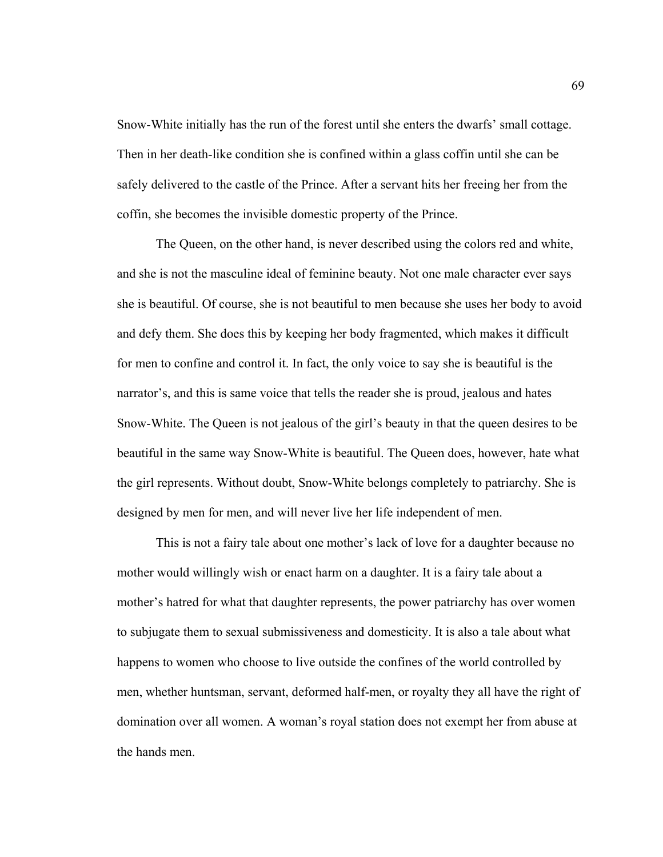Snow-White initially has the run of the forest until she enters the dwarfs' small cottage. Then in her death-like condition she is confined within a glass coffin until she can be safely delivered to the castle of the Prince. After a servant hits her freeing her from the coffin, she becomes the invisible domestic property of the Prince.

The Queen, on the other hand, is never described using the colors red and white, and she is not the masculine ideal of feminine beauty. Not one male character ever says she is beautiful. Of course, she is not beautiful to men because she uses her body to avoid and defy them. She does this by keeping her body fragmented, which makes it difficult for men to confine and control it. In fact, the only voice to say she is beautiful is the narrator's, and this is same voice that tells the reader she is proud, jealous and hates Snow-White. The Queen is not jealous of the girl's beauty in that the queen desires to be beautiful in the same way Snow-White is beautiful. The Queen does, however, hate what the girl represents. Without doubt, Snow-White belongs completely to patriarchy. She is designed by men for men, and will never live her life independent of men.

This is not a fairy tale about one mother's lack of love for a daughter because no mother would willingly wish or enact harm on a daughter. It is a fairy tale about a mother's hatred for what that daughter represents, the power patriarchy has over women to subjugate them to sexual submissiveness and domesticity. It is also a tale about what happens to women who choose to live outside the confines of the world controlled by men, whether huntsman, servant, deformed half-men, or royalty they all have the right of domination over all women. A woman's royal station does not exempt her from abuse at the hands men.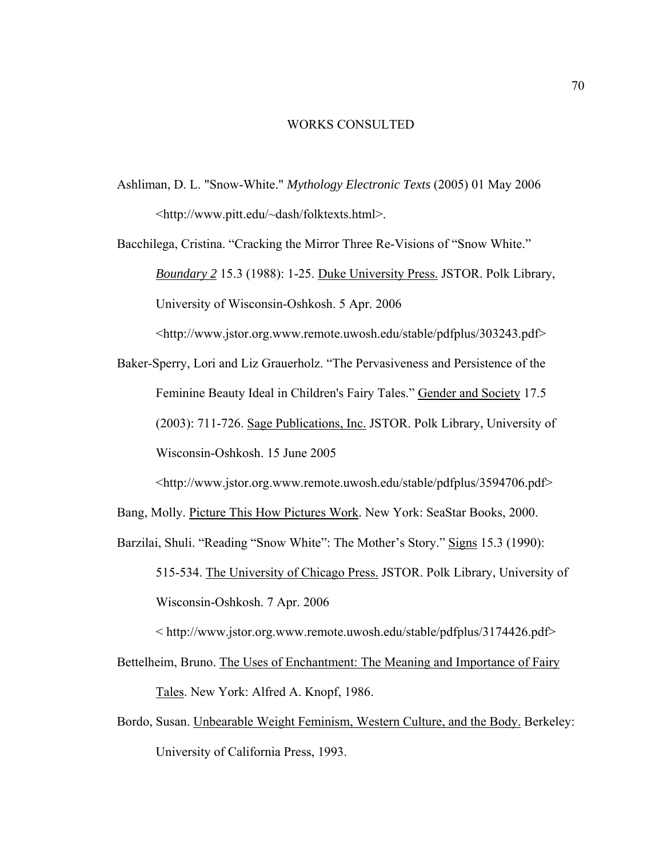## WORKS CONSULTED

Ashliman, D. L. "Snow-White." *Mythology Electronic Texts* (2005) 01 May 2006 <http://www.pitt.edu/~dash/folktexts.html>.

Bacchilega, Cristina. "Cracking the Mirror Three Re-Visions of "Snow White." *Boundary 2* 15.3 (1988): 1-25. Duke University Press. JSTOR. Polk Library, University of Wisconsin-Oshkosh. 5 Apr. 2006

<http://www.jstor.org.www.remote.uwosh.edu/stable/pdfplus/303243.pdf>

Baker-Sperry, Lori and Liz Grauerholz. "The Pervasiveness and Persistence of the Feminine Beauty Ideal in Children's Fairy Tales." Gender and Society 17.5 (2003): 711-726. Sage Publications, Inc. JSTOR. Polk Library, University of Wisconsin-Oshkosh. 15 June 2005

<http://www.jstor.org.www.remote.uwosh.edu/stable/pdfplus/3594706.pdf>

Bang, Molly. Picture This How Pictures Work. New York: SeaStar Books, 2000.

Barzilai, Shuli. "Reading "Snow White": The Mother's Story." Signs 15.3 (1990):

515-534. The University of Chicago Press. JSTOR. Polk Library, University of Wisconsin-Oshkosh. 7 Apr. 2006

< http://www.jstor.org.www.remote.uwosh.edu/stable/pdfplus/3174426.pdf>

- Bettelheim, Bruno. The Uses of Enchantment: The Meaning and Importance of Fairy Tales. New York: Alfred A. Knopf, 1986.
- Bordo, Susan. Unbearable Weight Feminism, Western Culture, and the Body. Berkeley: University of California Press, 1993.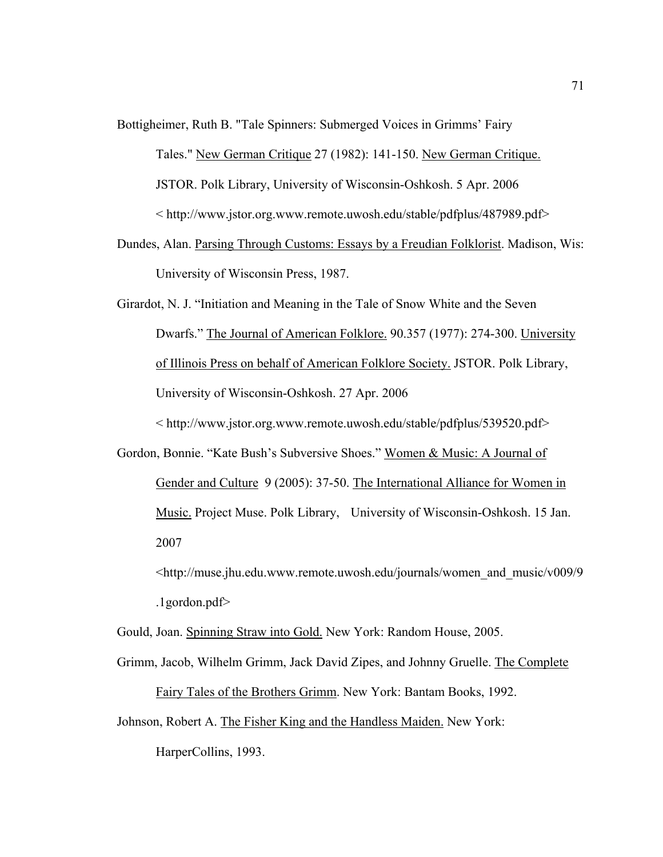Bottigheimer, Ruth B. "Tale Spinners: Submerged Voices in Grimms' Fairy

Tales." New German Critique 27 (1982): 141-150. New German Critique. JSTOR. Polk Library, University of Wisconsin-Oshkosh. 5 Apr. 2006 < http://www.jstor.org.www.remote.uwosh.edu/stable/pdfplus/487989.pdf>

Dundes, Alan. Parsing Through Customs: Essays by a Freudian Folklorist. Madison, Wis: University of Wisconsin Press, 1987.

Girardot, N. J. "Initiation and Meaning in the Tale of Snow White and the Seven Dwarfs." The Journal of American Folklore. 90.357 (1977): 274-300. University of Illinois Press on behalf of American Folklore Society. JSTOR. Polk Library, University of Wisconsin-Oshkosh. 27 Apr. 2006 < http://www.jstor.org.www.remote.uwosh.edu/stable/pdfplus/539520.pdf>

Gordon, Bonnie. "Kate Bush's Subversive Shoes." Women & Music: A Journal of Gender and Culture 9 (2005): 37-50. The International Alliance for Women in Music. Project Muse. Polk Library, University of Wisconsin-Oshkosh. 15 Jan. 2007

 <http://muse.jhu.edu.www.remote.uwosh.edu/journals/women\_and\_music/v009/9 .1gordon.pdf>

Gould, Joan. Spinning Straw into Gold. New York: Random House, 2005.

- Grimm, Jacob, Wilhelm Grimm, Jack David Zipes, and Johnny Gruelle. The Complete Fairy Tales of the Brothers Grimm. New York: Bantam Books, 1992.
- Johnson, Robert A. The Fisher King and the Handless Maiden. New York:

HarperCollins, 1993.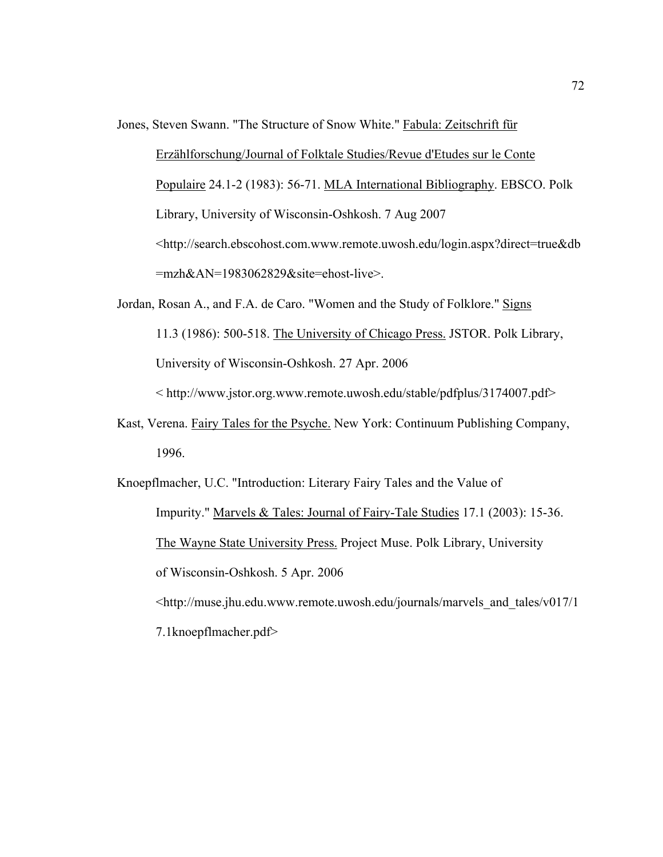Jones, Steven Swann. "The Structure of Snow White." Fabula: Zeitschrift für

Erzählforschung/Journal of Folktale Studies/Revue d'Etudes sur le Conte Populaire 24.1-2 (1983): 56-71. MLA International Bibliography. EBSCO. Polk Library, University of Wisconsin-Oshkosh. 7 Aug 2007 <http://search.ebscohost.com.www.remote.uwosh.edu/login.aspx?direct=true&db =mzh&AN=1983062829&site=ehost-live>.

- Jordan, Rosan A., and F.A. de Caro. "Women and the Study of Folklore." Signs 11.3 (1986): 500-518. The University of Chicago Press. JSTOR. Polk Library, University of Wisconsin-Oshkosh. 27 Apr. 2006 < http://www.jstor.org.www.remote.uwosh.edu/stable/pdfplus/3174007.pdf>
- Kast, Verena. Fairy Tales for the Psyche. New York: Continuum Publishing Company, 1996.
- Knoepflmacher, U.C. "Introduction: Literary Fairy Tales and the Value of Impurity." Marvels & Tales: Journal of Fairy-Tale Studies 17.1 (2003): 15-36. The Wayne State University Press. Project Muse. Polk Library, University of Wisconsin-Oshkosh. 5 Apr. 2006 <http://muse.jhu.edu.www.remote.uwosh.edu/journals/marvels\_and\_tales/v017/1
	- 7.1knoepflmacher.pdf>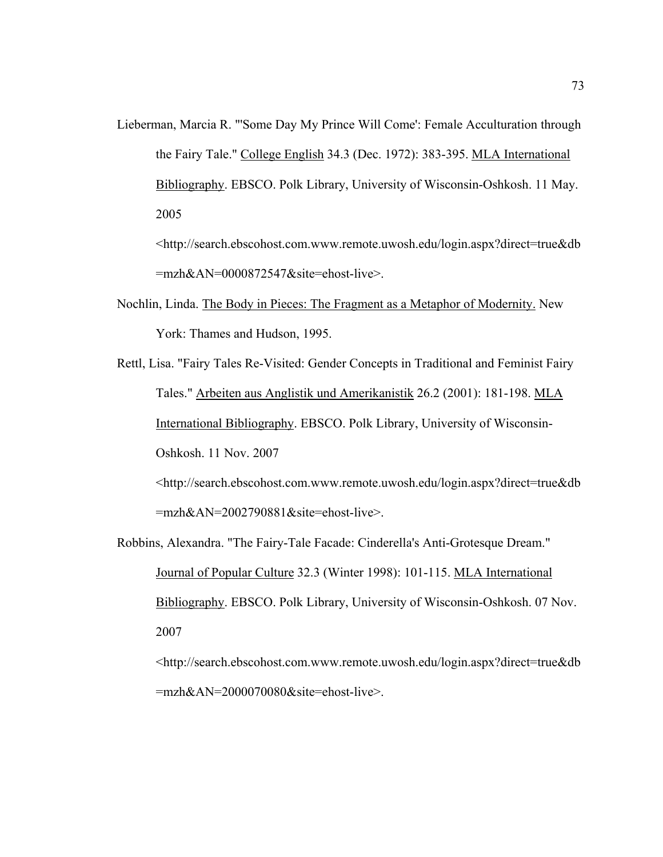Lieberman, Marcia R. "'Some Day My Prince Will Come': Female Acculturation through the Fairy Tale." College English 34.3 (Dec. 1972): 383-395. MLA International Bibliography. EBSCO. Polk Library, University of Wisconsin-Oshkosh. 11 May. 2005

<http://search.ebscohost.com.www.remote.uwosh.edu/login.aspx?direct=true&db =mzh&AN=0000872547&site=ehost-live>.

- Nochlin, Linda. The Body in Pieces: The Fragment as a Metaphor of Modernity. New York: Thames and Hudson, 1995.
- Rettl, Lisa. "Fairy Tales Re-Visited: Gender Concepts in Traditional and Feminist Fairy Tales." Arbeiten aus Anglistik und Amerikanistik 26.2 (2001): 181-198. MLA International Bibliography. EBSCO. Polk Library, University of Wisconsin-Oshkosh. 11 Nov. 2007 <http://search.ebscohost.com.www.remote.uwosh.edu/login.aspx?direct=true&db

=mzh&AN=2002790881&site=ehost-live>.

Robbins, Alexandra. "The Fairy-Tale Facade: Cinderella's Anti-Grotesque Dream." Journal of Popular Culture 32.3 (Winter 1998): 101-115. MLA International Bibliography. EBSCO. Polk Library, University of Wisconsin-Oshkosh. 07 Nov. 2007

<http://search.ebscohost.com.www.remote.uwosh.edu/login.aspx?direct=true&db =mzh&AN=2000070080&site=ehost-live>.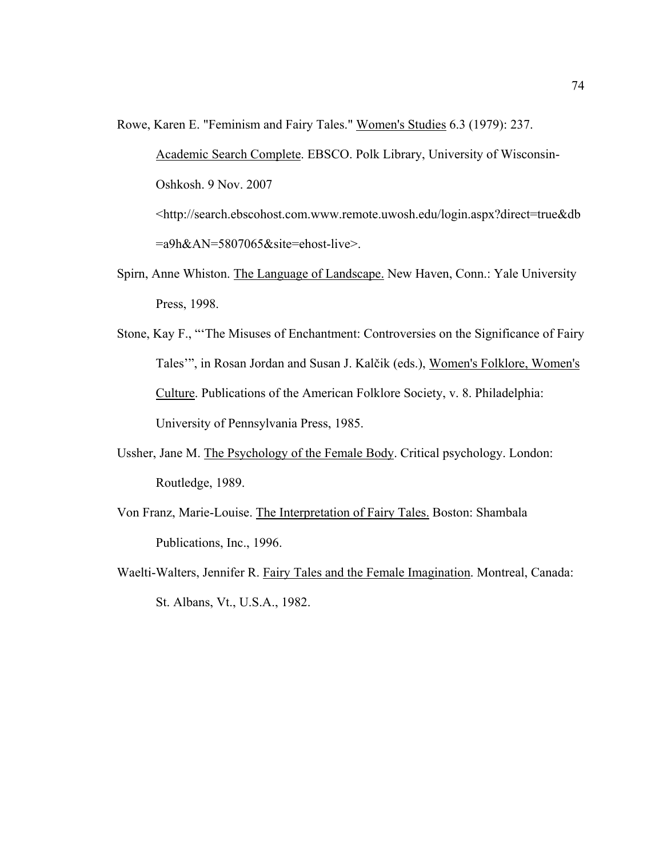Rowe, Karen E. "Feminism and Fairy Tales." Women's Studies 6.3 (1979): 237.

Academic Search Complete. EBSCO. Polk Library, University of Wisconsin-Oshkosh. 9 Nov. 2007 <http://search.ebscohost.com.www.remote.uwosh.edu/login.aspx?direct=true&db =a9h&AN=5807065&site=ehost-live>.

- Spirn, Anne Whiston. The Language of Landscape. New Haven, Conn.: Yale University Press, 1998.
- Stone, Kay F., "'The Misuses of Enchantment: Controversies on the Significance of Fairy Tales'", in Rosan Jordan and Susan J. Kalčik (eds.), Women's Folklore, Women's Culture. Publications of the American Folklore Society, v. 8. Philadelphia: University of Pennsylvania Press, 1985.
- Ussher, Jane M. The Psychology of the Female Body. Critical psychology. London: Routledge, 1989.
- Von Franz, Marie-Louise. The Interpretation of Fairy Tales. Boston: Shambala Publications, Inc., 1996.
- Waelti-Walters, Jennifer R. Fairy Tales and the Female Imagination. Montreal, Canada: St. Albans, Vt., U.S.A., 1982.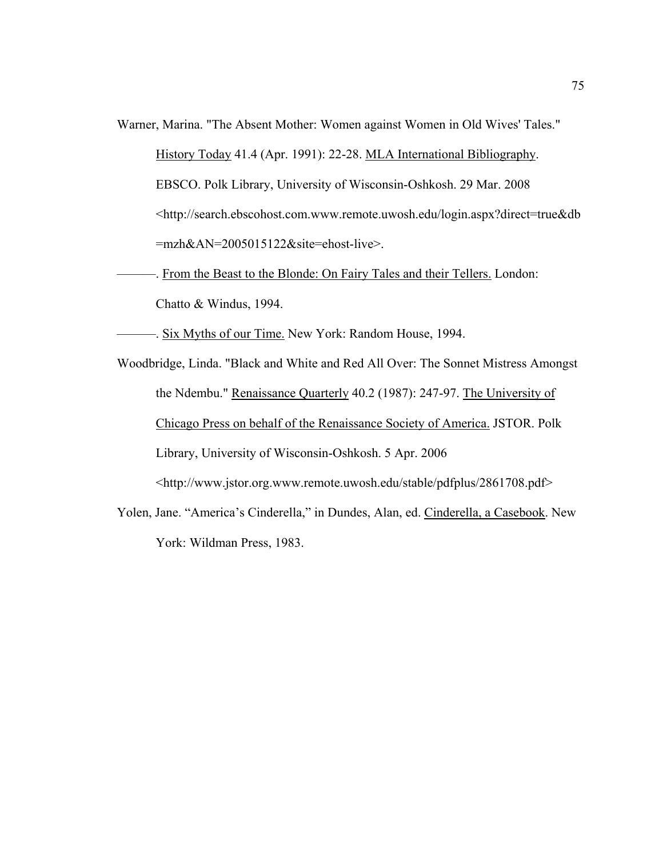Warner, Marina. "The Absent Mother: Women against Women in Old Wives' Tales."

History Today 41.4 (Apr. 1991): 22-28. MLA International Bibliography. EBSCO. Polk Library, University of Wisconsin-Oshkosh. 29 Mar. 2008 <http://search.ebscohost.com.www.remote.uwosh.edu/login.aspx?direct=true&db =mzh&AN=2005015122&site=ehost-live>.

- -. From the Beast to the Blonde: On Fairy Tales and their Tellers. London: Chatto & Windus, 1994.
- ———. Six Myths of our Time. New York: Random House, 1994.
- Woodbridge, Linda. "Black and White and Red All Over: The Sonnet Mistress Amongst the Ndembu." Renaissance Quarterly 40.2 (1987): 247-97. The University of Chicago Press on behalf of the Renaissance Society of America. JSTOR. Polk Library, University of Wisconsin-Oshkosh. 5 Apr. 2006 <http://www.jstor.org.www.remote.uwosh.edu/stable/pdfplus/2861708.pdf>
- Yolen, Jane. "America's Cinderella," in Dundes, Alan, ed. Cinderella, a Casebook. New York: Wildman Press, 1983.